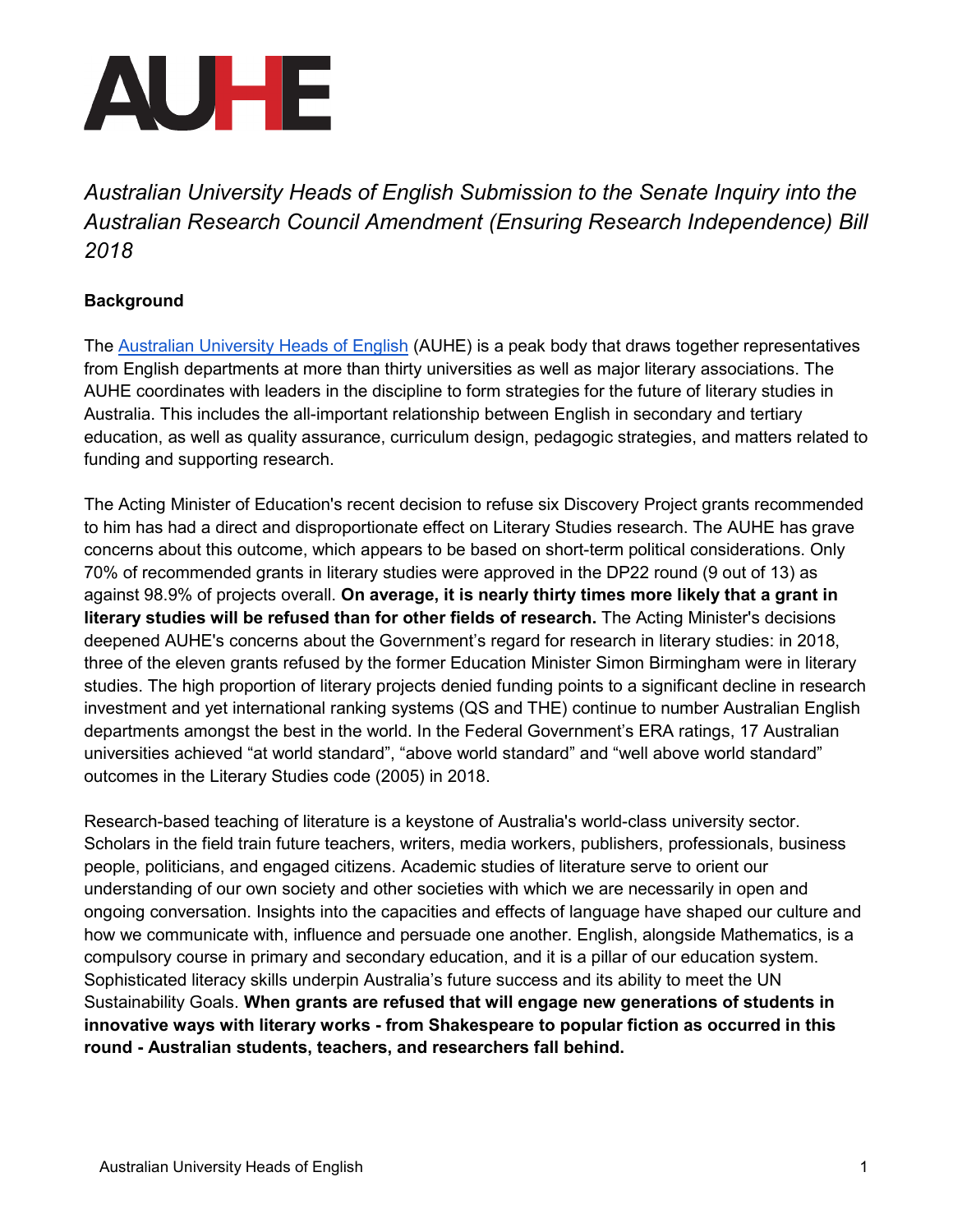

*Australian University Heads of English Submission to the Senate Inquiry into the Australian Research Council Amendment (Ensuring Research Independence) Bill 2018*

#### **Background**

The [Australian University Heads of English](https://auhe.org/) (AUHE) is a peak body that draws together representatives from English departments at more than thirty universities as well as major literary associations. The AUHE coordinates with leaders in the discipline to form strategies for the future of literary studies in Australia. This includes the all-important relationship between English in secondary and tertiary education, as well as quality assurance, curriculum design, pedagogic strategies, and matters related to funding and supporting research.

The Acting Minister of Education's recent decision to refuse six Discovery Project grants recommended to him has had a direct and disproportionate effect on Literary Studies research. The AUHE has grave concerns about this outcome, which appears to be based on short-term political considerations. Only 70% of recommended grants in literary studies were approved in the DP22 round (9 out of 13) as against 98.9% of projects overall. **On average, it is nearly thirty times more likely that a grant in literary studies will be refused than for other fields of research.** The Acting Minister's decisions deepened AUHE's concerns about the Government's regard for research in literary studies: in 2018, three of the eleven grants refused by the former Education Minister Simon Birmingham were in literary studies. The high proportion of literary projects denied funding points to a significant decline in research investment and yet international ranking systems (QS and THE) continue to number Australian English departments amongst the best in the world. In the Federal Government's ERA ratings, 17 Australian universities achieved "at world standard", "above world standard" and "well above world standard" outcomes in the Literary Studies code (2005) in 2018.

Research-based teaching of literature is a keystone of Australia's world-class university sector. Scholars in the field train future teachers, writers, media workers, publishers, professionals, business people, politicians, and engaged citizens. Academic studies of literature serve to orient our understanding of our own society and other societies with which we are necessarily in open and ongoing conversation. Insights into the capacities and effects of language have shaped our culture and how we communicate with, influence and persuade one another. English, alongside Mathematics, is a compulsory course in primary and secondary education, and it is a pillar of our education system. Sophisticated literacy skills underpin Australia's future success and its ability to meet the UN Sustainability Goals. **When grants are refused that will engage new generations of students in innovative ways with literary works - from Shakespeare to popular fiction as occurred in this round - Australian students, teachers, and researchers fall behind.**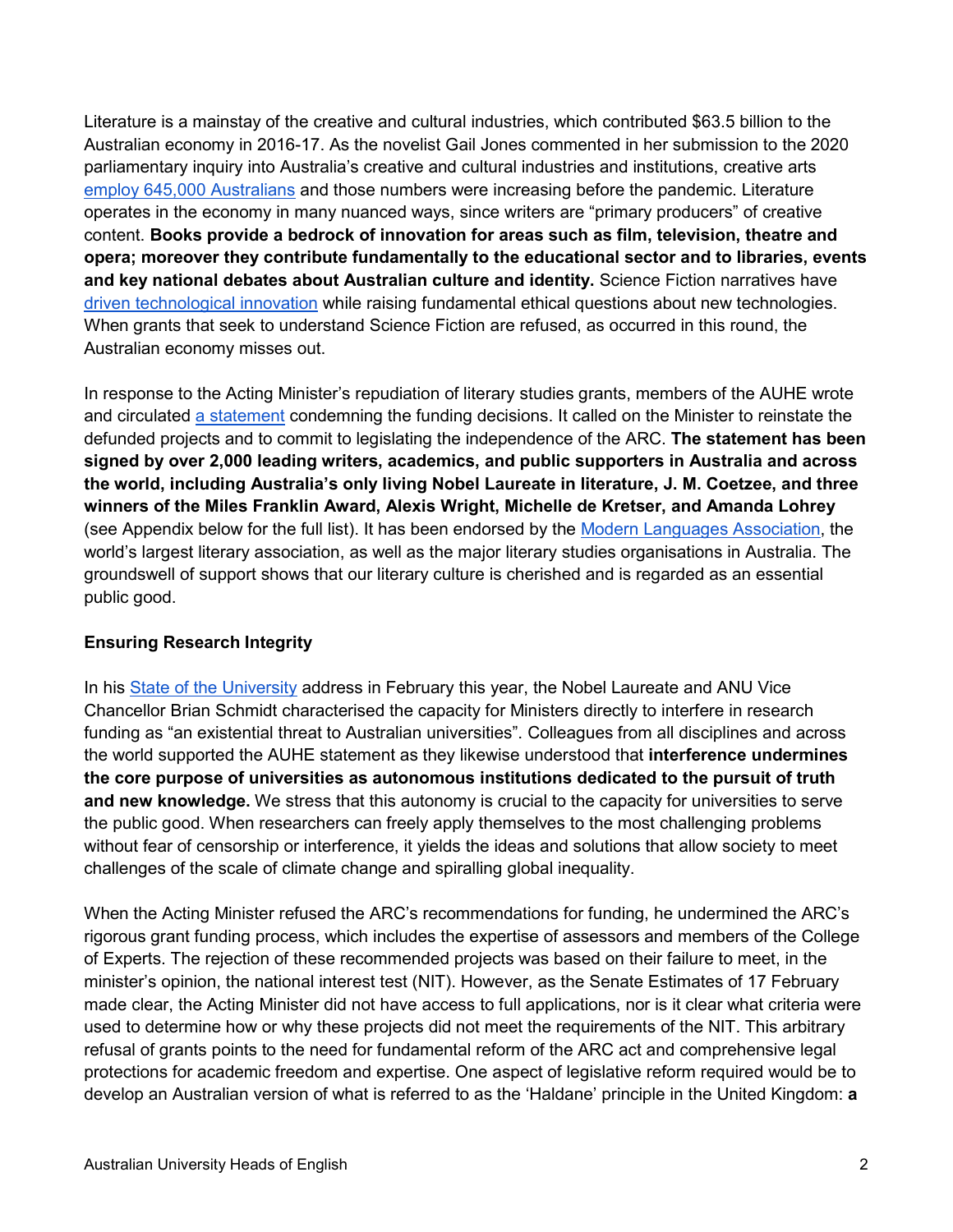Literature is a mainstay of the creative and cultural industries, which contributed \$63.5 billion to the Australian economy in 2016-17. As the novelist Gail Jones commented in her submission to the 2020 parliamentary inquiry into Australia's creative and cultural industries and institutions, creative art[s](https://www.communications.gov.au/publications/creative-skills-future-economy) [employ 645,000 Australians](https://www.communications.gov.au/publications/creative-skills-future-economy) and those numbers were increasing before the pandemic. Literature operates in the economy in many nuanced ways, since writers are "primary producers" of creative content. **Books provide a bedrock of innovation for areas such as film, television, theatre and opera; moreover they contribute fundamentally to the educational sector and to libraries, events and key national debates about Australian culture and identity.** Science Fiction narratives have [driven technological innovation](https://theconversation.com/sci-fi-movies-are-the-secret-weapon-that-could-help-silicon-valley-grow-up-105714) while raising fundamental ethical questions about new technologies. When grants that seek to understand Science Fiction are refused, as occurred in this round, the Australian economy misses out.

In response to the Acting Minister's repudiation of literary studies grants, members of the AUHE wrote and circulated [a statement](https://bit.ly/32FpQmO) condemning the funding decisions. It called on the Minister to reinstate the defunded projects and to commit to legislating the independence of the ARC. **The statement has been signed by over 2,000 leading writers, academics, and public supporters in Australia and across the world, including Australia's only living Nobel Laureate in literature, J. M. Coetzee, and three winners of the Miles Franklin Award, Alexis Wright, Michelle de Kretser, and Amanda Lohrey** (see Appendix below for the full list). It has been endorsed by the [Modern Languages Association,](https://www.mla.org/About-Us/Governance/Executive-Council/Executive-Council-Actions/2022/Statement-Regarding-the-Veto-of-Literary-Studies-Australia-Research-Council-Grants) the world's largest literary association, as well as the major literary studies organisations in Australia. The groundswell of support shows that our literary culture is cherished and is regarded as an essential public good.

## **Ensuring Research Integrity**

In his [State of the University](https://www.anu.edu.au/news/all-news/2022-state-of-the-university-vice-chancellors-address-0) address in February this year, the Nobel Laureate and ANU Vice Chancellor Brian Schmidt characterised the capacity for Ministers directly to interfere in research funding as "an existential threat to Australian universities". Colleagues from all disciplines and across the world supported the AUHE statement as they likewise understood that **interference undermines the core purpose of universities as autonomous institutions dedicated to the pursuit of truth and new knowledge.** We stress that this autonomy is crucial to the capacity for universities to serve the public good. When researchers can freely apply themselves to the most challenging problems without fear of censorship or interference, it yields the ideas and solutions that allow society to meet challenges of the scale of climate change and spiralling global inequality.

When the Acting Minister refused the ARC's recommendations for funding, he undermined the ARC's rigorous grant funding process, which includes the expertise of assessors and members of the College of Experts. The rejection of these recommended projects was based on their failure to meet, in the minister's opinion, the national interest test (NIT). However, as the Senate Estimates of 17 February made clear, the Acting Minister did not have access to full applications, nor is it clear what criteria were used to determine how or why these projects did not meet the requirements of the NIT. This arbitrary refusal of grants points to the need for fundamental reform of the ARC act and comprehensive legal protections for academic freedom and expertise. One aspect of legislative reform required would be to develop an Australian version of what is referred to as the 'Haldane' principle in the United Kingdom: **a**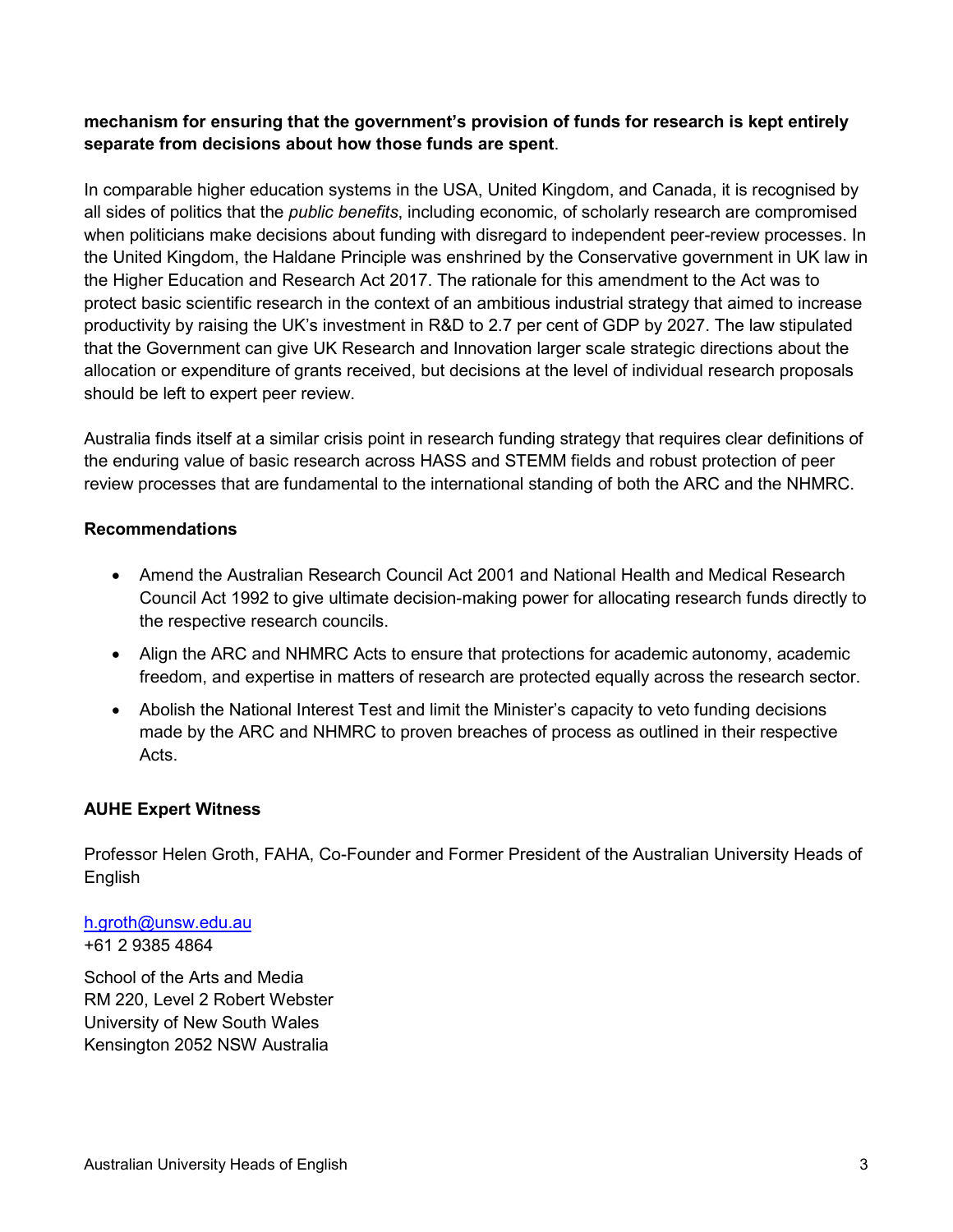# **mechanism for ensuring that the government's provision of funds for research is kept entirely separate from decisions about how those funds are spent**.

In comparable higher education systems in the USA, United Kingdom, and Canada, it is recognised by all sides of politics that the *public benefits*, including economic, of scholarly research are compromised when politicians make decisions about funding with disregard to independent peer-review processes. In the United Kingdom, the Haldane Principle was enshrined by the Conservative government in UK law in the Higher Education and Research Act 2017. The rationale for this amendment to the Act was to protect basic scientific research in the context of an ambitious industrial strategy that aimed to increase productivity by raising the UK's investment in R&D to 2.7 per cent of GDP by 2027. The law stipulated that the Government can give UK Research and Innovation larger scale strategic directions about the allocation or expenditure of grants received, but decisions at the level of individual research proposals should be left to expert peer review.

Australia finds itself at a similar crisis point in research funding strategy that requires clear definitions of the enduring value of basic research across HASS and STEMM fields and robust protection of peer review processes that are fundamental to the international standing of both the ARC and the NHMRC.

#### **Recommendations**

- Amend the Australian Research Council Act 2001 and National Health and Medical Research Council Act 1992 to give ultimate decision-making power for allocating research funds directly to the respective research councils.
- Align the ARC and NHMRC Acts to ensure that protections for academic autonomy, academic freedom, and expertise in matters of research are protected equally across the research sector.
- Abolish the National Interest Test and limit the Minister's capacity to veto funding decisions made by the ARC and NHMRC to proven breaches of process as outlined in their respective Acts.

## **AUHE Expert Witness**

Professor Helen Groth, FAHA, Co-Founder and Former President of the Australian University Heads of English

[h.groth@unsw.edu.au](mailto:h.groth@unsw.edu.au) +61 2 9385 4864

School of the Arts and Media RM 220, Level 2 Robert Webster University of New South Wales Kensington 2052 NSW Australia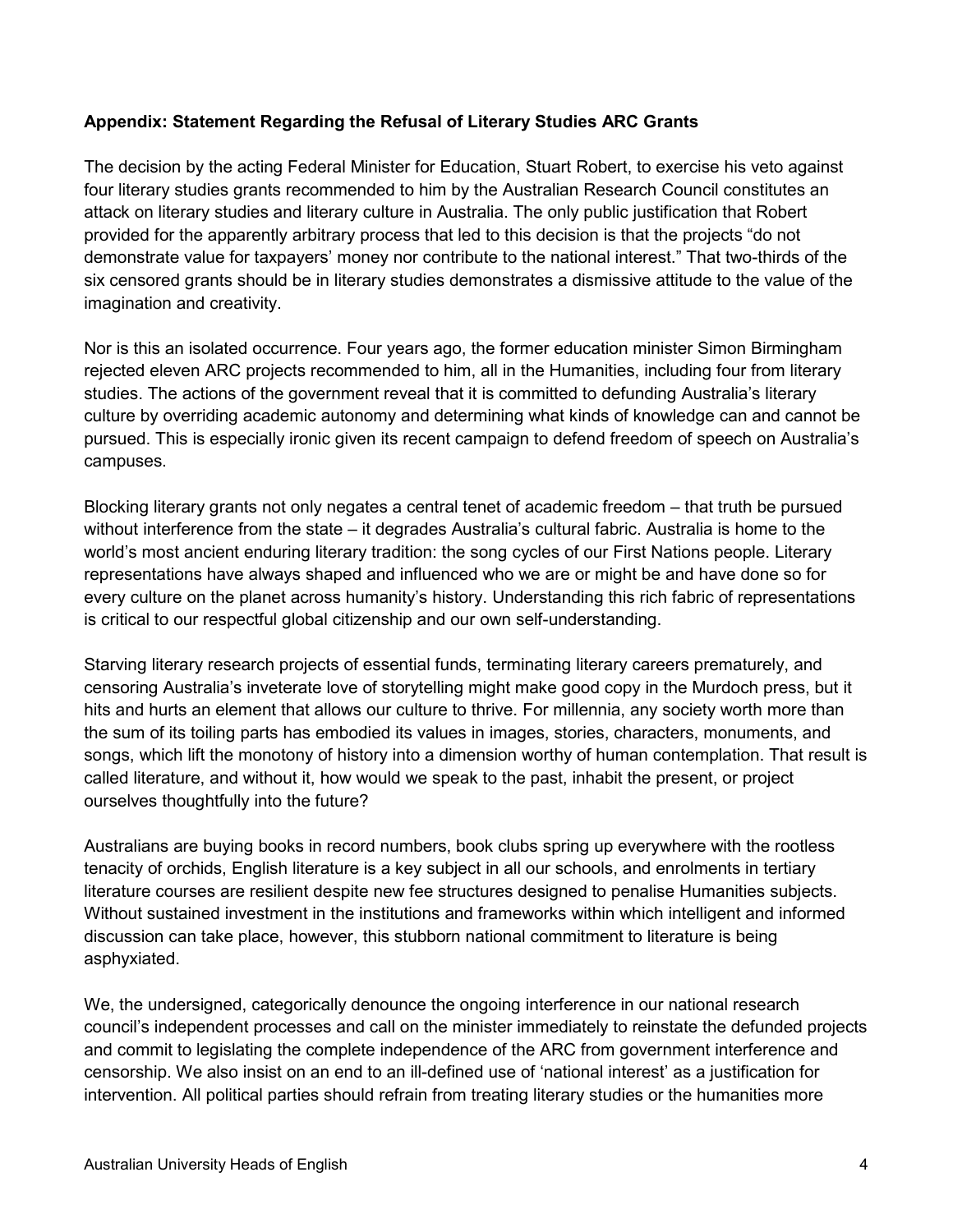## **Appendix: Statement Regarding the Refusal of Literary Studies ARC Grants**

The decision by the acting Federal Minister for Education, Stuart Robert, to exercise his veto against four literary studies grants recommended to him by the Australian Research Council constitutes an attack on literary studies and literary culture in Australia. The only public justification that Robert provided for the apparently arbitrary process that led to this decision is that the projects "do not demonstrate value for taxpayers' money nor contribute to the national interest." That two-thirds of the six censored grants should be in literary studies demonstrates a dismissive attitude to the value of the imagination and creativity.

Nor is this an isolated occurrence. Four years ago, the former education minister Simon Birmingham rejected eleven ARC projects recommended to him, all in the Humanities, including four from literary studies. The actions of the government reveal that it is committed to defunding Australia's literary culture by overriding academic autonomy and determining what kinds of knowledge can and cannot be pursued. This is especially ironic given its recent campaign to defend freedom of speech on Australia's campuses.

Blocking literary grants not only negates a central tenet of academic freedom – that truth be pursued without interference from the state – it degrades Australia's cultural fabric. Australia is home to the world's most ancient enduring literary tradition: the song cycles of our First Nations people. Literary representations have always shaped and influenced who we are or might be and have done so for every culture on the planet across humanity's history. Understanding this rich fabric of representations is critical to our respectful global citizenship and our own self-understanding.

Starving literary research projects of essential funds, terminating literary careers prematurely, and censoring Australia's inveterate love of storytelling might make good copy in the Murdoch press, but it hits and hurts an element that allows our culture to thrive. For millennia, any society worth more than the sum of its toiling parts has embodied its values in images, stories, characters, monuments, and songs, which lift the monotony of history into a dimension worthy of human contemplation. That result is called literature, and without it, how would we speak to the past, inhabit the present, or project ourselves thoughtfully into the future?

Australians are buying books in record numbers, book clubs spring up everywhere with the rootless tenacity of orchids, English literature is a key subject in all our schools, and enrolments in tertiary literature courses are resilient despite new fee structures designed to penalise Humanities subjects. Without sustained investment in the institutions and frameworks within which intelligent and informed discussion can take place, however, this stubborn national commitment to literature is being asphyxiated.

We, the undersigned, categorically denounce the ongoing interference in our national research council's independent processes and call on the minister immediately to reinstate the defunded projects and commit to legislating the complete independence of the ARC from government interference and censorship. We also insist on an end to an ill-defined use of 'national interest' as a justification for intervention. All political parties should refrain from treating literary studies or the humanities more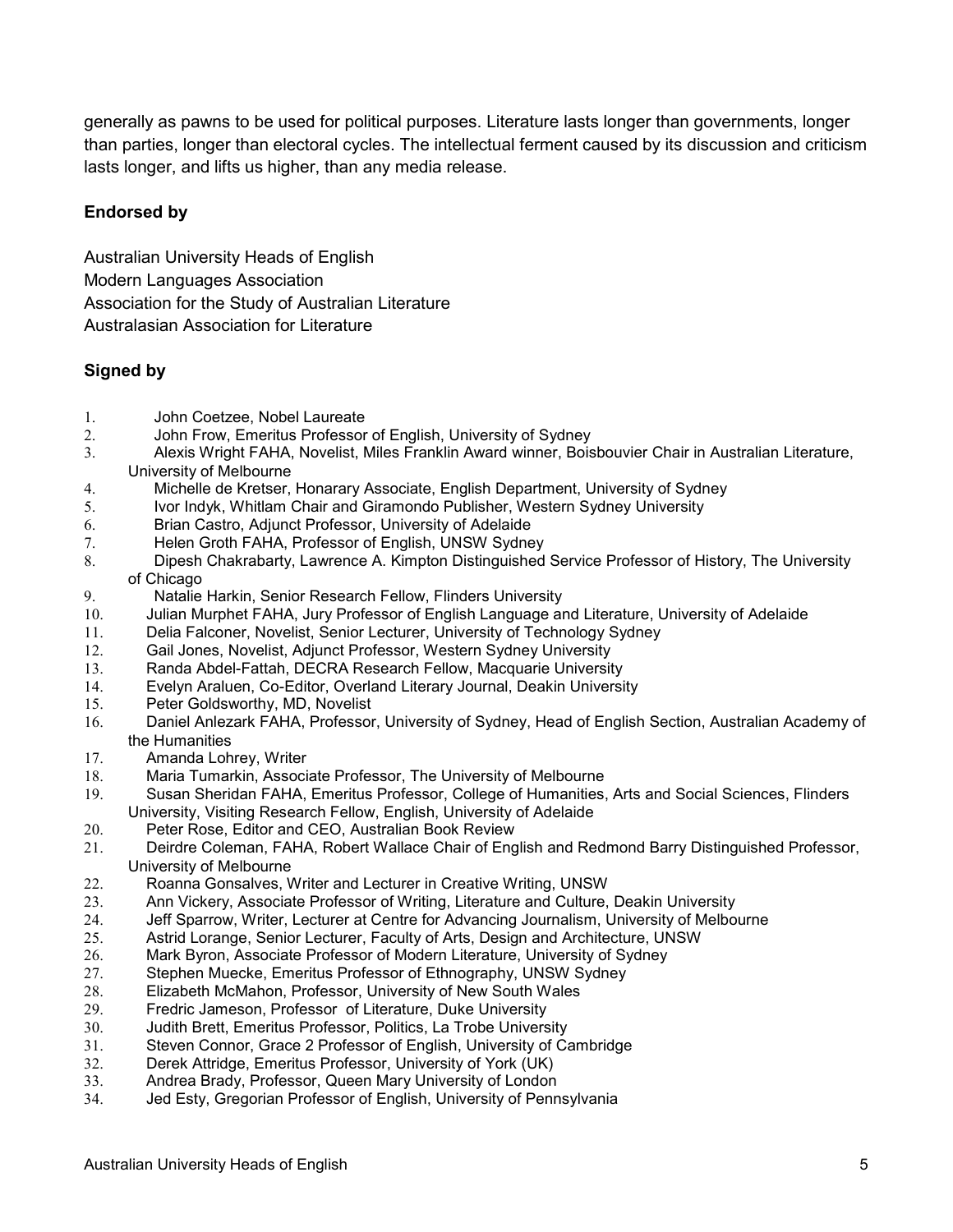generally as pawns to be used for political purposes. Literature lasts longer than governments, longer than parties, longer than electoral cycles. The intellectual ferment caused by its discussion and criticism lasts longer, and lifts us higher, than any media release.

## **Endorsed by**

Australian University Heads of English Modern Languages Association Association for the Study of Australian Literature Australasian Association for Literature

## **Signed by**

- 1. John Coetzee, Nobel Laureate<br>2. John Frow. Emeritus Professor
- 2. John Frow, Emeritus Professor of English, University of Sydney
- 3. Alexis Wright FAHA, Novelist, Miles Franklin Award winner, Boisbouvier Chair in Australian Literature, University of Melbourne
- 4. Michelle de Kretser, Honarary Associate, English Department, University of Sydney
- 5. Ivor Indyk, Whitlam Chair and Giramondo Publisher, Western Sydney University
- 6. Brian Castro, Adjunct Professor, University of Adelaide
- 7. Helen Groth FAHA, Professor of English, UNSW Sydney
- 8. Dipesh Chakrabarty, Lawrence A. Kimpton Distinguished Service Professor of History, The University of Chicago
- 9. Natalie Harkin, Senior Research Fellow, Flinders University
- 10. Julian Murphet FAHA, Jury Professor of English Language and Literature, University of Adelaide
- 11. Delia Falconer, Novelist, Senior Lecturer, University of Technology Sydney
- 12. Gail Jones, Novelist, Adjunct Professor, Western Sydney University
- 13. Randa Abdel-Fattah, DECRA Research Fellow, Macquarie University
- 14. Evelyn Araluen, Co-Editor, Overland Literary Journal, Deakin University
- Peter Goldsworthy, MD, Novelist
- 16. Daniel Anlezark FAHA, Professor, University of Sydney, Head of English Section, Australian Academy of the Humanities
- 17. Amanda Lohrey, Writer
- 18. Maria Tumarkin, Associate Professor, The University of Melbourne<br>19. Susan Sheridan FAHA, Emeritus Professor, College of Humanities.
- 19. Susan Sheridan FAHA, Emeritus Professor, College of Humanities, Arts and Social Sciences, Flinders University, Visiting Research Fellow, English, University of Adelaide
- 20. Peter Rose, Editor and CEO, Australian Book Review
- Deirdre Coleman, FAHA, Robert Wallace Chair of English and Redmond Barry Distinguished Professor, University of Melbourne
- 22. Roanna Gonsalves, Writer and Lecturer in Creative Writing, UNSW<br>23. Ann Vickery, Associate Professor of Writing, Literature and Culture.
- 23. Ann Vickery, Associate Professor of Writing, Literature and Culture, Deakin University
- 24. Jeff Sparrow, Writer, Lecturer at Centre for Advancing Journalism, University of Melbourne
- 25. Astrid Lorange, Senior Lecturer, Faculty of Arts, Design and Architecture, UNSW
- 26. Mark Byron, Associate Professor of Modern Literature, University of Sydney
- 27. Stephen Muecke, Emeritus Professor of Ethnography, UNSW Sydney<br>28. Elizabeth McMahon, Professor, University of New South Wales
- 28. Elizabeth McMahon, Professor, University of New South Wales<br>29. Fredric Jameson, Professor of Literature, Duke University
- Fredric Jameson, Professor of Literature, Duke University
- 30. Judith Brett, Emeritus Professor, Politics, La Trobe University
- 31. Steven Connor, Grace 2 Professor of English, University of Cambridge
- 32. Derek Attridge, Emeritus Professor, University of York (UK)
- 33. Andrea Brady, Professor, Queen Mary University of London
- 34. Jed Esty, Gregorian Professor of English, University of Pennsylvania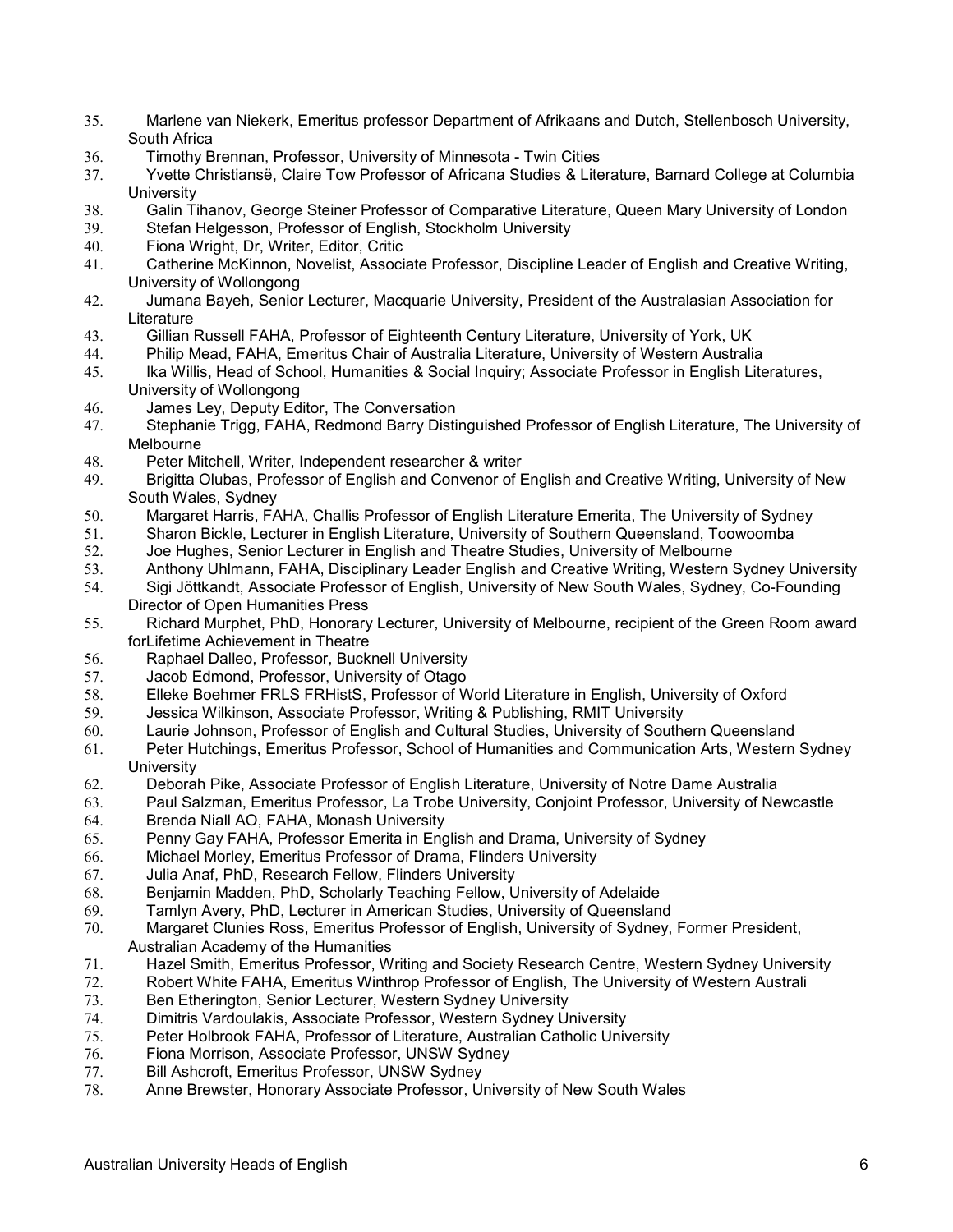- 35. Marlene van Niekerk, Emeritus professor Department of Afrikaans and Dutch, Stellenbosch University, South Africa
- 36. Timothy Brennan, Professor, University of Minnesota Twin Cities
- 37. Yvette Christiansë, Claire Tow Professor of Africana Studies & Literature, Barnard College at Columbia **University**
- 38. Galin Tihanov, George Steiner Professor of Comparative Literature, Queen Mary University of London
- Stefan Helgesson, Professor of English, Stockholm University
- 40. Fiona Wright, Dr, Writer, Editor, Critic
- 41. Catherine McKinnon, Novelist, Associate Professor, Discipline Leader of English and Creative Writing, University of Wollongong
- 42. Jumana Bayeh, Senior Lecturer, Macquarie University, President of the Australasian Association for **Literature**
- 43. Gillian Russell FAHA, Professor of Eighteenth Century Literature, University of York, UK
- 44. Philip Mead, FAHA, Emeritus Chair of Australia Literature, University of Western Australia
- Ika Willis, Head of School, Humanities & Social Inquiry; Associate Professor in English Literatures, University of Wollongong
- 46. James Ley, Deputy Editor, The Conversation
- 47. Stephanie Trigg, FAHA, Redmond Barry Distinguished Professor of English Literature, The University of Melbourne
- 48. Peter Mitchell, Writer, Independent researcher & writer
- 49. Brigitta Olubas, Professor of English and Convenor of English and Creative Writing, University of New South Wales, Sydney
- 50. Margaret Harris, FAHA, Challis Professor of English Literature Emerita, The University of Sydney
- 51. Sharon Bickle, Lecturer in English Literature, University of Southern Queensland, Toowoomba<br>52. Share Hughes, Senior Lecturer in English and Theatre Studies, University of Melbourne
- Joe Hughes, Senior Lecturer in English and Theatre Studies, University of Melbourne
- 53. Anthony Uhlmann, FAHA, Disciplinary Leader English and Creative Writing, Western Sydney University
- 54. Sigi Jöttkandt, Associate Professor of English, University of New South Wales, Sydney, Co-Founding Director of Open Humanities Press
- 55. Richard Murphet, PhD, Honorary Lecturer, University of Melbourne, recipient of the Green Room award forLifetime Achievement in Theatre
- 56. Raphael Dalleo, Professor, Bucknell University
- 57. Jacob Edmond, Professor, University of Otago<br>58. Elleke Boehmer FRLS FRHistS. Professor of W
- 58. Elleke Boehmer FRLS FRHistS, Professor of World Literature in English, University of Oxford
- 59. Jessica Wilkinson, Associate Professor, Writing & Publishing, RMIT University
- 60. Laurie Johnson, Professor of English and Cultural Studies, University of Southern Queensland
- 61. Peter Hutchings, Emeritus Professor, School of Humanities and Communication Arts, Western Sydney **University**
- 62. Deborah Pike, Associate Professor of English Literature, University of Notre Dame Australia
- 63. Paul Salzman, Emeritus Professor, La Trobe University, Conjoint Professor, University of Newcastle
- 64. Brenda Niall AO, FAHA, Monash University
- Penny Gay FAHA, Professor Emerita in English and Drama, University of Sydney
- 66. Michael Morley, Emeritus Professor of Drama, Flinders University
- 67. Julia Anaf, PhD, Research Fellow, Flinders University
- 68. Benjamin Madden, PhD, Scholarly Teaching Fellow, University of Adelaide
- 69. Tamlyn Avery, PhD, Lecturer in American Studies, University of Queensland
- 70. Margaret Clunies Ross, Emeritus Professor of English, University of Sydney, Former President, Australian Academy of the Humanities
- 71. Hazel Smith, Emeritus Professor, Writing and Society Research Centre, Western Sydney University
- 72. Robert White FAHA, Emeritus Winthrop Professor of English, The University of Western Australi
- 73. Ben Etherington, Senior Lecturer, Western Sydney University
- Dimitris Vardoulakis, Associate Professor, Western Sydney University
- 75. Peter Holbrook FAHA, Professor of Literature, Australian Catholic University
- 76. Fiona Morrison, Associate Professor, UNSW Sydney
- 77. Bill Ashcroft, Emeritus Professor, UNSW Sydney
- 78. Anne Brewster, Honorary Associate Professor, University of New South Wales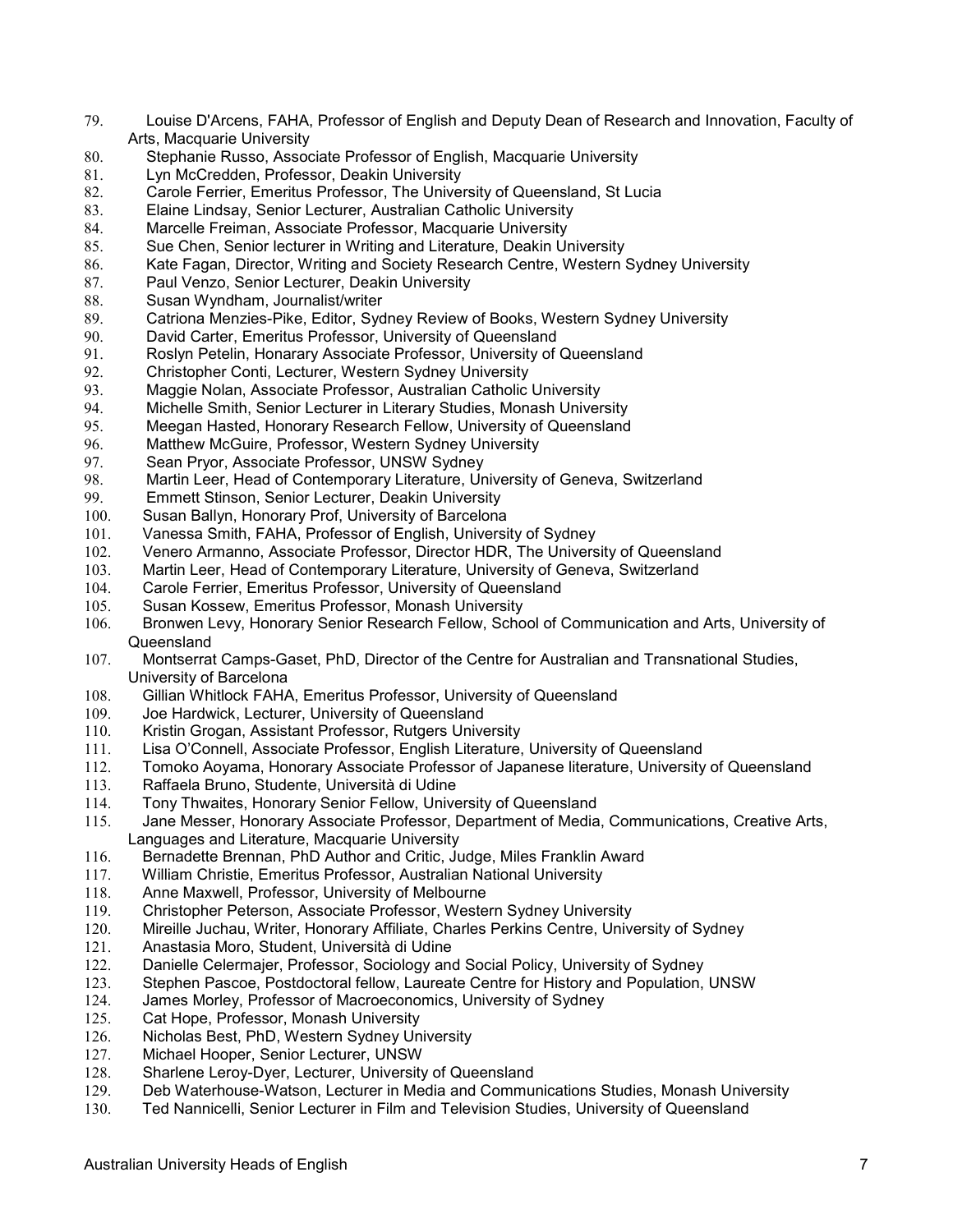- 79. Louise D'Arcens, FAHA, Professor of English and Deputy Dean of Research and Innovation, Faculty of Arts, Macquarie University
- 80. Stephanie Russo, Associate Professor of English, Macquarie University<br>81. Lyn McCredden, Professor, Deakin University
- Lyn McCredden, Professor, Deakin University
- 82. Carole Ferrier, Emeritus Professor, The University of Queensland, St Lucia
- 83. Elaine Lindsay, Senior Lecturer, Australian Catholic University
- 84. Marcelle Freiman, Associate Professor, Macquarie University
- 85. Sue Chen, Senior lecturer in Writing and Literature, Deakin University
- Kate Fagan, Director, Writing and Society Research Centre, Western Sydney University
- 87. Paul Venzo, Senior Lecturer, Deakin University
- 88. Susan Wyndham, Journalist/writer<br>89. Catriona Menzies-Pike, Editor, Syd
- Catriona Menzies-Pike, Editor, Sydney Review of Books, Western Sydney University
- 90. David Carter, Emeritus Professor, University of Queensland<br>91. Roslyn Petelin. Honarary Associate Professor. University of 0
- Roslyn Petelin, Honarary Associate Professor, University of Queensland
- 92. Christopher Conti, Lecturer, Western Sydney University
- 93. Maggie Nolan, Associate Professor, Australian Catholic University
- Michelle Smith, Senior Lecturer in Literary Studies, Monash University
- 95. Meegan Hasted, Honorary Research Fellow, University of Queensland<br>96. Matthew McGuire. Professor. Western Sydney University
- 96. Matthew McGuire, Professor, Western Sydney University<br>97. Sean Pryor, Associate Professor, UNSW Sydney
- Sean Pryor, Associate Professor, UNSW Sydney
- 98. Martin Leer, Head of Contemporary Literature, University of Geneva, Switzerland<br>99. Emmett Stinson, Senior Lecturer, Deakin University
- Emmett Stinson, Senior Lecturer, Deakin University
- 100. Susan Ballyn, Honorary Prof, University of Barcelona
- 101. Vanessa Smith, FAHA, Professor of English, University of Sydney<br>102. Venero Armanno, Associate Professor, Director HDR, The Univers
- Venero Armanno, Associate Professor, Director HDR, The University of Queensland
- 103. Martin Leer, Head of Contemporary Literature, University of Geneva, Switzerland
- 104. Carole Ferrier, Emeritus Professor, University of Queensland
- 105. Susan Kossew, Emeritus Professor, Monash University
- 106. Bronwen Levy, Honorary Senior Research Fellow, School of Communication and Arts, University of Queensland
- 107. Montserrat Camps-Gaset, PhD, Director of the Centre for Australian and Transnational Studies, University of Barcelona
- 108. Gillian Whitlock FAHA, Emeritus Professor, University of Queensland
- 109. Joe Hardwick, Lecturer, University of Queensland
- 110. Kristin Grogan, Assistant Professor, Rutgers University
- 111. Lisa O'Connell, Associate Professor, English Literature, University of Queensland
- 112. Tomoko Aoyama, Honorary Associate Professor of Japanese literature, University of Queensland
- 113. Raffaela Bruno, Studente, Università di Udine
- 114. Tony Thwaites, Honorary Senior Fellow, University of Queensland<br>115. Jane Messer. Honorary Associate Professor. Department of Media.
- Jane Messer, Honorary Associate Professor, Department of Media, Communications, Creative Arts, Languages and Literature, Macquarie University
- 116. Bernadette Brennan, PhD Author and Critic, Judge, Miles Franklin Award
- 117. William Christie, Emeritus Professor, Australian National University
- 118. Anne Maxwell, Professor, University of Melbourne<br>119. Christopher Peterson. Associate Professor. Wester
- 119. Christopher Peterson, Associate Professor, Western Sydney University
- 120. Mireille Juchau, Writer, Honorary Affiliate, Charles Perkins Centre, University of Sydney
- 121. Anastasia Moro, Student, Università di Udine
- 122. Danielle Celermajer, Professor, Sociology and Social Policy, University of Sydney
- 123. Stephen Pascoe, Postdoctoral fellow, Laureate Centre for History and Population, UNSW
- James Morley, Professor of Macroeconomics, University of Sydney
- 125. Cat Hope, Professor, Monash University
- 126. Nicholas Best, PhD, Western Sydney University<br>127. Michael Hooper, Senior Lecturer, UNSW
- Michael Hooper, Senior Lecturer, UNSW
- 128. Sharlene Leroy-Dyer, Lecturer, University of Queensland<br>129. Deb Waterhouse-Watson. Lecturer in Media and Commur
- Deb Waterhouse-Watson, Lecturer in Media and Communications Studies, Monash University
- 130. Ted Nannicelli, Senior Lecturer in Film and Television Studies, University of Queensland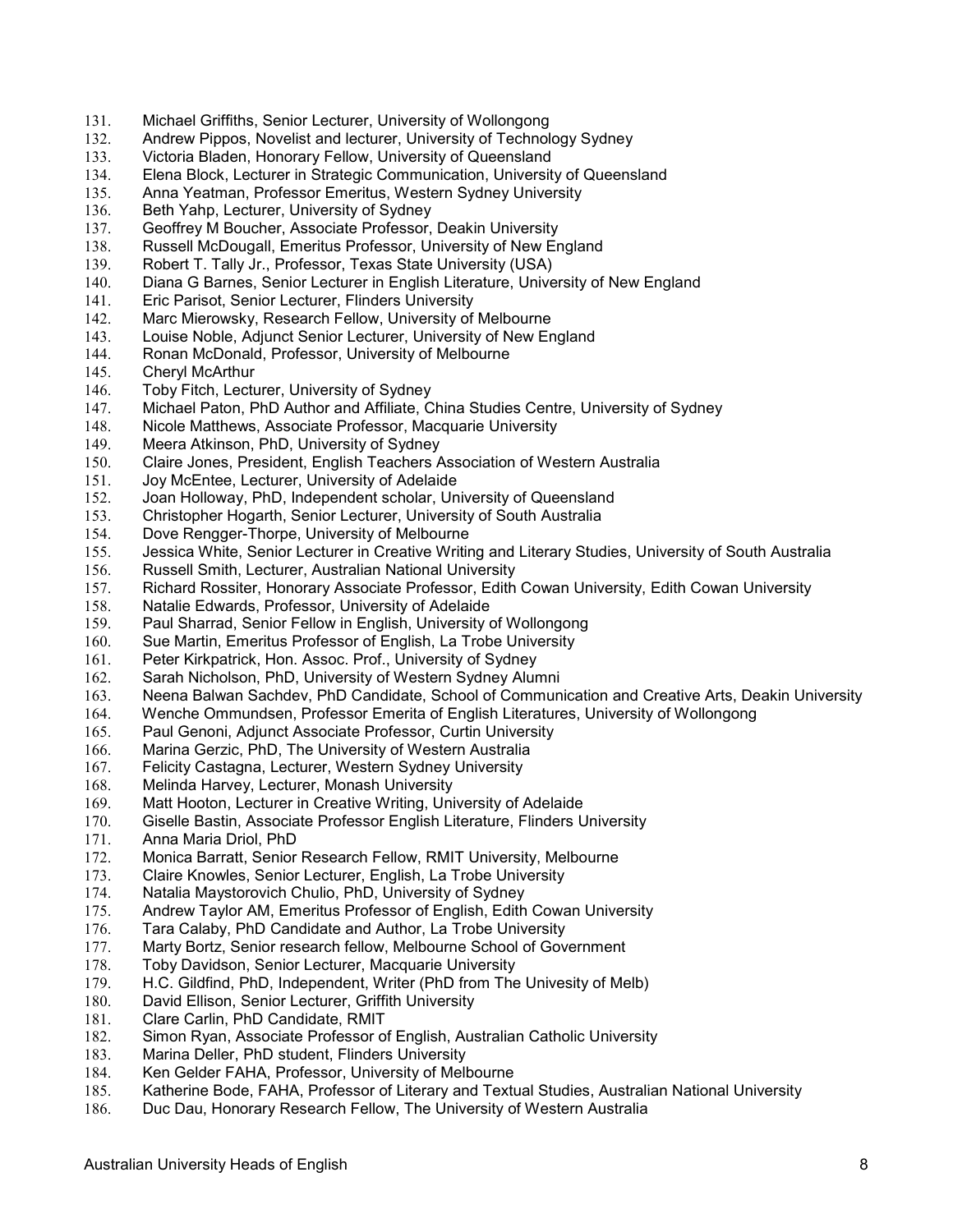- 131. Michael Griffiths, Senior Lecturer, University of Wollongong
- 132. Andrew Pippos, Novelist and lecturer, University of Technology Sydney
- 133. Victoria Bladen, Honorary Fellow, University of Queensland
- Elena Block, Lecturer in Strategic Communication, University of Queensland
- 135. Anna Yeatman, Professor Emeritus, Western Sydney University
- 136. Beth Yahp, Lecturer, University of Sydney
- 137. Geoffrey M Boucher, Associate Professor, Deakin University
- 138. Russell McDougall, Emeritus Professor, University of New England<br>139. Robert T. Tally Jr., Professor, Texas State University (USA)
- Robert T. Tally Jr., Professor, Texas State University (USA)
- 140. Diana G Barnes, Senior Lecturer in English Literature, University of New England
- 141. Eric Parisot, Senior Lecturer, Flinders University<br>142. Marc Mierowsky, Research Fellow, University of
- Marc Mierowsky, Research Fellow, University of Melbourne
- 143. Louise Noble, Adjunct Senior Lecturer, University of New England<br>144. Ronan McDonald. Professor. University of Melbourne
- Ronan McDonald, Professor, University of Melbourne
- 145. Cheryl McArthur
- 146. Toby Fitch, Lecturer, University of Sydney
- 147. Michael Paton, PhD Author and Affiliate, China Studies Centre, University of Sydney
- 148. Nicole Matthews, Associate Professor, Macquarie University
- Meera Atkinson, PhD, University of Sydney
- 150. Claire Jones, President, English Teachers Association of Western Australia
- 151. Joy McEntee, Lecturer, University of Adelaide<br>152. Joan Holloway, PhD, Independent scholar, Un
- 152. Joan Holloway, PhD, Independent scholar, University of Queensland
- 153. Christopher Hogarth, Senior Lecturer, University of South Australia
- 154. Dove Rengger-Thorpe, University of Melbourne
- 155. Jessica White, Senior Lecturer in Creative Writing and Literary Studies, University of South Australia
- 156. Russell Smith, Lecturer, Australian National University
- 157. Richard Rossiter, Honorary Associate Professor, Edith Cowan University, Edith Cowan University
- 158. Natalie Edwards, Professor, University of Adelaide
- 159. Paul Sharrad, Senior Fellow in English, University of Wollongong
- 160. Sue Martin, Emeritus Professor of English, La Trobe University
- 161. Peter Kirkpatrick, Hon. Assoc. Prof., University of Sydney
- 162. Sarah Nicholson, PhD, University of Western Sydney Alumni
- 163. Neena Balwan Sachdev, PhD Candidate, School of Communication and Creative Arts, Deakin University
- 164. Wenche Ommundsen, Professor Emerita of English Literatures, University of Wollongong
- 165. Paul Genoni, Adjunct Associate Professor, Curtin University
- 166. Marina Gerzic, PhD, The University of Western Australia
- 167. Felicity Castagna, Lecturer, Western Sydney University
- 168. Melinda Harvey, Lecturer, Monash University
- 169. Matt Hooton, Lecturer in Creative Writing, University of Adelaide
- 170. Giselle Bastin, Associate Professor English Literature, Flinders University
- 171. Anna Maria Driol, PhD<br>172. Monica Barratt, Senior
- Monica Barratt, Senior Research Fellow, RMIT University, Melbourne
- 173. Claire Knowles, Senior Lecturer, English, La Trobe University
- 174. Natalia Maystorovich Chulio, PhD, University of Sydney
- Andrew Taylor AM, Emeritus Professor of English, Edith Cowan University
- 176. Tara Calaby, PhD Candidate and Author, La Trobe University
- 177. Marty Bortz, Senior research fellow, Melbourne School of Government
- 178. Toby Davidson, Senior Lecturer, Macquarie University
- 179. H.C. Gildfind, PhD, Independent, Writer (PhD from The Univesity of Melb)<br>180. David Ellison, Senior Lecturer, Griffith University
- David Ellison, Senior Lecturer, Griffith University
- 181. Clare Carlin, PhD Candidate, RMIT<br>182. Simon Ryan, Associate Professor o
- Simon Ryan, Associate Professor of English, Australian Catholic University
- 183. Marina Deller, PhD student, Flinders University
- 184. Ken Gelder FAHA, Professor, University of Melbourne<br>185. Katherine Bode, FAHA, Professor of Literary and Textu
- Katherine Bode, FAHA, Professor of Literary and Textual Studies, Australian National University
- 186. Duc Dau, Honorary Research Fellow, The University of Western Australia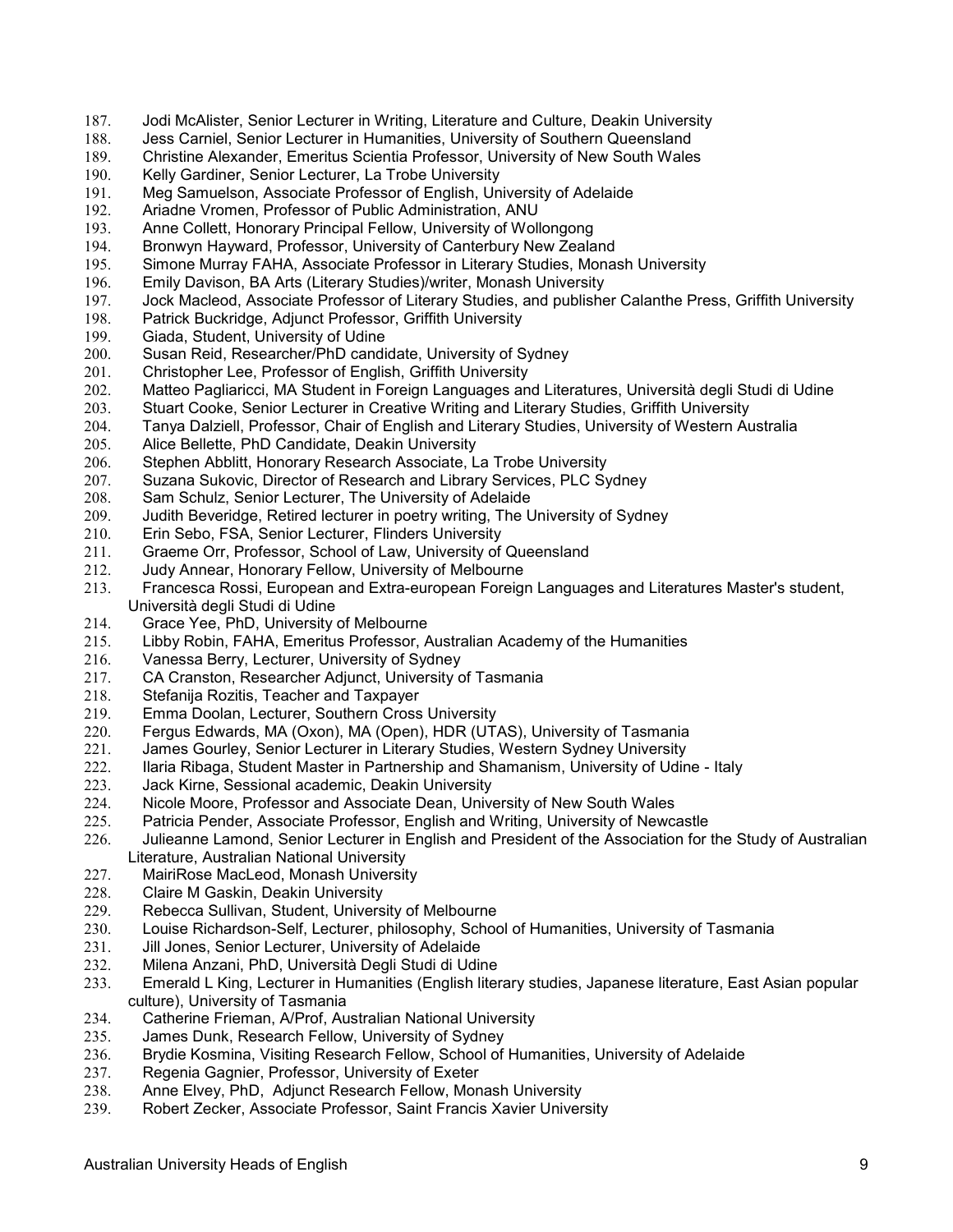- 187. Jodi McAlister, Senior Lecturer in Writing, Literature and Culture, Deakin University
- 188. Jess Carniel, Senior Lecturer in Humanities, University of Southern Queensland
- 189. Christine Alexander, Emeritus Scientia Professor, University of New South Wales<br>190. Kelly Gardiner, Senior Lecturer, La Trobe University
- Kelly Gardiner, Senior Lecturer, La Trobe University
- 191. Meg Samuelson, Associate Professor of English, University of Adelaide
- 192. Ariadne Vromen, Professor of Public Administration, ANU
- 193. Anne Collett, Honorary Principal Fellow, University of Wollongong
- 194. Bronwyn Hayward, Professor, University of Canterbury New Zealand<br>195. Simone Murray FAHA, Associate Professor in Literary Studies, Monas
- Simone Murray FAHA, Associate Professor in Literary Studies, Monash University
- 196. Emily Davison, BA Arts (Literary Studies)/writer, Monash University
- 197. Jock Macleod, Associate Professor of Literary Studies, and publisher Calanthe Press, Griffith University<br>198. Patrick Buckridge, Adjunct Professor, Griffith University
- Patrick Buckridge, Adjunct Professor, Griffith University
- 199. Giada, Student, University of Udine<br>200. Susan Reid. Researcher/PhD candi
- Susan Reid, Researcher/PhD candidate, University of Sydney
- 201. Christopher Lee, Professor of English, Griffith University
- 202. Matteo Pagliaricci, MA Student in Foreign Languages and Literatures, Università degli Studi di Udine
- 203. Stuart Cooke, Senior Lecturer in Creative Writing and Literary Studies, Griffith University
- 204. Tanya Dalziell, Professor, Chair of English and Literary Studies, University of Western Australia
- Alice Bellette, PhD Candidate, Deakin University
- 206. Stephen Abblitt, Honorary Research Associate, La Trobe University
- 207. Suzana Sukovic, Director of Research and Library Services, PLC Sydney<br>208. Sam Schulz, Senior Lecturer, The University of Adelaide
- Sam Schulz, Senior Lecturer, The University of Adelaide
- 209. Judith Beveridge, Retired lecturer in poetry writing, The University of Sydney
- 210. Erin Sebo, FSA, Senior Lecturer, Flinders University
- 211. Graeme Orr, Professor, School of Law, University of Queensland
- 212. Judy Annear, Honorary Fellow, University of Melbourne
- 213. Francesca Rossi, European and Extra-european Foreign Languages and Literatures Master's student, Università degli Studi di Udine
- 214. Grace Yee, PhD, University of Melbourne
- 215. Libby Robin, FAHA, Emeritus Professor, Australian Academy of the Humanities
- 216. Vanessa Berry, Lecturer, University of Sydney
- 217. CA Cranston, Researcher Adjunct, University of Tasmania
- 218. Stefanija Rozitis, Teacher and Taxpayer
- 219. Emma Doolan, Lecturer, Southern Cross University
- 220. Fergus Edwards, MA (Oxon), MA (Open), HDR (UTAS), University of Tasmania
- 221. James Gourley, Senior Lecturer in Literary Studies, Western Sydney University
- 222. Ilaria Ribaga, Student Master in Partnership and Shamanism, University of Udine Italy
- 223. Jack Kirne, Sessional academic, Deakin University
- 224. Nicole Moore, Professor and Associate Dean, University of New South Wales
- 225. Patricia Pender, Associate Professor, English and Writing, University of Newcastle
- 226. Julieanne Lamond, Senior Lecturer in English and President of the Association for the Study of Australian Literature, Australian National University
- 227. MairiRose MacLeod, Monash University
- 228. Claire M Gaskin, Deakin University<br>229. Rebecca Sullivan, Student, Univers
- Rebecca Sullivan, Student, University of Melbourne
- 230. Louise Richardson-Self, Lecturer, philosophy, School of Humanities, University of Tasmania
- 231. Jill Jones, Senior Lecturer, University of Adelaide
- 232. Milena Anzani, PhD, Università Degli Studi di Udine
- 233. Emerald L King, Lecturer in Humanities (English literary studies, Japanese literature, East Asian popular culture), University of Tasmania
- 234. Catherine Frieman, A/Prof, Australian National University
- 235. James Dunk, Research Fellow, University of Sydney
- 236. Brydie Kosmina, Visiting Research Fellow, School of Humanities, University of Adelaide
- 237. Regenia Gagnier, Professor, University of Exeter
- Anne Elvey, PhD, Adjunct Research Fellow, Monash University
- 239. Robert Zecker, Associate Professor, Saint Francis Xavier University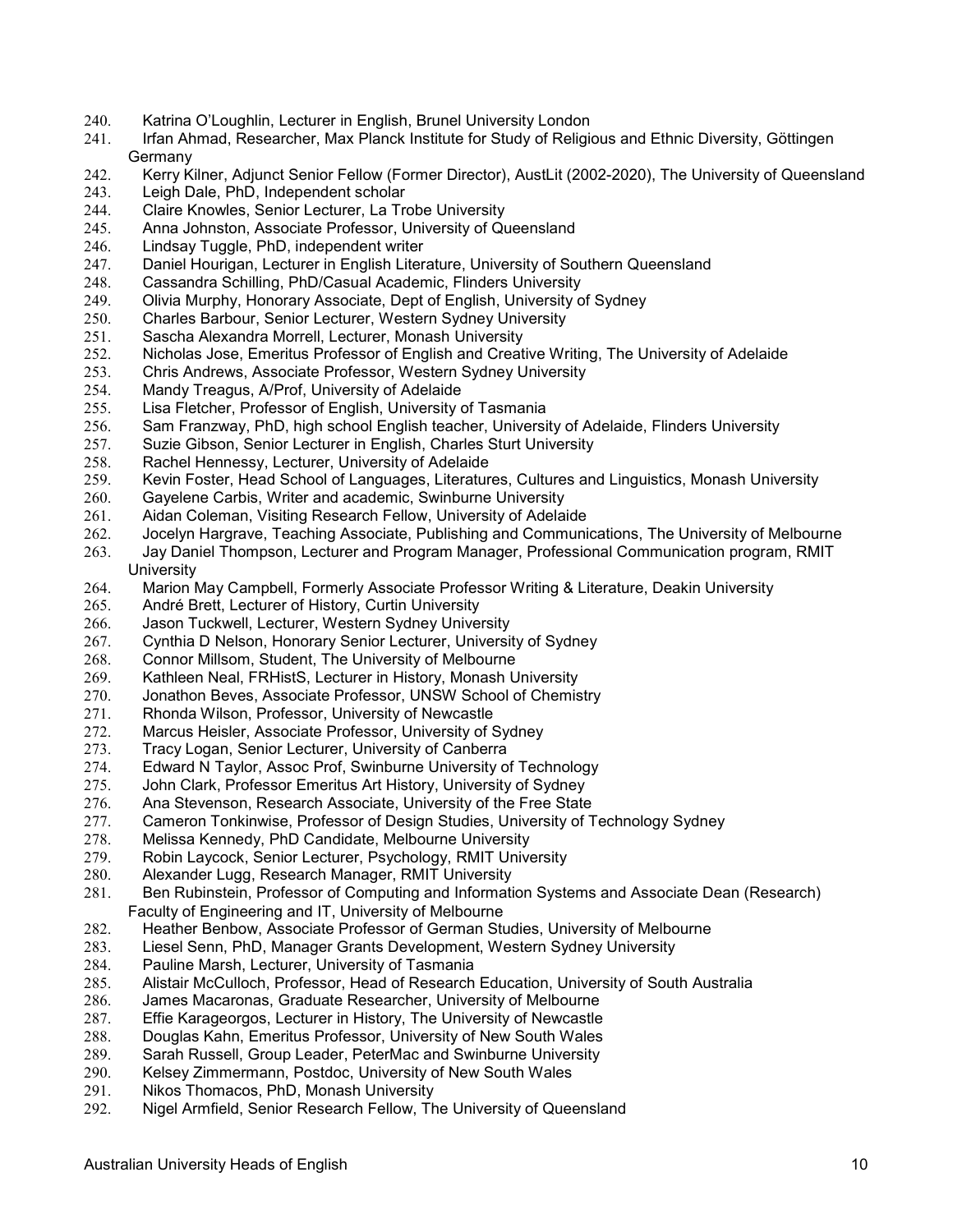- 240. Katrina O'Loughlin, Lecturer in English, Brunel University London
- 241. Irfan Ahmad, Researcher, Max Planck Institute for Study of Religious and Ethnic Diversity, Göttingen Germany
- 242. Kerry Kilner, Adjunct Senior Fellow (Former Director), AustLit (2002-2020), The University of Queensland 243. Leigh Dale, PhD, Independent scholar
- 244. Claire Knowles, Senior Lecturer, La Trobe University
- 245. Anna Johnston, Associate Professor, University of Queensland
- 
- 246. Lindsay Tuggle, PhD, independent writer<br>247. Daniel Hourigan, Lecturer in English Liter Daniel Hourigan, Lecturer in English Literature, University of Southern Queensland
- 248. Cassandra Schilling, PhD/Casual Academic, Flinders University
- 249. Olivia Murphy, Honorary Associate, Dept of English, University of Sydney<br>250. Charles Barbour, Senior Lecturer, Western Sydney University
- 250. Charles Barbour, Senior Lecturer, Western Sydney University
- 251. Sascha Alexandra Morrell, Lecturer, Monash University
- 252. Nicholas Jose, Emeritus Professor of English and Creative Writing, The University of Adelaide
- 253. Chris Andrews, Associate Professor, Western Sydney University
- 254. Mandy Treagus, A/Prof, University of Adelaide
- 255. Lisa Fletcher, Professor of English, University of Tasmania
- 256. Sam Franzway, PhD, high school English teacher, University of Adelaide, Flinders University
- Suzie Gibson, Senior Lecturer in English, Charles Sturt University
- 258. Rachel Hennessy, Lecturer, University of Adelaide
- 259. Kevin Foster, Head School of Languages, Literatures, Cultures and Linguistics, Monash University<br>260. Gayelene Carbis, Writer and academic, Swinburne University
- Gayelene Carbis, Writer and academic, Swinburne University
- 261. Aidan Coleman, Visiting Research Fellow, University of Adelaide
- 262. Jocelyn Hargrave, Teaching Associate, Publishing and Communications, The University of Melbourne
- 263. Jay Daniel Thompson, Lecturer and Program Manager, Professional Communication program, RMIT **University**
- 264. Marion May Campbell, Formerly Associate Professor Writing & Literature, Deakin University
- 265. André Brett, Lecturer of History, Curtin University
- 266. Jason Tuckwell, Lecturer, Western Sydney University
- 267. Cynthia D Nelson, Honorary Senior Lecturer, University of Sydney
- 268. Connor Millsom, Student, The University of Melbourne
- 269. Kathleen Neal, FRHistS, Lecturer in History, Monash University
- 270. Jonathon Beves, Associate Professor, UNSW School of Chemistry
- 271. Rhonda Wilson, Professor, University of Newcastle
- 272. Marcus Heisler, Associate Professor, University of Sydney
- 273. Tracy Logan, Senior Lecturer, University of Canberra
- 274. Edward N Taylor, Assoc Prof, Swinburne University of Technology
- 275. John Clark, Professor Emeritus Art History, University of Sydney
- 276. Ana Stevenson, Research Associate, University of the Free State
- 277. Cameron Tonkinwise, Professor of Design Studies, University of Technology Sydney
- 278. Melissa Kennedy, PhD Candidate, Melbourne University
- Robin Laycock, Senior Lecturer, Psychology, RMIT University
- 280. Alexander Lugg, Research Manager, RMIT University
- 281. Ben Rubinstein, Professor of Computing and Information Systems and Associate Dean (Research) Faculty of Engineering and IT, University of Melbourne
- 282. Heather Benbow, Associate Professor of German Studies, University of Melbourne
- 283. Liesel Senn, PhD, Manager Grants Development, Western Sydney University
- 284. Pauline Marsh, Lecturer, University of Tasmania
- 285. Alistair McCulloch, Professor, Head of Research Education, University of South Australia
- James Macaronas, Graduate Researcher, University of Melbourne
- 287. Effie Karageorgos, Lecturer in History, The University of Newcastle
- 288. Douglas Kahn, Emeritus Professor, University of New South Wales
- 289. Sarah Russell, Group Leader, PeterMac and Swinburne University
- 290. Kelsey Zimmermann, Postdoc, University of New South Wales
- Nikos Thomacos, PhD, Monash University
- 292. Nigel Armfield, Senior Research Fellow, The University of Queensland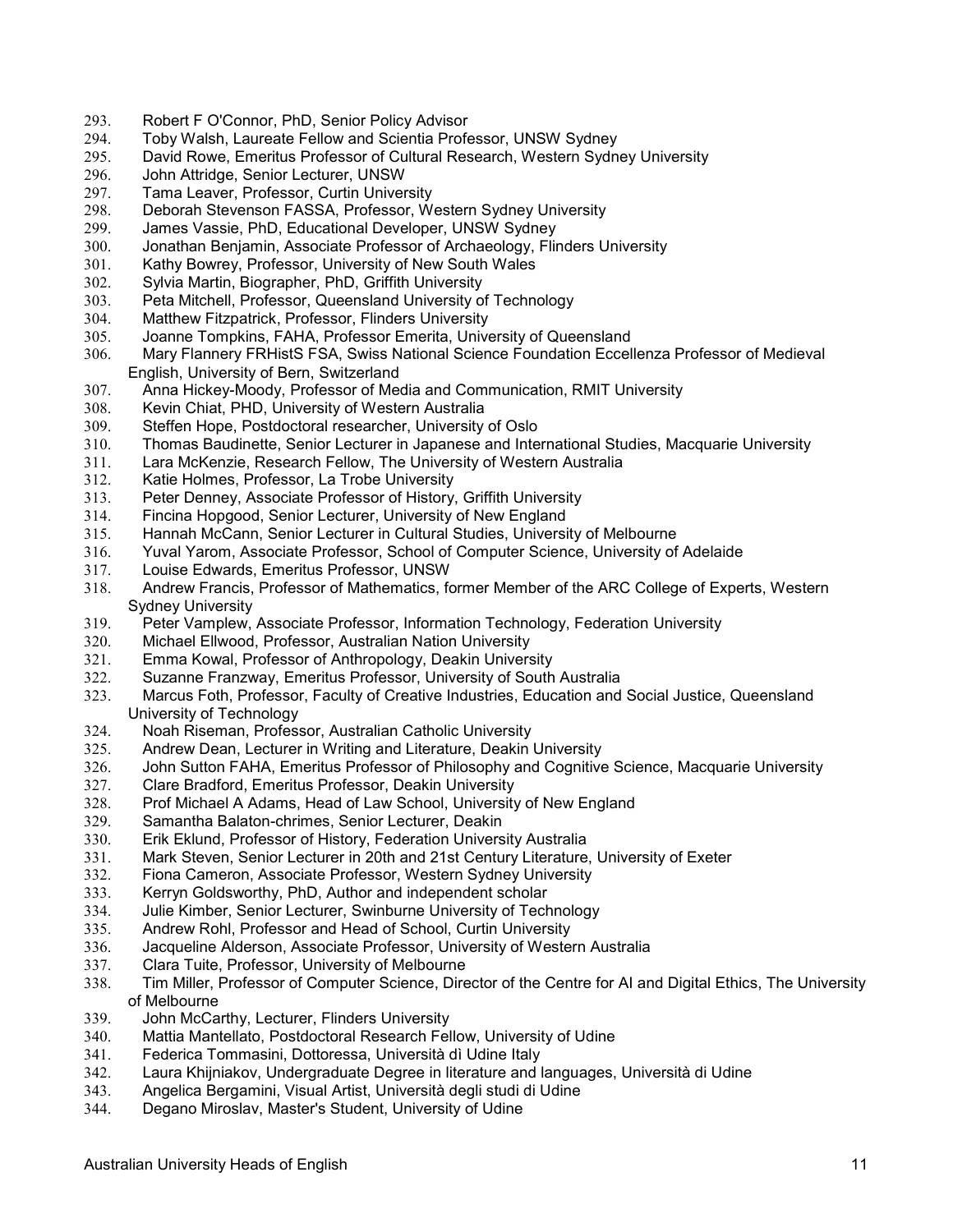- 293. Robert F O'Connor, PhD, Senior Policy Advisor
- 294. Toby Walsh, Laureate Fellow and Scientia Professor, UNSW Sydney
- 295. David Rowe, Emeritus Professor of Cultural Research, Western Sydney University
- John Attridge, Senior Lecturer, UNSW
- 297. Tama Leaver, Professor, Curtin University
- 298. Deborah Stevenson FASSA, Professor, Western Sydney University
- 299. James Vassie, PhD, Educational Developer, UNSW Sydney
- 300. Jonathan Benjamin, Associate Professor of Archaeology, Flinders University<br>301. Kathy Bowrey, Professor, University of New South Wales
- Kathy Bowrey, Professor, University of New South Wales
- 302. Sylvia Martin, Biographer, PhD, Griffith University
- 303. Peta Mitchell, Professor, Queensland University of Technology
- 304. Matthew Fitzpatrick, Professor, Flinders University<br>305. Joanne Tompkins, FAHA, Professor Emerita, Unive
- 305. Joanne Tompkins, FAHA, Professor Emerita, University of Queensland
- 306. Mary Flannery FRHistS FSA, Swiss National Science Foundation Eccellenza Professor of Medieval English, University of Bern, Switzerland
- 307. Anna Hickey-Moody, Professor of Media and Communication, RMIT University
- 308. Kevin Chiat, PHD, University of Western Australia
- 309. Steffen Hope, Postdoctoral researcher, University of Oslo
- 310. Thomas Baudinette, Senior Lecturer in Japanese and International Studies, Macquarie University
- 311. Lara McKenzie, Research Fellow, The University of Western Australia
- 312. Katie Holmes, Professor, La Trobe University
- Peter Denney, Associate Professor of History, Griffith University
- 314. Fincina Hopgood, Senior Lecturer, University of New England
- 315. Hannah McCann, Senior Lecturer in Cultural Studies, University of Melbourne
- 316. Yuval Yarom, Associate Professor, School of Computer Science, University of Adelaide
- 317. Louise Edwards, Emeritus Professor, UNSW
- 318. Andrew Francis, Professor of Mathematics, former Member of the ARC College of Experts, Western Sydney University
- 319. Peter Vamplew, Associate Professor, Information Technology, Federation University
- 320. Michael Ellwood, Professor, Australian Nation University
- 321. Emma Kowal, Professor of Anthropology, Deakin University
- 322. Suzanne Franzway, Emeritus Professor, University of South Australia
- 323. Marcus Foth, Professor, Faculty of Creative Industries, Education and Social Justice, Queensland University of Technology
- 324. Noah Riseman, Professor, Australian Catholic University
- 325. Andrew Dean, Lecturer in Writing and Literature, Deakin University
- 326. John Sutton FAHA, Emeritus Professor of Philosophy and Cognitive Science, Macquarie University
- 327. Clare Bradford, Emeritus Professor, Deakin University
- 328. Prof Michael A Adams, Head of Law School, University of New England
- Samantha Balaton-chrimes, Senior Lecturer, Deakin
- 330. Erik Eklund, Professor of History, Federation University Australia
- 331. Mark Steven, Senior Lecturer in 20th and 21st Century Literature, University of Exeter
- 332. Fiona Cameron, Associate Professor, Western Sydney University
- 333. Kerryn Goldsworthy, PhD, Author and independent scholar
- Julie Kimber, Senior Lecturer, Swinburne University of Technology
- 335. Andrew Rohl, Professor and Head of School, Curtin University
- 336. Jacqueline Alderson, Associate Professor, University of Western Australia
- 337. Clara Tuite, Professor, University of Melbourne
- 338. Tim Miller, Professor of Computer Science, Director of the Centre for AI and Digital Ethics, The University of Melbourne
- 339. John McCarthy, Lecturer, Flinders University
- 340. Mattia Mantellato, Postdoctoral Research Fellow, University of Udine
- 341. Federica Tommasini, Dottoressa, Università dì Udine Italy
- 342. Laura Khijniakov, Undergraduate Degree in literature and languages, Università di Udine
- 343. Angelica Bergamini, Visual Artist, Università degli studi di Udine
- 344. Degano Miroslav, Master's Student, University of Udine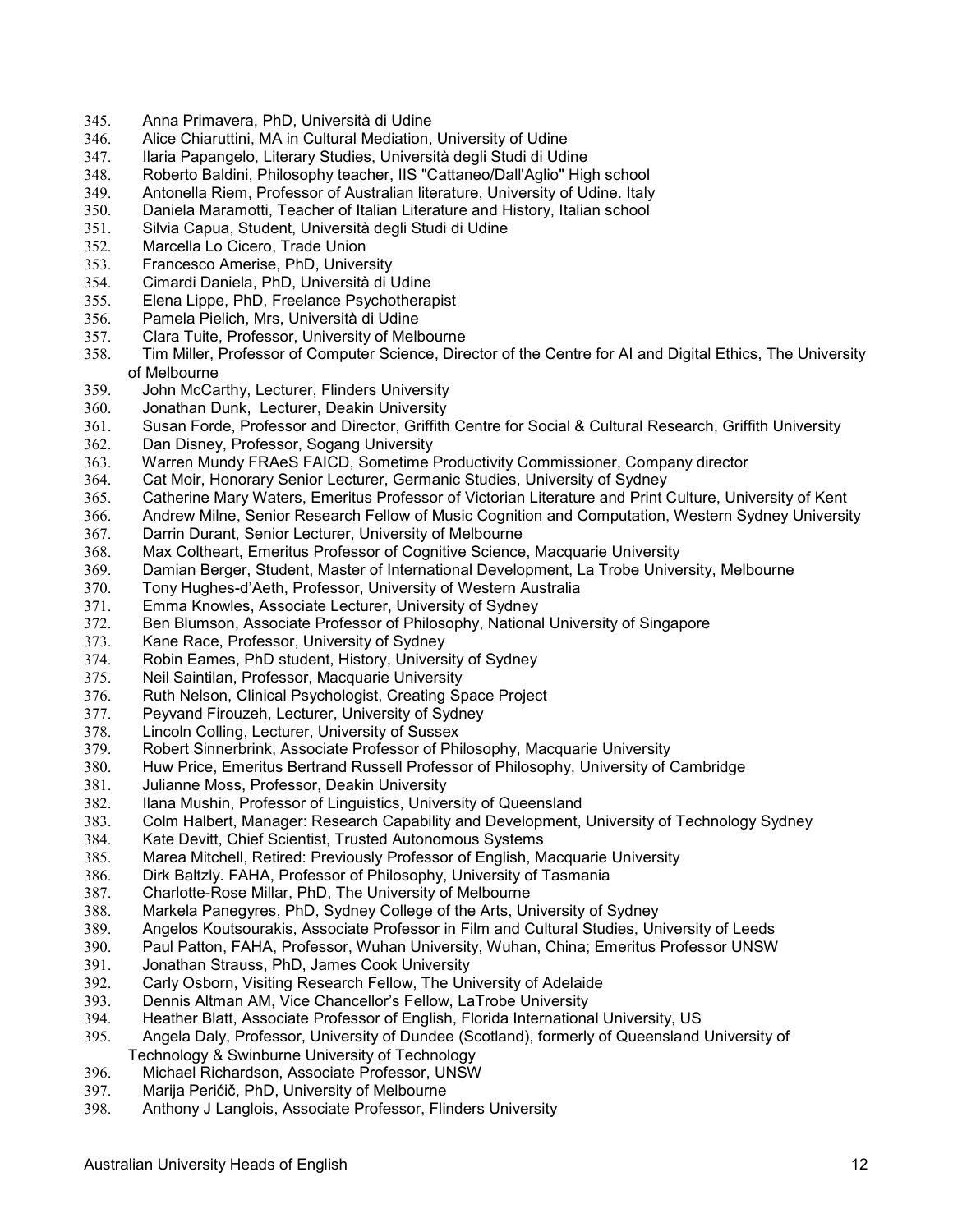- 345. Anna Primavera, PhD, Università di Udine
- 346. Alice Chiaruttini, MA in Cultural Mediation, University of Udine
- 347. Ilaria Papangelo, Literary Studies, Università degli Studi di Udine
- Roberto Baldini, Philosophy teacher, IIS "Cattaneo/Dall'Aglio" High school
- 349. Antonella Riem, Professor of Australian literature, University of Udine. Italy
- 350. Daniela Maramotti, Teacher of Italian Literature and History, Italian school
- 351. Silvia Capua, Student, Università degli Studi di Udine
- 352. Marcella Lo Cicero, Trade Union<br>353. Francesco Amerise. PhD. Univer
- 353. Francesco Amerise, PhD, University
- 354. Cimardi Daniela, PhD, Università di Udine
- 355. Elena Lippe, PhD, Freelance Psychotherapist
- Pamela Pielich, Mrs, Università di Udine
- 357. Clara Tuite, Professor, University of Melbourne
- Tim Miller, Professor of Computer Science, Director of the Centre for AI and Digital Ethics, The University of Melbourne
- 359. John McCarthy, Lecturer, Flinders University
- 360. Jonathan Dunk, Lecturer, Deakin University
- 361. Susan Forde, Professor and Director, Griffith Centre for Social & Cultural Research, Griffith University
- Dan Disney, Professor, Sogang University
- 363. Warren Mundy FRAeS FAICD, Sometime Productivity Commissioner, Company director
- 364. Cat Moir, Honorary Senior Lecturer, Germanic Studies, University of Sydney<br>365. Catherine Mary Waters, Emeritus Professor of Victorian Literature and Print (
- Catherine Mary Waters, Emeritus Professor of Victorian Literature and Print Culture, University of Kent
- 366. Andrew Milne, Senior Research Fellow of Music Cognition and Computation, Western Sydney University
- 367. Darrin Durant, Senior Lecturer, University of Melbourne
- 368. Max Coltheart, Emeritus Professor of Cognitive Science, Macquarie University
- 369. Damian Berger, Student, Master of International Development, La Trobe University, Melbourne
- 370. Tony Hughes-d'Aeth, Professor, University of Western Australia
- 371. Emma Knowles, Associate Lecturer, University of Sydney
- 372. Ben Blumson, Associate Professor of Philosophy, National University of Singapore
- 373. Kane Race, Professor, University of Sydney
- 374. Robin Eames, PhD student, History, University of Sydney
- 375. Neil Saintilan, Professor, Macquarie University
- 376. Ruth Nelson, Clinical Psychologist, Creating Space Project
- 377. Peyvand Firouzeh, Lecturer, University of Sydney
- 378. Lincoln Colling, Lecturer, University of Sussex
- 379. Robert Sinnerbrink, Associate Professor of Philosophy, Macquarie University
- 380. Huw Price, Emeritus Bertrand Russell Professor of Philosophy, University of Cambridge
- 381. Julianne Moss, Professor, Deakin University
- 382. Ilana Mushin, Professor of Linguistics, University of Queensland
- 383. Colm Halbert, Manager: Research Capability and Development, University of Technology Sydney
- 384. Kate Devitt, Chief Scientist, Trusted Autonomous Systems<br>385. Marea Mitchell, Retired: Previously Professor of English, M
- Marea Mitchell, Retired: Previously Professor of English, Macquarie University
- 386. Dirk Baltzly. FAHA, Professor of Philosophy, University of Tasmania
- 387. Charlotte-Rose Millar, PhD, The University of Melbourne
- 388. Markela Panegyres, PhD, Sydney College of the Arts, University of Sydney
- 389. Angelos Koutsourakis, Associate Professor in Film and Cultural Studies, University of Leeds
- Paul Patton, FAHA, Professor, Wuhan University, Wuhan, China; Emeritus Professor UNSW
- 391. Jonathan Strauss, PhD, James Cook University
- 392. Carly Osborn, Visiting Research Fellow, The University of Adelaide
- Dennis Altman AM, Vice Chancellor's Fellow, LaTrobe University
- 394. Heather Blatt, Associate Professor of English, Florida International University, US<br>395. Angela Daly, Professor, University of Dundee (Scotland), formerly of Queensland
- 395. Angela Daly, Professor, University of Dundee (Scotland), formerly of Queensland University of Technology & Swinburne University of Technology
- 396. Michael Richardson, Associate Professor, UNSW
- 397. Marija Perićič, PhD, University of Melbourne
- 398. Anthony J Langlois, Associate Professor, Flinders University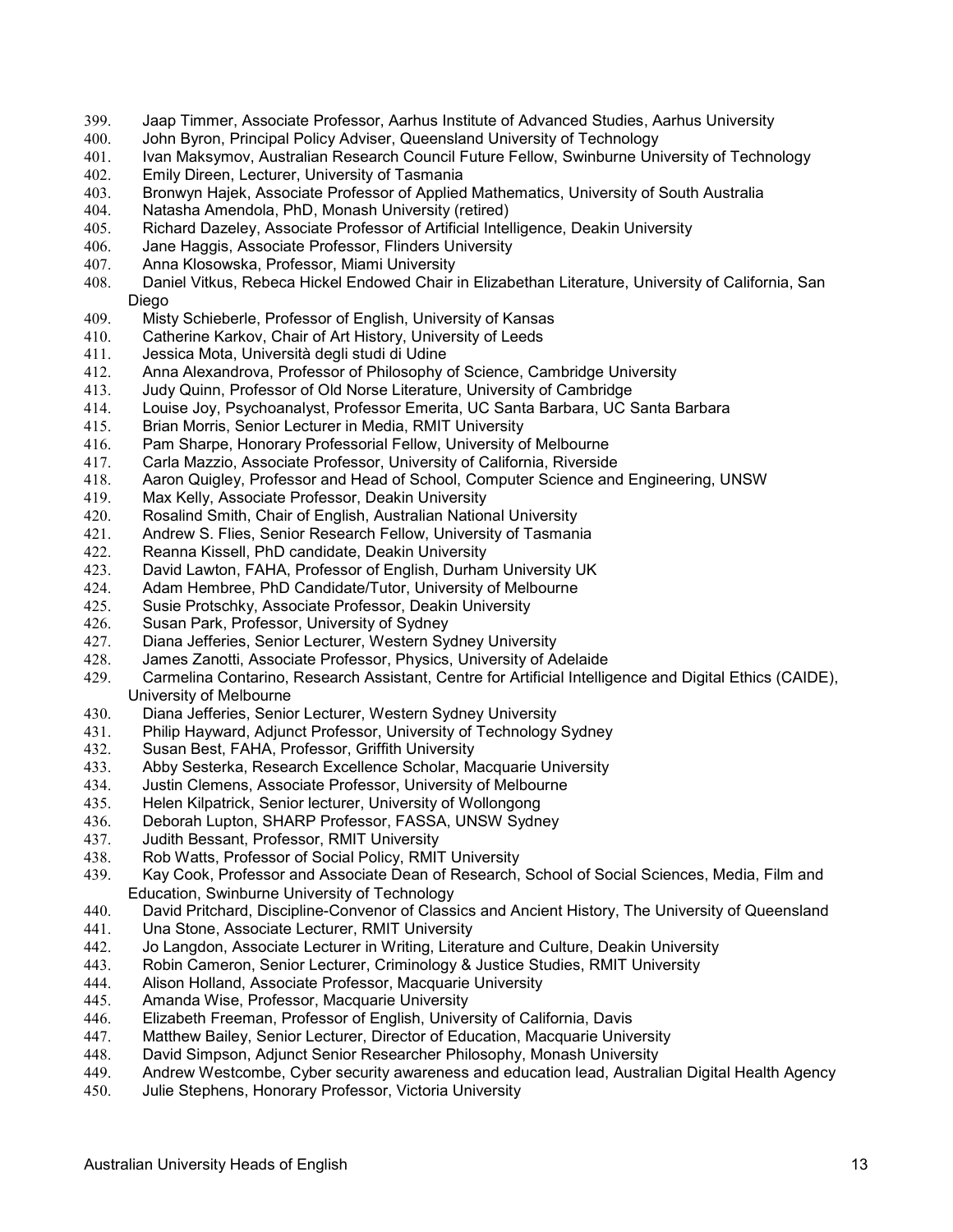- 399. Jaap Timmer, Associate Professor, Aarhus Institute of Advanced Studies, Aarhus University
- 400. John Byron, Principal Policy Adviser, Queensland University of Technology
- 401. Ivan Maksymov, Australian Research Council Future Fellow, Swinburne University of Technology<br>402. Emily Direen, Lecturer, University of Tasmania
- Emily Direen, Lecturer, University of Tasmania
- 403. Bronwyn Hajek, Associate Professor of Applied Mathematics, University of South Australia
- 404. Natasha Amendola, PhD, Monash University (retired)
- 405. Richard Dazeley, Associate Professor of Artificial Intelligence, Deakin University
- 406. Jane Haggis, Associate Professor, Flinders University<br>407. Anna Klosowska, Professor, Miami University
- Anna Klosowska, Professor, Miami University
- 408. Daniel Vitkus, Rebeca Hickel Endowed Chair in Elizabethan Literature, University of California, San Diego
- 409. Misty Schieberle, Professor of English, University of Kansas
- 410. Catherine Karkov, Chair of Art History, University of Leeds
- 411. Jessica Mota, Università degli studi di Udine
- 412. Anna Alexandrova, Professor of Philosophy of Science, Cambridge University
- 413. Judy Quinn, Professor of Old Norse Literature, University of Cambridge
- 414. Louise Joy, Psychoanalyst, Professor Emerita, UC Santa Barbara, UC Santa Barbara
- 415. Brian Morris, Senior Lecturer in Media, RMIT University
- Pam Sharpe, Honorary Professorial Fellow, University of Melbourne
- 417. Carla Mazzio, Associate Professor, University of California, Riverside
- 418. Aaron Quigley, Professor and Head of School, Computer Science and Engineering, UNSW
- Max Kelly, Associate Professor, Deakin University
- 420. Rosalind Smith, Chair of English, Australian National University
- 421. Andrew S. Flies, Senior Research Fellow, University of Tasmania
- 422. Reanna Kissell, PhD candidate, Deakin University
- 423. David Lawton, FAHA, Professor of English, Durham University UK
- 424. Adam Hembree, PhD Candidate/Tutor, University of Melbourne
- 425. Susie Protschky, Associate Professor, Deakin University
- 426. Susan Park, Professor, University of Sydney
- 427. Diana Jefferies, Senior Lecturer, Western Sydney University
- 428. James Zanotti, Associate Professor, Physics, University of Adelaide<br>429. Carmelina Contarino, Research Assistant, Centre for Artificial Intellig
- 429. Carmelina Contarino, Research Assistant, Centre for Artificial Intelligence and Digital Ethics (CAIDE), University of Melbourne
- 430. Diana Jefferies, Senior Lecturer, Western Sydney University
- 431. Philip Hayward, Adjunct Professor, University of Technology Sydney
- 432. Susan Best, FAHA, Professor, Griffith University
- 433. Abby Sesterka, Research Excellence Scholar, Macquarie University
- 434. Justin Clemens, Associate Professor, University of Melbourne
- 435. Helen Kilpatrick, Senior lecturer, University of Wollongong
- 436. Deborah Lupton, SHARP Professor, FASSA, UNSW Sydney
- 437. Judith Bessant, Professor, RMIT University
- 438. Rob Watts, Professor of Social Policy, RMIT University
- 439. Kay Cook, Professor and Associate Dean of Research, School of Social Sciences, Media, Film and Education, Swinburne University of Technology
- 440. David Pritchard, Discipline-Convenor of Classics and Ancient History, The University of Queensland
- 441. Una Stone, Associate Lecturer, RMIT University
- 442. Jo Langdon, Associate Lecturer in Writing, Literature and Culture, Deakin University
- 443. Robin Cameron, Senior Lecturer, Criminology & Justice Studies, RMIT University
- 444. Alison Holland, Associate Professor, Macquarie University
- Amanda Wise, Professor, Macquarie University
- 446. Elizabeth Freeman, Professor of English, University of California, Davis
- 447. Matthew Bailey, Senior Lecturer, Director of Education, Macquarie University
- 448. David Simpson, Adjunct Senior Researcher Philosophy, Monash University
- 449. Andrew Westcombe, Cyber security awareness and education lead, Australian Digital Health Agency
- Julie Stephens, Honorary Professor, Victoria University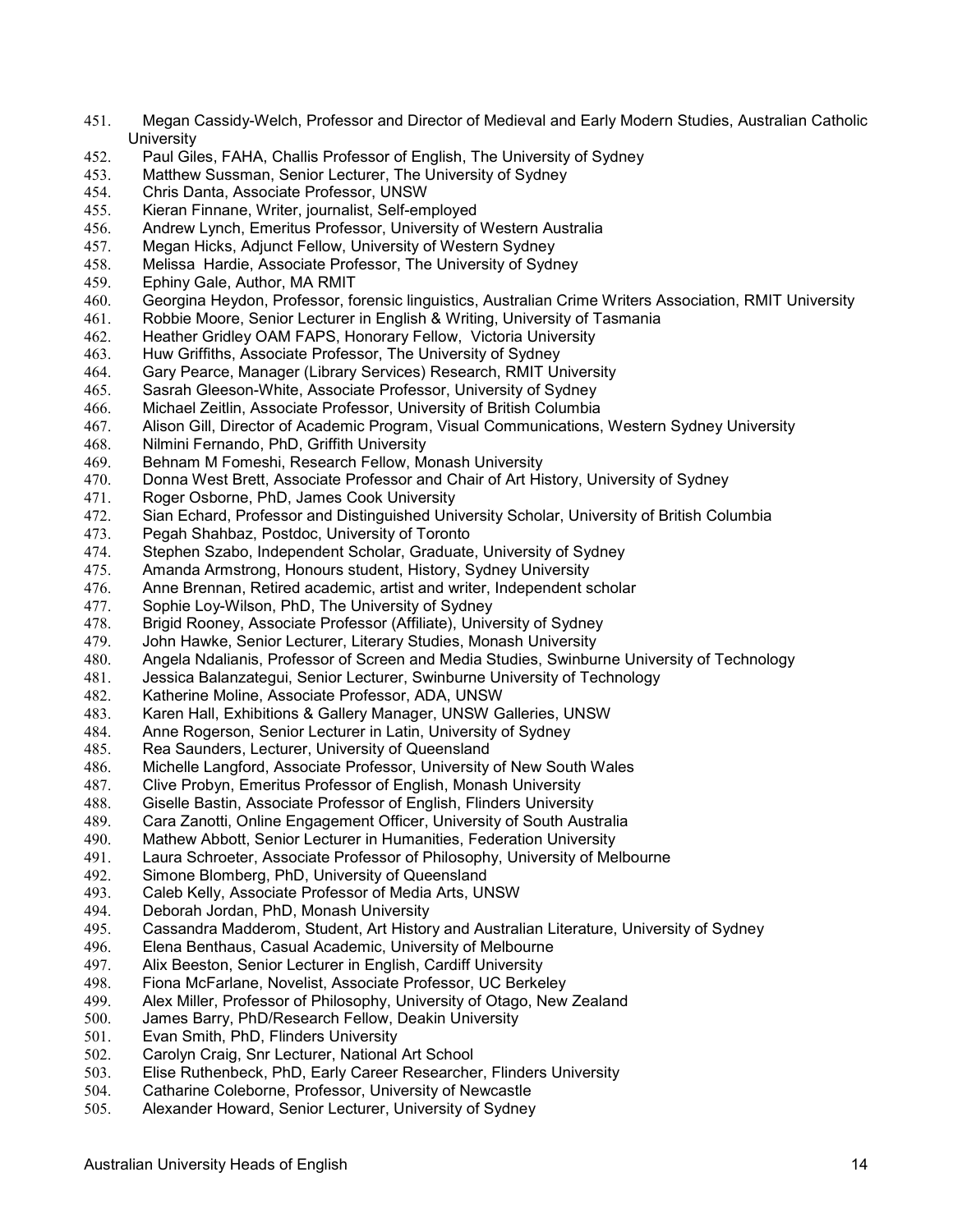- 451. Megan Cassidy-Welch, Professor and Director of Medieval and Early Modern Studies, Australian Catholic **University**
- 452. Paul Giles, FAHA, Challis Professor of English, The University of Sydney
- Matthew Sussman, Senior Lecturer, The University of Sydney
- 454. Chris Danta, Associate Professor, UNSW
- 455. Kieran Finnane, Writer, journalist, Self-employed
- 456. Andrew Lynch, Emeritus Professor, University of Western Australia
- 457. Megan Hicks, Adjunct Fellow, University of Western Sydney<br>458. Melissa Hardie, Associate Professor, The University of Sydr
- Melissa Hardie, Associate Professor, The University of Sydney
- 459. Ephiny Gale, Author, MA RMIT
- 460. Georgina Heydon, Professor, forensic linguistics, Australian Crime Writers Association, RMIT University<br>461. Robbie Moore, Senior Lecturer in English & Writing, University of Tasmania
- Robbie Moore, Senior Lecturer in English & Writing, University of Tasmania
- 462. Heather Gridley OAM FAPS, Honorary Fellow, Victoria University
- Huw Griffiths, Associate Professor, The University of Sydney
- 464. Gary Pearce, Manager (Library Services) Research, RMIT University
- 465. Sasrah Gleeson-White, Associate Professor, University of Sydney
- 466. Michael Zeitlin, Associate Professor, University of British Columbia
- 467. Alison Gill, Director of Academic Program, Visual Communications, Western Sydney University
- 468. Nilmini Fernando, PhD, Griffith University
- 469. Behnam M Fomeshi, Research Fellow, Monash University
- 470. Donna West Brett, Associate Professor and Chair of Art History, University of Sydney<br>471. Roger Osborne, PhD, James Cook University
- Roger Osborne, PhD, James Cook University
- 472. Sian Echard, Professor and Distinguished University Scholar, University of British Columbia
- 473. Pegah Shahbaz, Postdoc, University of Toronto
- Stephen Szabo, Independent Scholar, Graduate, University of Sydney
- 475. Amanda Armstrong, Honours student, History, Sydney University
- 476. Anne Brennan, Retired academic, artist and writer, Independent scholar
- 477. Sophie Loy-Wilson, PhD, The University of Sydney
- 478. Brigid Rooney, Associate Professor (Affiliate), University of Sydney<br>479. John Hawke, Senior Lecturer, Literary Studies, Monash University
- John Hawke, Senior Lecturer, Literary Studies, Monash University
- 480. Angela Ndalianis, Professor of Screen and Media Studies, Swinburne University of Technology
- 481. Jessica Balanzategui, Senior Lecturer, Swinburne University of Technology
- 482. Katherine Moline, Associate Professor, ADA, UNSW
- 483. Karen Hall, Exhibitions & Gallery Manager, UNSW Galleries, UNSW
- 484. Anne Rogerson, Senior Lecturer in Latin, University of Sydney
- 485. Rea Saunders, Lecturer, University of Queensland
- 486. Michelle Langford, Associate Professor, University of New South Wales
- 487. Clive Probyn, Emeritus Professor of English, Monash University
- 488. Giselle Bastin, Associate Professor of English, Flinders University
- 489. Cara Zanotti, Online Engagement Officer, University of South Australia
- 490. Mathew Abbott, Senior Lecturer in Humanities, Federation University<br>491. Laura Schroeter, Associate Professor of Philosophy, University of Me
- Laura Schroeter, Associate Professor of Philosophy, University of Melbourne
- 492. Simone Blomberg, PhD, University of Queensland
- 493. Caleb Kelly, Associate Professor of Media Arts, UNSW
- 494. Deborah Jordan, PhD, Monash University
- 495. Cassandra Madderom, Student, Art History and Australian Literature, University of Sydney<br>496. Elena Benthaus, Casual Academic, University of Melbourne
- Elena Benthaus, Casual Academic, University of Melbourne
- 497. Alix Beeston, Senior Lecturer in English, Cardiff University
- 
- 498. Fiona McFarlane, Novelist, Associate Professor, UC Berkeley Alex Miller, Professor of Philosophy, University of Otago, New Zealand
- 500. James Barry, PhD/Research Fellow, Deakin University<br>501. Evan Smith, PhD, Flinders University
- Evan Smith, PhD, Flinders University
- 502. Carolyn Craig, Snr Lecturer, National Art School
- 503. Elise Ruthenbeck, PhD, Early Career Researcher, Flinders University
- 504. Catharine Coleborne, Professor, University of Newcastle
- 505. Alexander Howard, Senior Lecturer, University of Sydney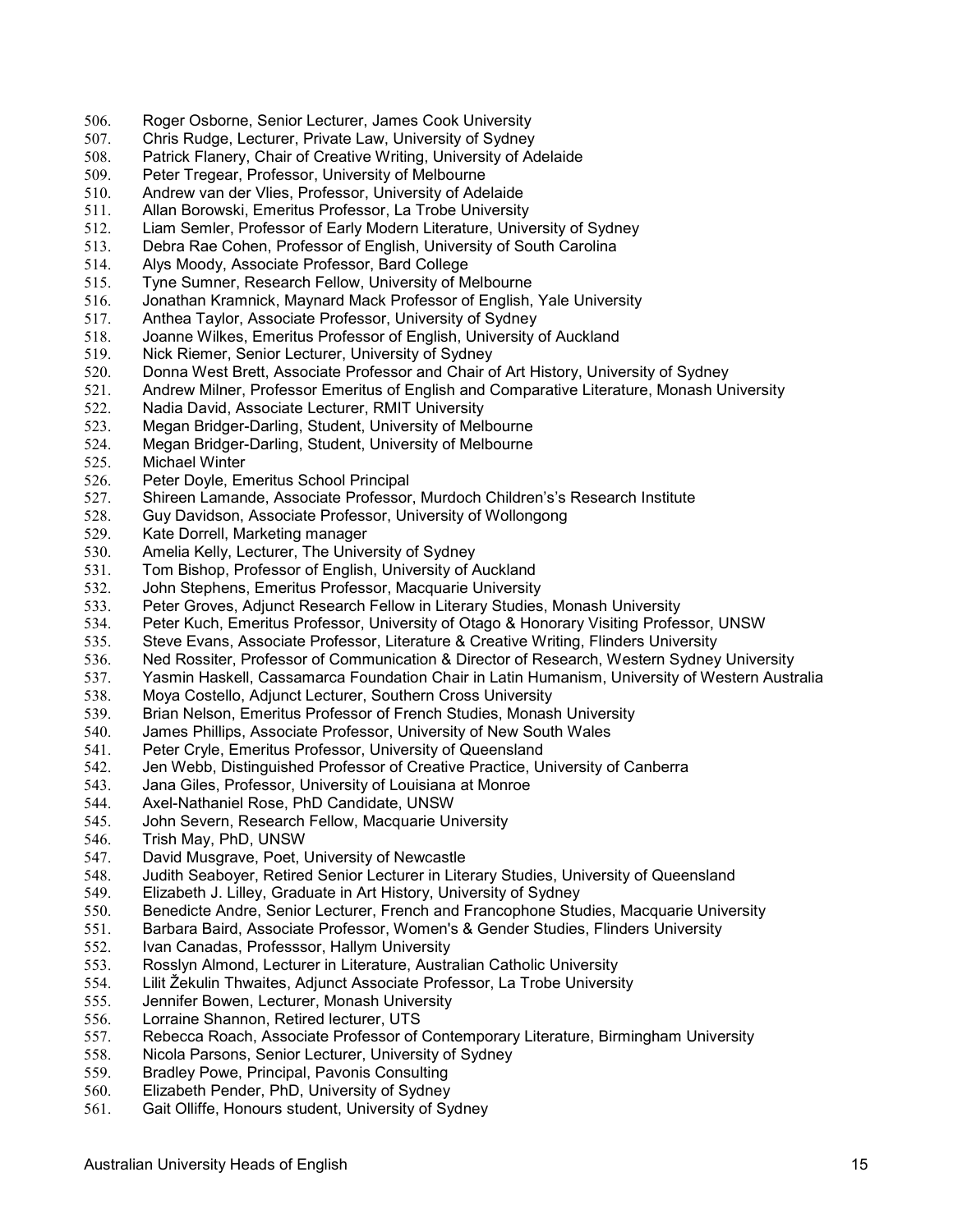- 506. Roger Osborne, Senior Lecturer, James Cook University
- 507. Chris Rudge, Lecturer, Private Law, University of Sydney
- 508. Patrick Flanery, Chair of Creative Writing, University of Adelaide
- Peter Tregear, Professor, University of Melbourne
- 510. Andrew van der Vlies, Professor, University of Adelaide
- 511. Allan Borowski, Emeritus Professor, La Trobe University
- 512. Liam Semler, Professor of Early Modern Literature, University of Sydney
- 513. Debra Rae Cohen, Professor of English, University of South Carolina<br>514. Alvs Moody, Associate Professor, Bard College
- Alys Moody, Associate Professor, Bard College
- 515. Tyne Sumner, Research Fellow, University of Melbourne
- 516. Jonathan Kramnick, Maynard Mack Professor of English, Yale University<br>517. Anthea Taylor, Associate Professor, University of Sydney
- Anthea Taylor, Associate Professor, University of Sydney
- 518. Joanne Wilkes, Emeritus Professor of English, University of Auckland
- Nick Riemer, Senior Lecturer, University of Sydney
- 520. Donna West Brett, Associate Professor and Chair of Art History, University of Sydney
- 521. Andrew Milner, Professor Emeritus of English and Comparative Literature, Monash University
- 522. Nadia David, Associate Lecturer, RMIT University
- 523. Megan Bridger-Darling, Student, University of Melbourne
- Megan Bridger-Darling, Student, University of Melbourne
- 525. Michael Winter
- 526. Peter Doyle, Emeritus School Principal<br>527. Shireen Lamande, Associate Professor
- 527. Shireen Lamande, Associate Professor, Murdoch Children's's Research Institute
- 528. Guy Davidson, Associate Professor, University of Wollongong
- 529. Kate Dorrell, Marketing manager
- 530. Amelia Kelly, Lecturer, The University of Sydney
- 531. Tom Bishop, Professor of English, University of Auckland
- 532. John Stephens, Emeritus Professor, Macquarie University
- 533. Peter Groves, Adjunct Research Fellow in Literary Studies, Monash University
- 534. Peter Kuch, Emeritus Professor, University of Otago & Honorary Visiting Professor, UNSW
- 535. Steve Evans, Associate Professor, Literature & Creative Writing, Flinders University
- 536. Ned Rossiter, Professor of Communication & Director of Research, Western Sydney University
- 537. Yasmin Haskell, Cassamarca Foundation Chair in Latin Humanism, University of Western Australia
- 538. Moya Costello, Adjunct Lecturer, Southern Cross University
- 539. Brian Nelson, Emeritus Professor of French Studies, Monash University
- 540. James Phillips, Associate Professor, University of New South Wales
- 541. Peter Cryle, Emeritus Professor, University of Queensland
- 542. Jen Webb, Distinguished Professor of Creative Practice, University of Canberra
- 543. Jana Giles, Professor, University of Louisiana at Monroe
- 544. Axel-Nathaniel Rose, PhD Candidate, UNSW
- 545. John Severn, Research Fellow, Macquarie University
- 546. Trish May, PhD, UNSW<br>547. David Musgrave, Poet, I
- David Musgrave, Poet, University of Newcastle
- 548. Judith Seaboyer, Retired Senior Lecturer in Literary Studies, University of Queensland
- 549. Elizabeth J. Lilley, Graduate in Art History, University of Sydney
- 550. Benedicte Andre, Senior Lecturer, French and Francophone Studies, Macquarie University
- 551. Barbara Baird, Associate Professor, Women's & Gender Studies, Flinders University
- 552. Ivan Canadas, Professsor, Hallym University
- 553. Rosslyn Almond, Lecturer in Literature, Australian Catholic University
- 554. Lilit Žekulin Thwaites, Adjunct Associate Professor, La Trobe University
- Jennifer Bowen, Lecturer, Monash University
- 556. Lorraine Shannon, Retired lecturer, UTS<br>557. Rebecca Roach, Associate Professor of
- Rebecca Roach, Associate Professor of Contemporary Literature, Birmingham University
- 558. Nicola Parsons, Senior Lecturer, University of Sydney
- 559. Bradley Powe, Principal, Pavonis Consulting
- Elizabeth Pender, PhD, University of Sydney
- 561. Gait Olliffe, Honours student, University of Sydney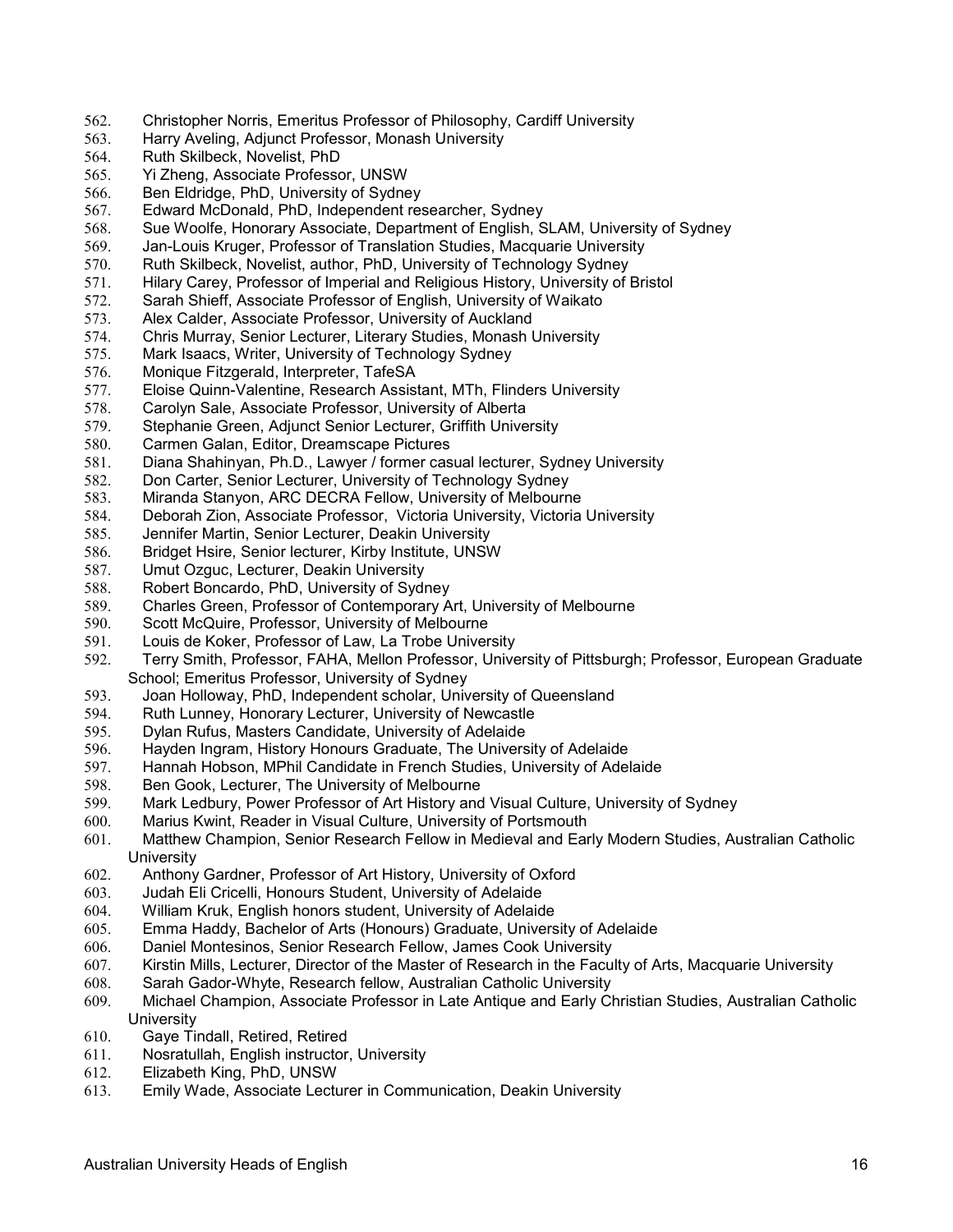- 562. Christopher Norris, Emeritus Professor of Philosophy, Cardiff University
- 563. Harry Aveling, Adjunct Professor, Monash University
- 564. Ruth Skilbeck, Novelist, PhD<br>565. Yi Zheng. Associate Professo
- Yi Zheng, Associate Professor, UNSW
- 566. Ben Eldridge, PhD, University of Sydney
- 567. Edward McDonald, PhD, Independent researcher, Sydney
- 568. Sue Woolfe, Honorary Associate, Department of English, SLAM, University of Sydney
- 569. Jan-Louis Kruger, Professor of Translation Studies, Macquarie University
- Ruth Skilbeck, Novelist, author, PhD, University of Technology Sydney
- 571. Hilary Carey, Professor of Imperial and Religious History, University of Bristol
- 572. Sarah Shieff, Associate Professor of English, University of Waikato<br>573. Alex Calder, Associate Professor, University of Auckland
- Alex Calder, Associate Professor, University of Auckland
- 574. Chris Murray, Senior Lecturer, Literary Studies, Monash University<br>575. Mark Isaacs. Writer. University of Technology Sydney
- Mark Isaacs, Writer, University of Technology Sydney
- 576. Monique Fitzgerald, Interpreter, TafeSA
- 577. Eloise Quinn-Valentine, Research Assistant, MTh, Flinders University
- 578. Carolyn Sale, Associate Professor, University of Alberta
- 579. Stephanie Green, Adjunct Senior Lecturer, Griffith University<br>580. Carmen Galan. Editor. Dreamscape Pictures
- Carmen Galan, Editor, Dreamscape Pictures
- 581. Diana Shahinyan, Ph.D., Lawyer / former casual lecturer, Sydney University
- 582. Don Carter, Senior Lecturer, University of Technology Sydney
- Miranda Stanyon, ARC DECRA Fellow, University of Melbourne
- 584. Deborah Zion, Associate Professor, Victoria University, Victoria University
- 585. Jennifer Martin, Senior Lecturer, Deakin University
- 586. Bridget Hsire, Senior lecturer, Kirby Institute, UNSW
- 587. Umut Ozguc, Lecturer, Deakin University
- 588. Robert Boncardo, PhD, University of Sydney
- 589. Charles Green, Professor of Contemporary Art, University of Melbourne
- 590. Scott McQuire, Professor, University of Melbourne
- 591. Louis de Koker, Professor of Law, La Trobe University
- 592. Terry Smith, Professor, FAHA, Mellon Professor, University of Pittsburgh; Professor, European Graduate School; Emeritus Professor, University of Sydney
- 593. Joan Holloway, PhD, Independent scholar, University of Queensland
- 594. Ruth Lunney, Honorary Lecturer, University of Newcastle
- 595. Dylan Rufus, Masters Candidate, University of Adelaide
- Hayden Ingram, History Honours Graduate, The University of Adelaide
- 597. Hannah Hobson, MPhil Candidate in French Studies, University of Adelaide
- 598. Ben Gook, Lecturer, The University of Melbourne
- 599. Mark Ledbury, Power Professor of Art History and Visual Culture, University of Sydney
- 600. Marius Kwint, Reader in Visual Culture, University of Portsmouth
- 601. Matthew Champion, Senior Research Fellow in Medieval and Early Modern Studies, Australian Catholic **University**
- 602. Anthony Gardner, Professor of Art History, University of Oxford
- 603. Judah Eli Cricelli, Honours Student, University of Adelaide
- 604. William Kruk, English honors student, University of Adelaide
- 605. Emma Haddy, Bachelor of Arts (Honours) Graduate, University of Adelaide
- 606. Daniel Montesinos, Senior Research Fellow, James Cook University
- 607. Kirstin Mills, Lecturer, Director of the Master of Research in the Faculty of Arts, Macquarie University
- 608. Sarah Gador-Whyte, Research fellow, Australian Catholic University
- Michael Champion, Associate Professor in Late Antique and Early Christian Studies, Australian Catholic **University**
- 610. Gaye Tindall, Retired, Retired
- 611. Nosratullah, English instructor, University
- 612. Elizabeth King, PhD, UNSW<br>613. Emily Wade. Associate Lectu
- Emily Wade, Associate Lecturer in Communication, Deakin University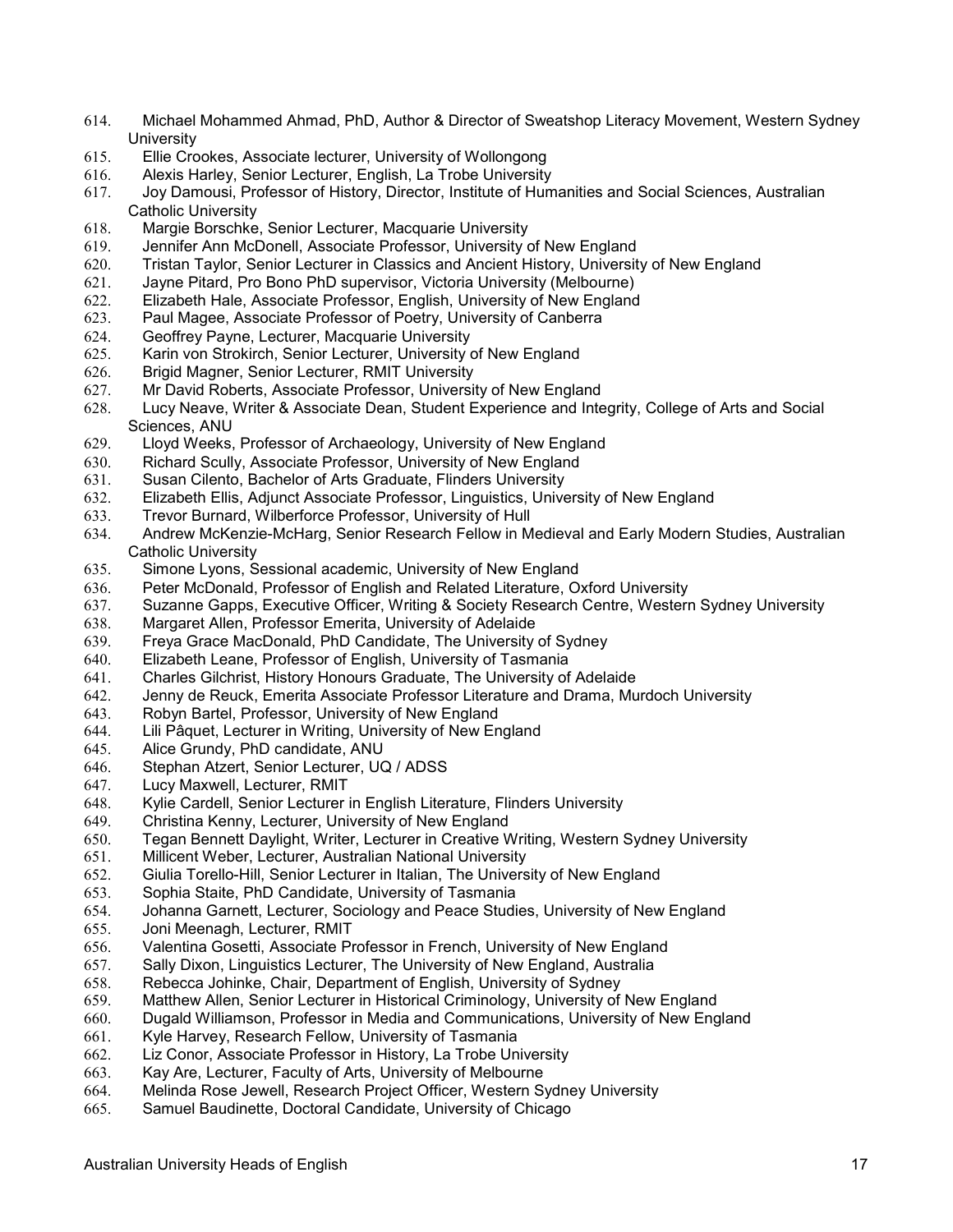- 614. Michael Mohammed Ahmad, PhD, Author & Director of Sweatshop Literacy Movement, Western Sydney **University**
- 615. Ellie Crookes, Associate lecturer, University of Wollongong
- 616. Alexis Harley, Senior Lecturer, English, La Trobe University
- 617. Joy Damousi, Professor of History, Director, Institute of Humanities and Social Sciences, Australian Catholic University
- 618. Margie Borschke, Senior Lecturer, Macquarie University
- 619. Jennifer Ann McDonell, Associate Professor, University of New England<br>620. Tristan Taylor, Senior Lecturer in Classics and Ancient History, University
- Tristan Taylor, Senior Lecturer in Classics and Ancient History, University of New England
- 621. Jayne Pitard, Pro Bono PhD supervisor, Victoria University (Melbourne)
- 622. Elizabeth Hale, Associate Professor, English, University of New England
- Paul Magee, Associate Professor of Poetry, University of Canberra
- 624. Geoffrey Payne, Lecturer, Macquarie University
- Karin von Strokirch, Senior Lecturer, University of New England
- 626. Brigid Magner, Senior Lecturer, RMIT University
- 627. Mr David Roberts, Associate Professor, University of New England
- 628. Lucy Neave, Writer & Associate Dean, Student Experience and Integrity, College of Arts and Social Sciences, ANU
- 629. Lloyd Weeks, Professor of Archaeology, University of New England
- 630. Richard Scully, Associate Professor, University of New England
- 631. Susan Cilento, Bachelor of Arts Graduate, Flinders University<br>632. Elizabeth Ellis, Adjunct Associate Professor, Linguistics, Unive
- Elizabeth Ellis, Adjunct Associate Professor, Linguistics, University of New England
- 633. Trevor Burnard, Wilberforce Professor, University of Hull
- 634. Andrew McKenzie-McHarg, Senior Research Fellow in Medieval and Early Modern Studies, Australian Catholic University
- 635. Simone Lyons, Sessional academic, University of New England
- 636. Peter McDonald, Professor of English and Related Literature, Oxford University
- 637. Suzanne Gapps, Executive Officer, Writing & Society Research Centre, Western Sydney University
- 638. Margaret Allen, Professor Emerita, University of Adelaide
- Freya Grace MacDonald, PhD Candidate, The University of Sydney
- 640. Elizabeth Leane, Professor of English, University of Tasmania
- 641. Charles Gilchrist, History Honours Graduate, The University of Adelaide
- 642. Jenny de Reuck, Emerita Associate Professor Literature and Drama, Murdoch University
- 643. Robyn Bartel, Professor, University of New England
- 644. Lili Pâquet, Lecturer in Writing, University of New England
- 645. Alice Grundy, PhD candidate, ANU
- 646. Stephan Atzert, Senior Lecturer, UQ / ADSS
- 647. Lucy Maxwell, Lecturer, RMIT
- 648. Kylie Cardell, Senior Lecturer in English Literature, Flinders University
- Christina Kenny, Lecturer, University of New England
- 650. Tegan Bennett Daylight, Writer, Lecturer in Creative Writing, Western Sydney University
- 651. Millicent Weber, Lecturer, Australian National University
- 652. Giulia Torello-Hill, Senior Lecturer in Italian, The University of New England
- 653. Sophia Staite, PhD Candidate, University of Tasmania
- Johanna Garnett, Lecturer, Sociology and Peace Studies, University of New England
- 655. Joni Meenagh, Lecturer, RMIT
- 656. Valentina Gosetti, Associate Professor in French, University of New England
- 657. Sally Dixon, Linguistics Lecturer, The University of New England, Australia
- 658. Rebecca Johinke, Chair, Department of English, University of Sydney
- Matthew Allen, Senior Lecturer in Historical Criminology, University of New England
- 660. Dugald Williamson, Professor in Media and Communications, University of New England
- 661. Kyle Harvey, Research Fellow, University of Tasmania
- 662. Liz Conor, Associate Professor in History, La Trobe University
- 663. Kay Are, Lecturer, Faculty of Arts, University of Melbourne
- Melinda Rose Jewell, Research Project Officer, Western Sydney University
- 665. Samuel Baudinette, Doctoral Candidate, University of Chicago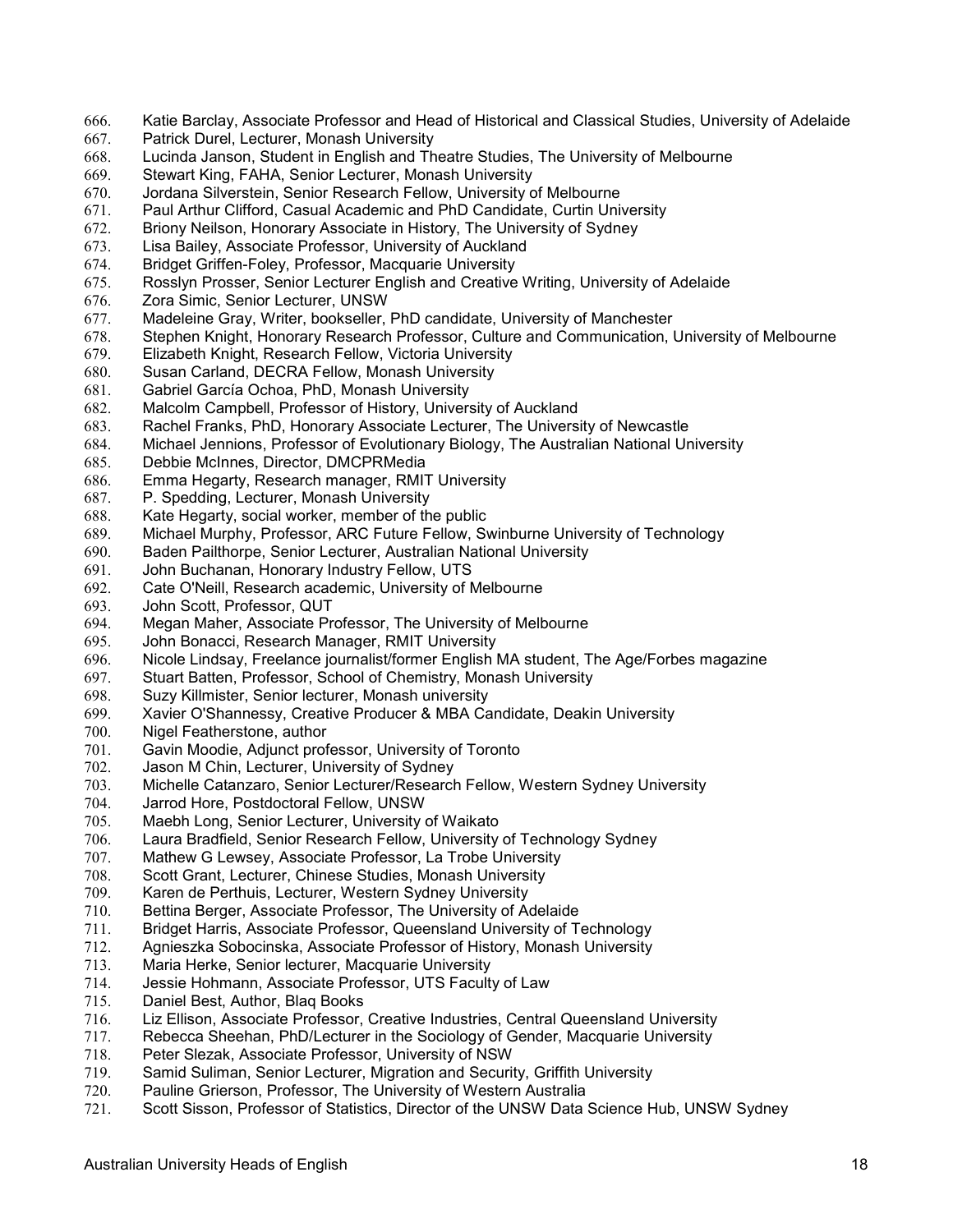- 666. Katie Barclay, Associate Professor and Head of Historical and Classical Studies, University of Adelaide
- 667. Patrick Durel, Lecturer, Monash University
- 668. Lucinda Janson, Student in English and Theatre Studies, The University of Melbourne
- 669. Stewart King, FAHA, Senior Lecturer, Monash University
- 670. Jordana Silverstein, Senior Research Fellow, University of Melbourne
- 671. Paul Arthur Clifford, Casual Academic and PhD Candidate, Curtin University
- 672. Briony Neilson, Honorary Associate in History, The University of Sydney
- 673. Lisa Bailey, Associate Professor, University of Auckland
- Bridget Griffen-Foley, Professor, Macquarie University
- 675. Rosslyn Prosser, Senior Lecturer English and Creative Writing, University of Adelaide
- 676. Zora Simic, Senior Lecturer, UNSW
- Madeleine Gray, Writer, bookseller, PhD candidate, University of Manchester
- 678. Stephen Knight, Honorary Research Professor, Culture and Communication, University of Melbourne
- Elizabeth Knight, Research Fellow, Victoria University
- 680. Susan Carland, DECRA Fellow, Monash University
- 681. Gabriel García Ochoa, PhD, Monash University
- 682. Malcolm Campbell, Professor of History, University of Auckland
- 683. Rachel Franks, PhD, Honorary Associate Lecturer, The University of Newcastle
- Michael Jennions, Professor of Evolutionary Biology, The Australian National University
- 685. Debbie McInnes, Director, DMCPRMedia
- 686. Emma Hegarty, Research manager, RMIT University<br>687. P. Spedding, Lecturer, Monash University
- P. Spedding, Lecturer, Monash University
- 688. Kate Hegarty, social worker, member of the public
- 689. Michael Murphy, Professor, ARC Future Fellow, Swinburne University of Technology
- 690. Baden Pailthorpe, Senior Lecturer, Australian National University
- 691. John Buchanan, Honorary Industry Fellow, UTS
- 692. Cate O'Neill, Research academic, University of Melbourne
- 693. John Scott, Professor, QUT
- 694. Megan Maher, Associate Professor, The University of Melbourne
- 695. John Bonacci, Research Manager, RMIT University
- 696. Nicole Lindsay, Freelance journalist/former English MA student, The Age/Forbes magazine
- 697. Stuart Batten, Professor, School of Chemistry, Monash University
- 698. Suzy Killmister, Senior lecturer, Monash university
- 699. Xavier O'Shannessy, Creative Producer & MBA Candidate, Deakin University
- 700. Nigel Featherstone, author
- 701. Gavin Moodie, Adjunct professor, University of Toronto
- 702. Jason M Chin, Lecturer, University of Sydney
- 703. Michelle Catanzaro, Senior Lecturer/Research Fellow, Western Sydney University
- 704. Jarrod Hore, Postdoctoral Fellow, UNSW
- 705. Maebh Long, Senior Lecturer, University of Waikato
- 706. Laura Bradfield, Senior Research Fellow, University of Technology Sydney
- Mathew G Lewsey, Associate Professor, La Trobe University
- 708. Scott Grant, Lecturer, Chinese Studies, Monash University
- 709. Karen de Perthuis, Lecturer, Western Sydney University
- Bettina Berger, Associate Professor, The University of Adelaide
- 711. Bridget Harris, Associate Professor, Queensland University of Technology
- 712. Agnieszka Sobocinska, Associate Professor of History, Monash University
- 713. Maria Herke, Senior lecturer, Macquarie University
- 714. Jessie Hohmann, Associate Professor, UTS Faculty of Law
- Daniel Best, Author, Blag Books
- 716. Liz Ellison, Associate Professor, Creative Industries, Central Queensland University<br>717. Rebecca Sheehan. PhD/Lecturer in the Sociology of Gender. Macquarie University
- Rebecca Sheehan, PhD/Lecturer in the Sociology of Gender, Macquarie University
- 718. Peter Slezak, Associate Professor, University of NSW
- 719. Samid Suliman, Senior Lecturer, Migration and Security, Griffith University
- Pauline Grierson, Professor, The University of Western Australia
- 721. Scott Sisson, Professor of Statistics, Director of the UNSW Data Science Hub, UNSW Sydney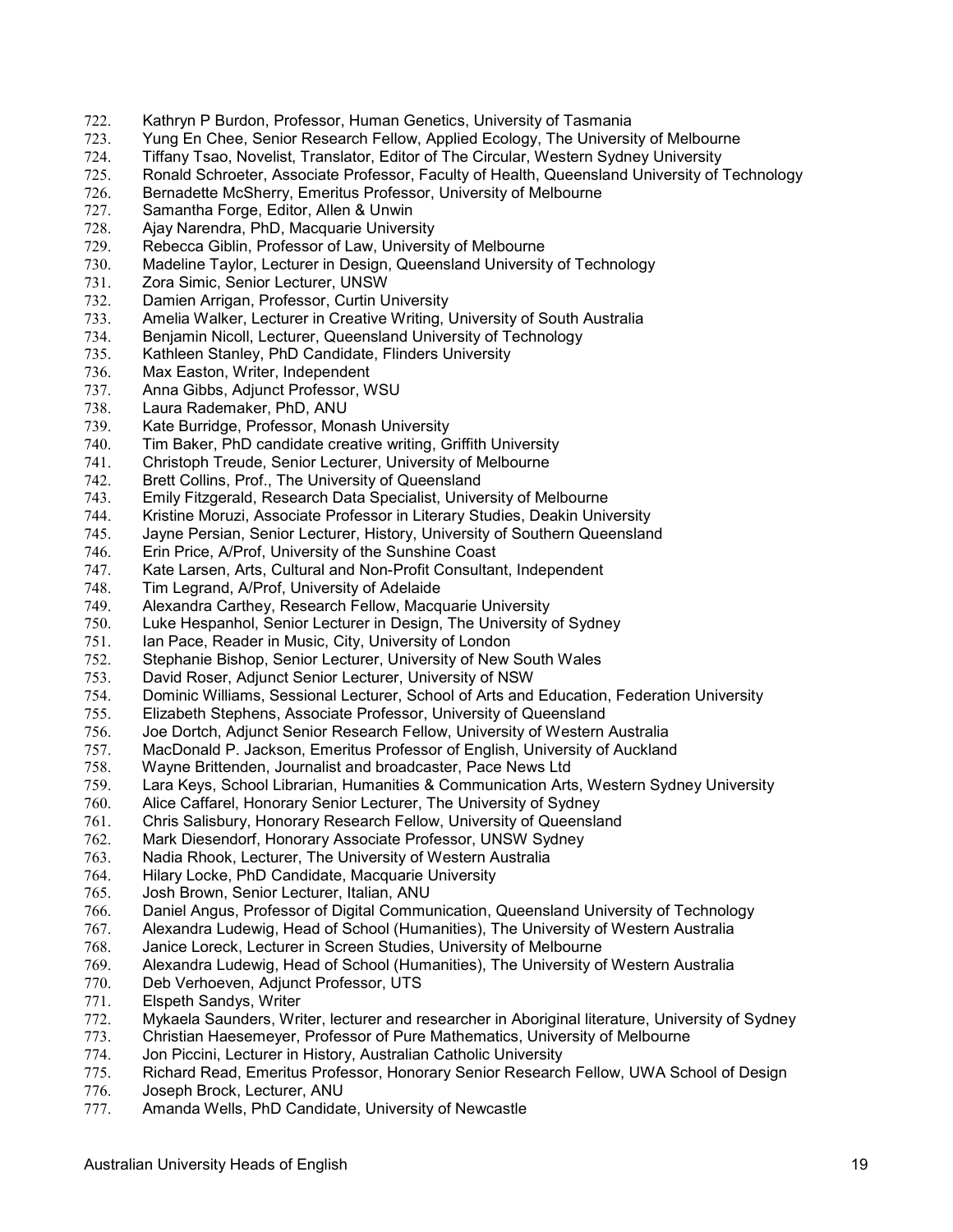- 722. Kathryn P Burdon, Professor, Human Genetics, University of Tasmania
- 723. Yung En Chee, Senior Research Fellow, Applied Ecology, The University of Melbourne
- 724. Tiffany Tsao, Novelist, Translator, Editor of The Circular, Western Sydney University
- Ronald Schroeter, Associate Professor, Faculty of Health, Queensland University of Technology
- 726. Bernadette McSherry, Emeritus Professor, University of Melbourne
- 727. Samantha Forge, Editor, Allen & Unwin
- 728. Ajay Narendra, PhD, Macquarie University
- 729. Rebecca Giblin, Professor of Law, University of Melbourne
- Madeline Taylor, Lecturer in Design, Queensland University of Technology
- 731. Zora Simic, Senior Lecturer, UNSW
- 732. Damien Arrigan, Professor, Curtin University
- Amelia Walker, Lecturer in Creative Writing, University of South Australia
- 734. Benjamin Nicoll, Lecturer, Queensland University of Technology
- Kathleen Stanley, PhD Candidate, Flinders University
- 736. Max Easton, Writer, Independent
- 737. Anna Gibbs, Adjunct Professor, WSU
- 738. Laura Rademaker, PhD, ANU
- 739. Kate Burridge, Professor, Monash University
- Tim Baker, PhD candidate creative writing, Griffith University
- 741. Christoph Treude, Senior Lecturer, University of Melbourne
- 742. Brett Collins, Prof., The University of Queensland
- Emily Fitzgerald, Research Data Specialist, University of Melbourne
- 744. Kristine Moruzi, Associate Professor in Literary Studies, Deakin University
- 745. Jayne Persian, Senior Lecturer, History, University of Southern Queensland
- 746. Erin Price, A/Prof, University of the Sunshine Coast
- 747. Kate Larsen, Arts, Cultural and Non-Profit Consultant, Independent
- 748. Tim Legrand, A/Prof, University of Adelaide
- 749. Alexandra Carthey, Research Fellow, Macquarie University
- 750. Luke Hespanhol, Senior Lecturer in Design, The University of Sydney
- 751. Ian Pace, Reader in Music, City, University of London
- 752. Stephanie Bishop, Senior Lecturer, University of New South Wales
- 753. David Roser, Adjunct Senior Lecturer, University of NSW
- 754. Dominic Williams, Sessional Lecturer, School of Arts and Education, Federation University
- 755. Elizabeth Stephens, Associate Professor, University of Queensland
- 756. Joe Dortch, Adjunct Senior Research Fellow, University of Western Australia
- 757. MacDonald P. Jackson, Emeritus Professor of English, University of Auckland
- 758. Wayne Brittenden, Journalist and broadcaster, Pace News Ltd
- 759. Lara Keys, School Librarian, Humanities & Communication Arts, Western Sydney University
- 760. Alice Caffarel, Honorary Senior Lecturer, The University of Sydney
- 761. Chris Salisbury, Honorary Research Fellow, University of Queensland
- 762. Mark Diesendorf, Honorary Associate Professor, UNSW Sydney<br>763. Nadia Rhook, Lecturer, The University of Western Australia
- Nadia Rhook, Lecturer, The University of Western Australia
- 764. Hilary Locke, PhD Candidate, Macquarie University
- 765. Josh Brown, Senior Lecturer, Italian, ANU
- 766. Daniel Angus, Professor of Digital Communication, Queensland University of Technology
- 767. Alexandra Ludewig, Head of School (Humanities), The University of Western Australia
- 768. Janice Loreck, Lecturer in Screen Studies, University of Melbourne
- 769. Alexandra Ludewig, Head of School (Humanities), The University of Western Australia
- 770. Deb Verhoeven, Adjunct Professor, UTS<br>771. Elspeth Sandys, Writer
- Elspeth Sandys, Writer
- 772. Mykaela Saunders, Writer, lecturer and researcher in Aboriginal literature, University of Sydney<br>773. Christian Haesemeyer, Professor of Pure Mathematics, University of Melbourne
- Christian Haesemeyer, Professor of Pure Mathematics, University of Melbourne
- 774. Jon Piccini, Lecturer in History, Australian Catholic University
- 775. Richard Read, Emeritus Professor, Honorary Senior Research Fellow, UWA School of Design
- Joseph Brock, Lecturer, ANU
- 777. Amanda Wells, PhD Candidate, University of Newcastle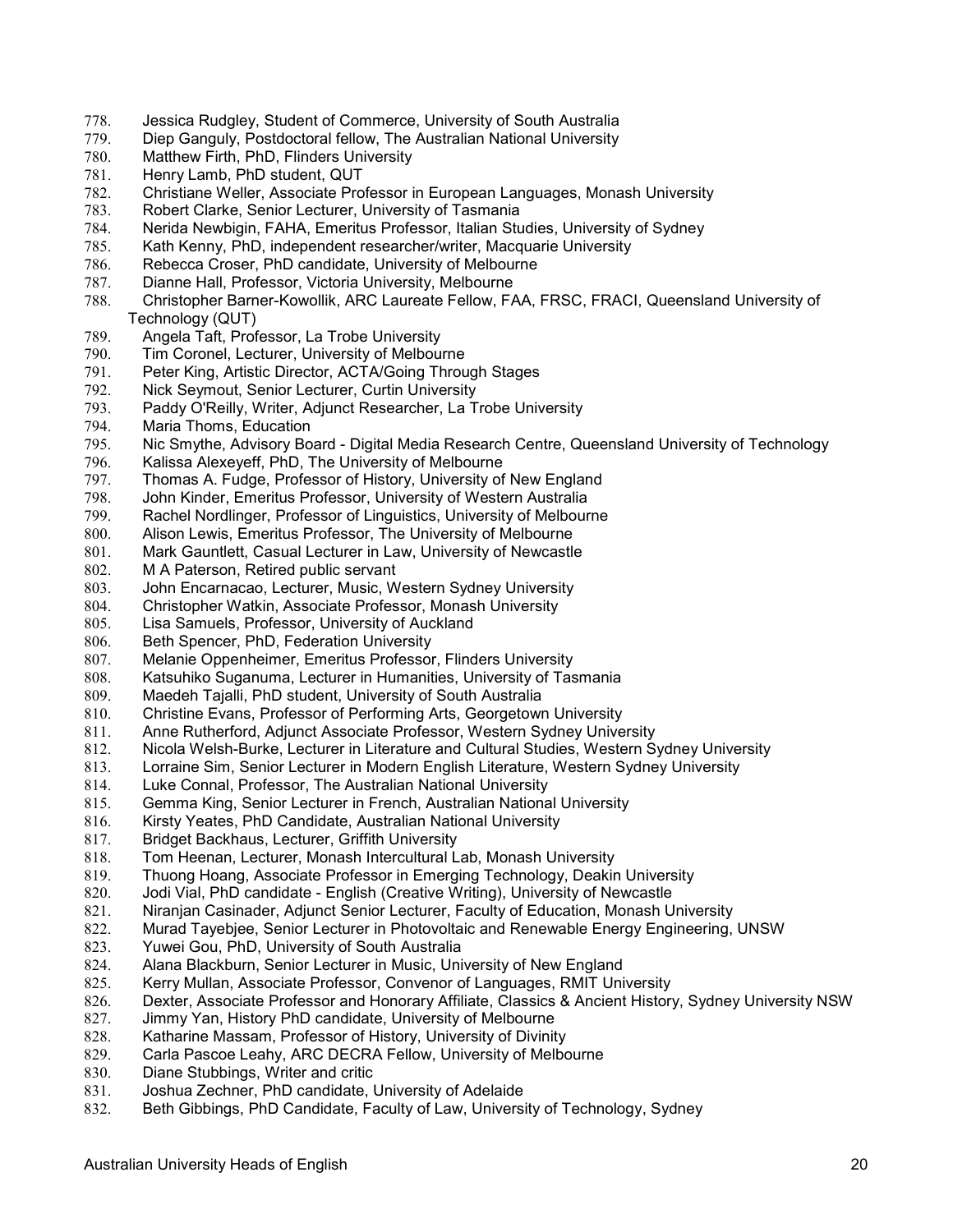- 778. Jessica Rudgley, Student of Commerce, University of South Australia
- Diep Ganguly, Postdoctoral fellow, The Australian National University
- 780. Matthew Firth, PhD, Flinders University<br>781. Henry Lamb, PhD student, QUT
- Henry Lamb, PhD student, QUT
- 782. Christiane Weller, Associate Professor in European Languages, Monash University
- 783. Robert Clarke, Senior Lecturer, University of Tasmania
- 784. Nerida Newbigin, FAHA, Emeritus Professor, Italian Studies, University of Sydney
- 785. Kath Kenny, PhD, independent researcher/writer, Macquarie University
- Rebecca Croser, PhD candidate, University of Melbourne
- 787. Dianne Hall, Professor, Victoria University, Melbourne
- 788. Christopher Barner-Kowollik, ARC Laureate Fellow, FAA, FRSC, FRACI, Queensland University of Technology (QUT)
- 789. Angela Taft, Professor, La Trobe University
- Tim Coronel, Lecturer, University of Melbourne
- 791. Peter King, Artistic Director, ACTA/Going Through Stages
- 792. Nick Seymout, Senior Lecturer, Curtin University
- Paddy O'Reilly, Writer, Adjunct Researcher, La Trobe University
- 794. Maria Thoms, Education
- Nic Smythe, Advisory Board Digital Media Research Centre, Queensland University of Technology
- 796. Kalissa Alexeyeff, PhD, The University of Melbourne
- 797. Thomas A. Fudge, Professor of History, University of New England<br>798. John Kinder, Emeritus Professor, University of Western Australia
- John Kinder, Emeritus Professor, University of Western Australia
- 799. Rachel Nordlinger, Professor of Linguistics, University of Melbourne
- 800. Alison Lewis, Emeritus Professor, The University of Melbourne
- 801. Mark Gauntlett, Casual Lecturer in Law, University of Newcastle
- 802. M A Paterson, Retired public servant
- 803. John Encarnacao, Lecturer, Music, Western Sydney University
- 804. Christopher Watkin, Associate Professor, Monash University
- 805. Lisa Samuels, Professor, University of Auckland
- 806. Beth Spencer, PhD, Federation University
- 807. Melanie Oppenheimer, Emeritus Professor, Flinders University
- 808. Katsuhiko Suganuma, Lecturer in Humanities, University of Tasmania
- 809. Maedeh Tajalli, PhD student, University of South Australia
- 810. Christine Evans, Professor of Performing Arts, Georgetown University
- 811. Anne Rutherford, Adjunct Associate Professor, Western Sydney University
- 812. Nicola Welsh-Burke, Lecturer in Literature and Cultural Studies, Western Sydney University
- 813. Lorraine Sim, Senior Lecturer in Modern English Literature, Western Sydney University
- 814. Luke Connal, Professor, The Australian National University
- 815. Gemma King, Senior Lecturer in French, Australian National University
- 816. Kirsty Yeates, PhD Candidate, Australian National University
- 817. Bridget Backhaus, Lecturer, Griffith University
- 818. Tom Heenan, Lecturer, Monash Intercultural Lab, Monash University
- 819. Thuong Hoang, Associate Professor in Emerging Technology, Deakin University
- 820. Jodi Vial, PhD candidate English (Creative Writing), University of Newcastle
- 821. Niranjan Casinader, Adjunct Senior Lecturer, Faculty of Education, Monash University
- 822. Murad Tayebjee, Senior Lecturer in Photovoltaic and Renewable Energy Engineering, UNSW
- 823. Yuwei Gou, PhD, University of South Australia
- 824. Alana Blackburn, Senior Lecturer in Music, University of New England
- 825. Kerry Mullan, Associate Professor, Convenor of Languages, RMIT University
- Dexter, Associate Professor and Honorary Affiliate, Classics & Ancient History, Sydney University NSW
- 827. Jimmy Yan, History PhD candidate, University of Melbourne<br>828. Katharine Massam, Professor of History, University of Divinity
- Katharine Massam, Professor of History, University of Divinity
- 829. Carla Pascoe Leahy, ARC DECRA Fellow, University of Melbourne
- 830. Diane Stubbings, Writer and critic<br>831. Joshua Zechner. PhD candidate. I
- Joshua Zechner, PhD candidate, University of Adelaide
- 832. Beth Gibbings, PhD Candidate, Faculty of Law, University of Technology, Sydney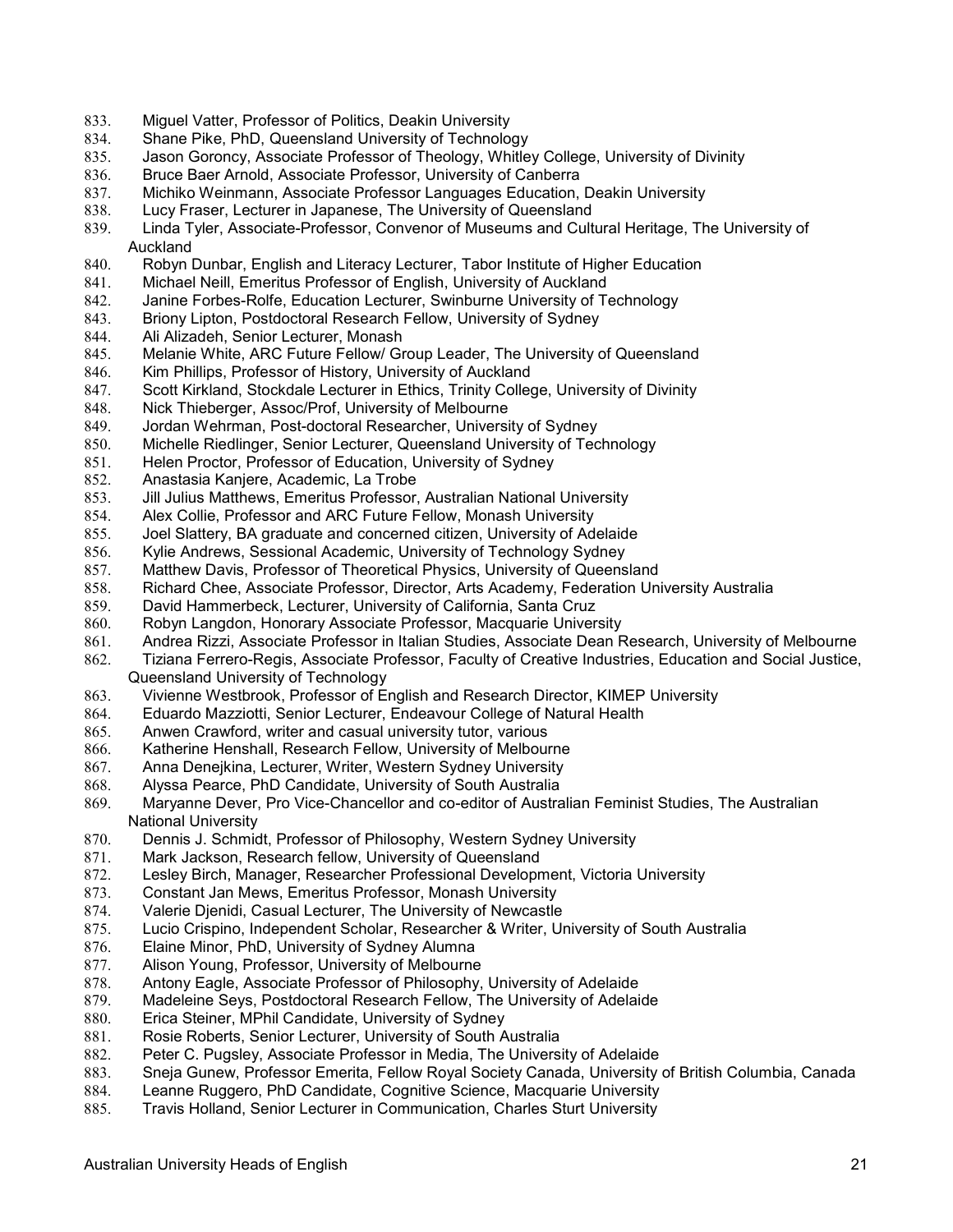- 833. Miguel Vatter, Professor of Politics, Deakin University
- 834. Shane Pike, PhD, Queensland University of Technology
- 835. Jason Goroncy, Associate Professor of Theology, Whitley College, University of Divinity<br>836. Bruce Baer Arnold, Associate Professor, University of Canberra
- Bruce Baer Arnold, Associate Professor, University of Canberra
- 837. Michiko Weinmann, Associate Professor Languages Education, Deakin University
- 838. Lucy Fraser, Lecturer in Japanese, The University of Queensland
- 839. Linda Tyler, Associate-Professor, Convenor of Museums and Cultural Heritage, The University of **Auckland**
- 840. Robyn Dunbar, English and Literacy Lecturer, Tabor Institute of Higher Education
- 841. Michael Neill, Emeritus Professor of English, University of Auckland
- 842. Janine Forbes-Rolfe, Education Lecturer, Swinburne University of Technology<br>843. Briony Lipton, Postdoctoral Research Fellow, University of Sydney
- Briony Lipton, Postdoctoral Research Fellow, University of Sydney
- 844. Ali Alizadeh, Senior Lecturer, Monash<br>845. Melanie White. ARC Future Fellow/ Gr
- Melanie White, ARC Future Fellow/ Group Leader, The University of Queensland
- 846. Kim Phillips, Professor of History, University of Auckland
- 847. Scott Kirkland, Stockdale Lecturer in Ethics, Trinity College, University of Divinity
- 848. Nick Thieberger, Assoc/Prof, University of Melbourne
- 849. Jordan Wehrman, Post-doctoral Researcher, University of Sydney
- Michelle Riedlinger, Senior Lecturer, Queensland University of Technology
- 851. Helen Proctor, Professor of Education, University of Sydney
- 852. Anastasia Kanjere, Academic, La Trobe<br>853. Jill Julius Matthews, Emeritus Professor,
- 853. Jill Julius Matthews, Emeritus Professor, Australian National University
- Alex Collie, Professor and ARC Future Fellow, Monash University
- 855. Joel Slattery, BA graduate and concerned citizen, University of Adelaide
- 856. Kylie Andrews, Sessional Academic, University of Technology Sydney
- 857. Matthew Davis, Professor of Theoretical Physics, University of Queensland
- 858. Richard Chee, Associate Professor, Director, Arts Academy, Federation University Australia
- 859. David Hammerbeck, Lecturer, University of California, Santa Cruz
- 860. Robyn Langdon, Honorary Associate Professor, Macquarie University
- 861. Andrea Rizzi, Associate Professor in Italian Studies, Associate Dean Research, University of Melbourne
- 862. Tiziana Ferrero-Regis, Associate Professor, Faculty of Creative Industries, Education and Social Justice, Queensland University of Technology
- 863. Vivienne Westbrook, Professor of English and Research Director, KIMEP University
- 864. Eduardo Mazziotti, Senior Lecturer, Endeavour College of Natural Health
- 865. Anwen Crawford, writer and casual university tutor, various
- 866. Katherine Henshall, Research Fellow, University of Melbourne
- 867. Anna Denejkina, Lecturer, Writer, Western Sydney University
- 868. Alyssa Pearce, PhD Candidate, University of South Australia
- 869. Maryanne Dever, Pro Vice-Chancellor and co-editor of Australian Feminist Studies, The Australian National University
- 870. Dennis J. Schmidt, Professor of Philosophy, Western Sydney University
- 871. Mark Jackson, Research fellow, University of Queensland
- 872. Lesley Birch, Manager, Researcher Professional Development, Victoria University
- 873. Constant Jan Mews, Emeritus Professor, Monash University
- Valerie Djenidi, Casual Lecturer, The University of Newcastle
- 875. Lucio Crispino, Independent Scholar, Researcher & Writer, University of South Australia
- 876. Elaine Minor, PhD, University of Sydney Alumna
- 877. Alison Young, Professor, University of Melbourne
- 878. Antony Eagle, Associate Professor of Philosophy, University of Adelaide
- Madeleine Seys, Postdoctoral Research Fellow, The University of Adelaide
- 880. Erica Steiner, MPhil Candidate, University of Sydney
- 881. Rosie Roberts, Senior Lecturer, University of South Australia
- 882. Peter C. Pugsley, Associate Professor in Media, The University of Adelaide
- 883. Sheja Gunew, Professor Emerita, Fellow Royal Society Canada, University of British Columbia, Canada<br>884. Leanne Ruggero, PhD Candidate, Cognitive Science, Macquarie University
- Leanne Ruggero, PhD Candidate, Cognitive Science, Macquarie University
- 885. Travis Holland, Senior Lecturer in Communication, Charles Sturt University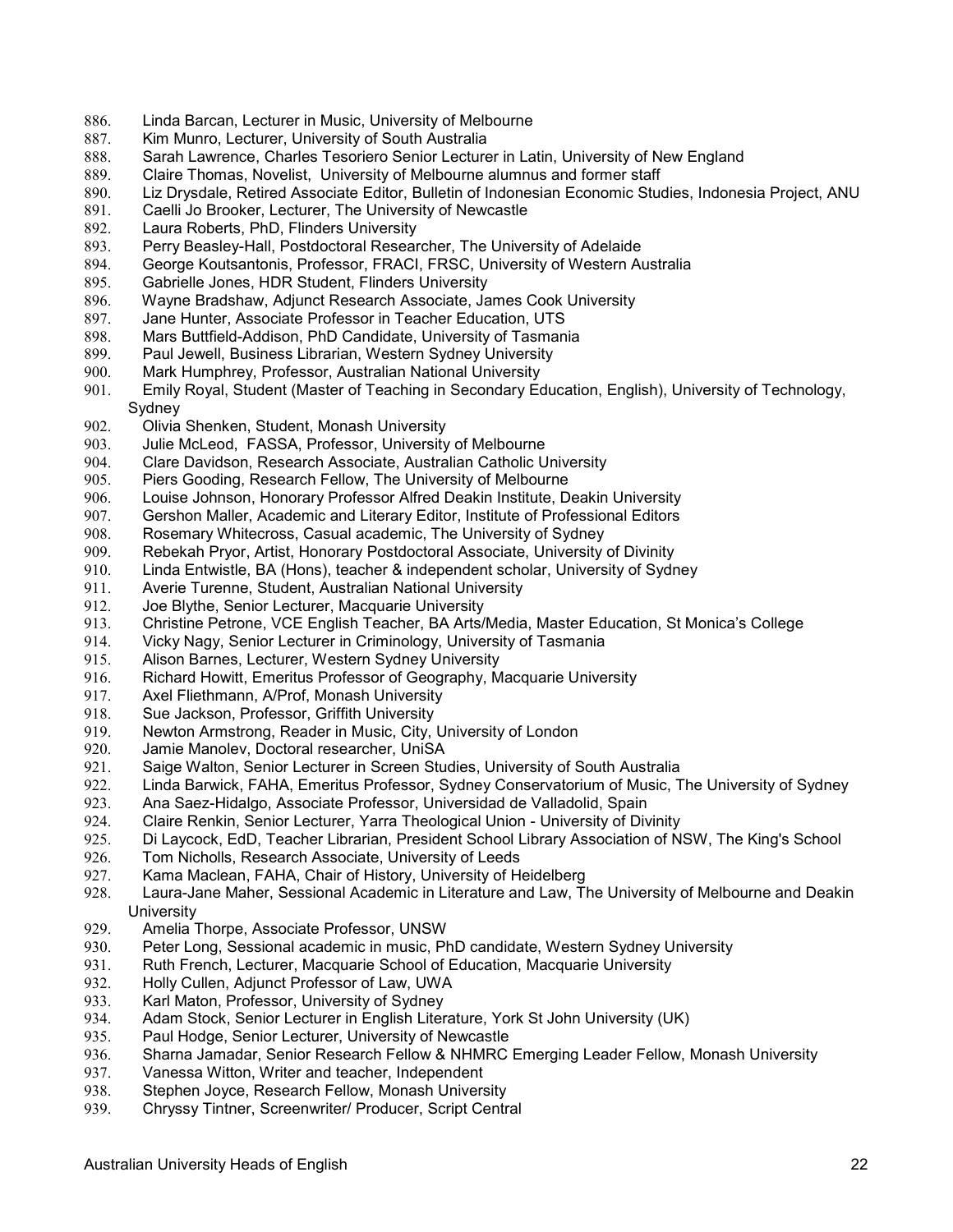- 886. Linda Barcan, Lecturer in Music, University of Melbourne
- 887. Kim Munro, Lecturer, University of South Australia
- 888. Sarah Lawrence, Charles Tesoriero Senior Lecturer in Latin, University of New England
- 889. Claire Thomas, Novelist, University of Melbourne alumnus and former staff
- 890. Liz Drysdale, Retired Associate Editor, Bulletin of Indonesian Economic Studies, Indonesia Project, ANU
- 891. Caelli Jo Brooker, Lecturer, The University of Newcastle
- 892. Laura Roberts, PhD, Flinders University
- 893. Perry Beasley-Hall, Postdoctoral Researcher, The University of Adelaide
- George Koutsantonis, Professor, FRACI, FRSC, University of Western Australia
- 895. Gabrielle Jones, HDR Student, Flinders University
- 896. Wayne Bradshaw, Adjunct Research Associate, James Cook University<br>897. Jane Hunter, Associate Professor in Teacher Education, UTS
- Jane Hunter, Associate Professor in Teacher Education, UTS
- 898. Mars Buttfield-Addison, PhD Candidate, University of Tasmania
- Paul Jewell, Business Librarian, Western Sydney University
- 900. Mark Humphrey, Professor, Australian National University
- 901. Emily Royal, Student (Master of Teaching in Secondary Education, English), University of Technology, Sydney
- 902. Olivia Shenken, Student, Monash University
- Julie McLeod, FASSA, Professor, University of Melbourne
- 904. Clare Davidson, Research Associate, Australian Catholic University
- 905. Piers Gooding, Research Fellow, The University of Melbourne<br>906. Louise Johnson, Honorary Professor Alfred Deakin Institute, D
- Louise Johnson, Honorary Professor Alfred Deakin Institute, Deakin University
- 907. Gershon Maller, Academic and Literary Editor, Institute of Professional Editors
- 908. Rosemary Whitecross, Casual academic, The University of Sydney
- 909. Rebekah Pryor, Artist, Honorary Postdoctoral Associate, University of Divinity
- 910. Linda Entwistle, BA (Hons), teacher & independent scholar, University of Sydney
- 911. Averie Turenne, Student, Australian National University
- 912. Joe Blythe, Senior Lecturer, Macquarie University
- 913. Christine Petrone, VCE English Teacher, BA Arts/Media, Master Education, St Monica's College
- 914. Vicky Nagy, Senior Lecturer in Criminology, University of Tasmania
- 915. Alison Barnes, Lecturer, Western Sydney University
- 916. Richard Howitt, Emeritus Professor of Geography, Macquarie University
- 917. Axel Fliethmann, A/Prof, Monash University
- 918. Sue Jackson, Professor, Griffith University
- 919. Newton Armstrong, Reader in Music, City, University of London
- 920. Jamie Manolev, Doctoral researcher, UniSA
- 921. Saige Walton, Senior Lecturer in Screen Studies, University of South Australia
- 922. Linda Barwick, FAHA, Emeritus Professor, Sydney Conservatorium of Music, The University of Sydney
- 923. Ana Saez-Hidalgo, Associate Professor, Universidad de Valladolid, Spain
- 924. Claire Renkin, Senior Lecturer, Yarra Theological Union University of Divinity
- 925. Di Laycock, EdD, Teacher Librarian, President School Library Association of NSW, The King's School
- 926. Tom Nicholls, Research Associate, University of Leeds
- 927. Kama Maclean, FAHA, Chair of History, University of Heidelberg
- 928. Laura-Jane Maher, Sessional Academic in Literature and Law, The University of Melbourne and Deakin **University**
- 929. Amelia Thorpe, Associate Professor, UNSW
- Peter Long, Sessional academic in music, PhD candidate, Western Sydney University
- 931. Ruth French, Lecturer, Macquarie School of Education, Macquarie University
- 932. Holly Cullen, Adjunct Professor of Law, UWA<br>933. Karl Maton, Professor, University of Sydney
- Karl Maton, Professor, University of Sydney
- 934. Adam Stock, Senior Lecturer in English Literature, York St John University (UK)<br>935. Paul Hodge, Senior Lecturer, University of Newcastle
- Paul Hodge, Senior Lecturer, University of Newcastle
- 936. Sharna Jamadar, Senior Research Fellow & NHMRC Emerging Leader Fellow, Monash University
- 937. Vanessa Witton, Writer and teacher, Independent<br>938. Stephen Jovce, Research Fellow, Monash Univers
- Stephen Joyce, Research Fellow, Monash University
- 939. Chryssy Tintner, Screenwriter/ Producer, Script Central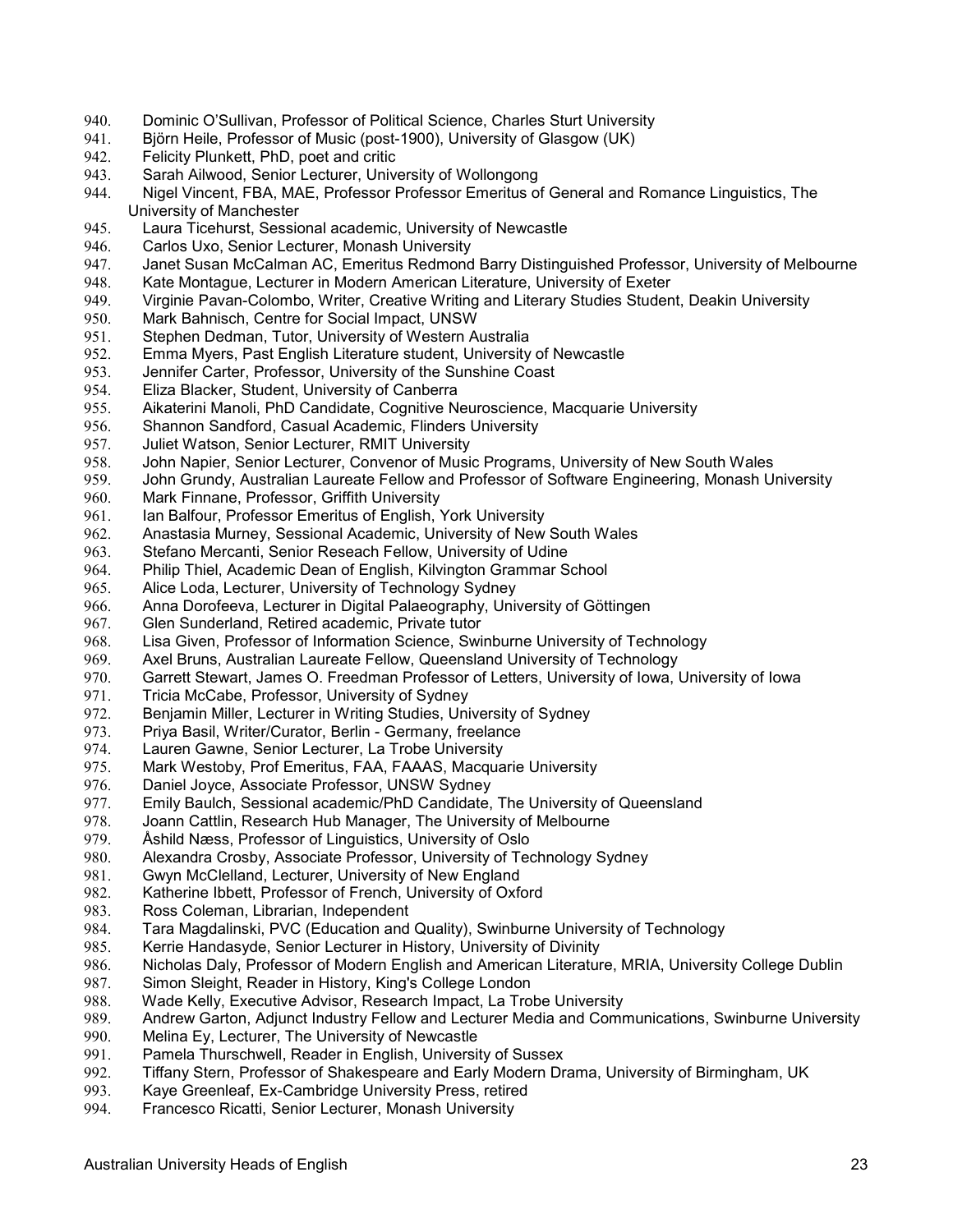- 940. Dominic O'Sullivan, Professor of Political Science, Charles Sturt University
- 941. Björn Heile, Professor of Music (post-1900), University of Glasgow (UK)
- 942. Felicity Plunkett, PhD, poet and critic<br>943. Sarah Ailwood. Senior Lecturer. Unive
- Sarah Ailwood, Senior Lecturer, University of Wollongong
- 944. Nigel Vincent, FBA, MAE, Professor Professor Emeritus of General and Romance Linguistics, The University of Manchester
- 945. Laura Ticehurst, Sessional academic, University of Newcastle
- 946. Carlos Uxo, Senior Lecturer, Monash University<br>947. Janet Susan McCalman AC, Emeritus Redmond
- 947. Janet Susan McCalman AC, Emeritus Redmond Barry Distinguished Professor, University of Melbourne<br>948. Kate Montaque, Lecturer in Modern American Literature, University of Exeter
- Kate Montague, Lecturer in Modern American Literature, University of Exeter
- 949. Virginie Pavan-Colombo, Writer, Creative Writing and Literary Studies Student, Deakin University
- Mark Bahnisch, Centre for Social Impact, UNSW
- 951. Stephen Dedman, Tutor, University of Western Australia<br>952. Emma Myers. Past English Literature student. University
- 952. Emma Myers, Past English Literature student, University of Newcastle
- 953. Jennifer Carter, Professor, University of the Sunshine Coast
- 954. Eliza Blacker, Student, University of Canberra
- 955. Aikaterini Manoli, PhD Candidate, Cognitive Neuroscience, Macquarie University
- 956. Shannon Sandford, Casual Academic, Flinders University<br>957. Juliet Watson, Senior Lecturer, RMIT University
- Juliet Watson, Senior Lecturer, RMIT University
- 958. John Napier, Senior Lecturer, Convenor of Music Programs, University of New South Wales
- 959. John Grundy, Australian Laureate Fellow and Professor of Software Engineering, Monash University<br>960. Mark Finnane, Professor, Griffith University
- Mark Finnane, Professor, Griffith University
- 961. Ian Balfour, Professor Emeritus of English, York University
- 962. Anastasia Murney, Sessional Academic, University of New South Wales
- 963. Stefano Mercanti, Senior Reseach Fellow, University of Udine
- 964. Philip Thiel, Academic Dean of English, Kilvington Grammar School
- 965. Alice Loda, Lecturer, University of Technology Sydney
- 966. Anna Dorofeeva, Lecturer in Digital Palaeography, University of Göttingen
- 967. Glen Sunderland, Retired academic, Private tutor
- 968. Lisa Given, Professor of Information Science, Swinburne University of Technology
- 969. Axel Bruns, Australian Laureate Fellow, Queensland University of Technology
- 970. Garrett Stewart, James O. Freedman Professor of Letters, University of Iowa, University of Iowa
- 971. Tricia McCabe, Professor, University of Sydney
- 972. Benjamin Miller, Lecturer in Writing Studies, University of Sydney
- 973. Priya Basil, Writer/Curator, Berlin Germany, freelance
- 974. Lauren Gawne, Senior Lecturer, La Trobe University
- 975. Mark Westoby, Prof Emeritus, FAA, FAAAS, Macquarie University
- 976. Daniel Joyce, Associate Professor, UNSW Sydney
- 977. Emily Baulch, Sessional academic/PhD Candidate, The University of Queensland
- 978. Joann Cattlin, Research Hub Manager, The University of Melbourne<br>979. Ashild Næss, Professor of Linguistics, University of Oslo
- 979. Åshild Næss, Professor of Linguistics, University of Oslo<br>980. Alexandra Crosby, Associate Professor, University of Teo
- Alexandra Crosby, Associate Professor, University of Technology Sydney
- 981. Gwyn McClelland, Lecturer, University of New England
- 982. Katherine Ibbett, Professor of French, University of Oxford
- 983. Ross Coleman, Librarian, Independent
- 984. Tara Magdalinski, PVC (Education and Quality), Swinburne University of Technology
- Kerrie Handasyde, Senior Lecturer in History, University of Divinity
- 986. Nicholas Daly, Professor of Modern English and American Literature, MRIA, University College Dublin
- 987. Simon Sleight, Reader in History, King's College London
- Wade Kelly, Executive Advisor, Research Impact, La Trobe University
- 989. Andrew Garton, Adjunct Industry Fellow and Lecturer Media and Communications, Swinburne University<br>990. Melina Ey, Lecturer, The University of Newcastle
- Melina Ey, Lecturer, The University of Newcastle
- 991. Pamela Thurschwell, Reader in English, University of Sussex
- 992. Tiffany Stern, Professor of Shakespeare and Early Modern Drama, University of Birmingham, UK<br>993. Kave Greenleaf. Ex-Cambridge University Press. retired
- Kaye Greenleaf, Ex-Cambridge University Press, retired
- 994. Francesco Ricatti, Senior Lecturer, Monash University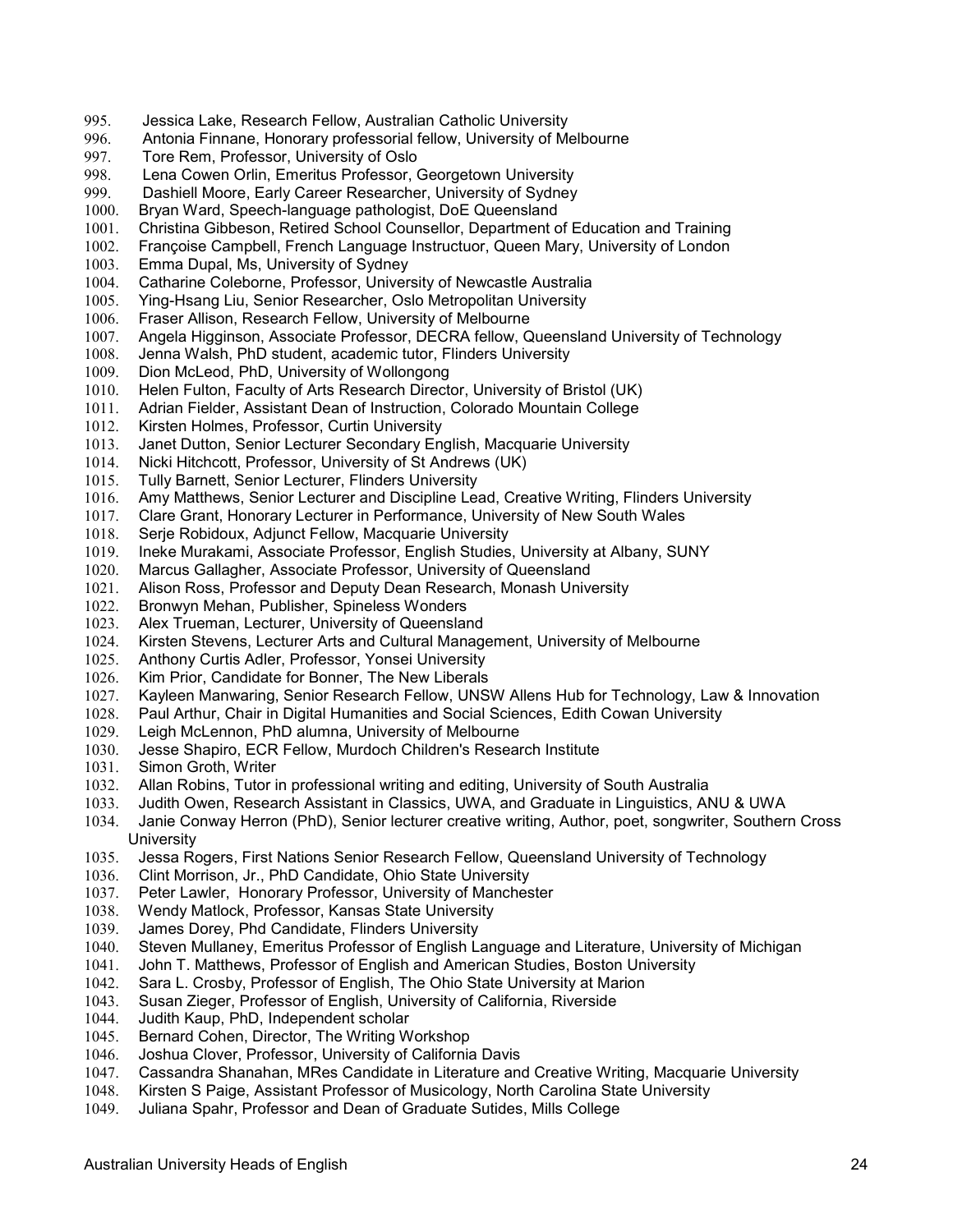- 995. Jessica Lake, Research Fellow, Australian Catholic University
- 996. Antonia Finnane, Honorary professorial fellow, University of Melbourne
- 997. Tore Rem, Professor, University of Oslo<br>998. Lena Cowen Orlin, Emeritus Professor, (
- Lena Cowen Orlin, Emeritus Professor, Georgetown University
- 999. Dashiell Moore, Early Career Researcher, University of Sydney
- 1000. Bryan Ward, Speech-language pathologist, DoE Queensland
- 1001. Christina Gibbeson, Retired School Counsellor, Department of Education and Training
- 1002. Françoise Campbell, French Language Instructuor, Queen Mary, University of London<br>1003. Emma Dupal, Ms. University of Sydney
- Emma Dupal, Ms, University of Sydney
- 1004. Catharine Coleborne, Professor, University of Newcastle Australia
- 1005. Ying-Hsang Liu, Senior Researcher, Oslo Metropolitan University<br>1006. Fraser Allison, Research Fellow, University of Melbourne
- Fraser Allison, Research Fellow, University of Melbourne
- 1007. Angela Higginson, Associate Professor, DECRA fellow, Queensland University of Technology<br>1008. Jenna Walsh, PhD student, academic tutor, Flinders University
- Jenna Walsh, PhD student, academic tutor, Flinders University
- 1009. Dion McLeod, PhD, University of Wollongong
- 1010. Helen Fulton, Faculty of Arts Research Director, University of Bristol (UK)
- 1011. Adrian Fielder, Assistant Dean of Instruction, Colorado Mountain College
- 1012. Kirsten Holmes, Professor, Curtin University
- Janet Dutton, Senior Lecturer Secondary English, Macquarie University
- 1014. Nicki Hitchcott, Professor, University of St Andrews (UK)
- 1015. Tully Barnett, Senior Lecturer, Flinders University<br>1016. Amy Matthews, Senior Lecturer and Discipline Lea
- Amy Matthews, Senior Lecturer and Discipline Lead, Creative Writing, Flinders University
- 1017. Clare Grant, Honorary Lecturer in Performance, University of New South Wales
- 1018. Serje Robidoux, Adjunct Fellow, Macquarie University
- 1019. Ineke Murakami, Associate Professor, English Studies, University at Albany, SUNY
- 1020. Marcus Gallagher, Associate Professor, University of Queensland
- 1021. Alison Ross, Professor and Deputy Dean Research, Monash University
- 1022. Bronwyn Mehan, Publisher, Spineless Wonders
- 1023. Alex Trueman, Lecturer, University of Queensland
- 1024. Kirsten Stevens, Lecturer Arts and Cultural Management, University of Melbourne
- 1025. Anthony Curtis Adler, Professor, Yonsei University
- 1026. Kim Prior, Candidate for Bonner, The New Liberals
- 1027. Kayleen Manwaring, Senior Research Fellow, UNSW Allens Hub for Technology, Law & Innovation
- 1028. Paul Arthur, Chair in Digital Humanities and Social Sciences, Edith Cowan University
- 1029. Leigh McLennon, PhD alumna, University of Melbourne
- 1030. Jesse Shapiro, ECR Fellow, Murdoch Children's Research Institute
- 1031. Simon Groth, Writer
- 1032. Allan Robins, Tutor in professional writing and editing, University of South Australia
- 1033. Judith Owen, Research Assistant in Classics, UWA, and Graduate in Linguistics, ANU & UWA
- 1034. Janie Conway Herron (PhD), Senior lecturer creative writing, Author, poet, songwriter, Southern Cross **University**
- 1035. Jessa Rogers, First Nations Senior Research Fellow, Queensland University of Technology
- 1036. Clint Morrison, Jr., PhD Candidate, Ohio State University
- 1037. Peter Lawler, Honorary Professor, University of Manchester
- 1038. Wendy Matlock, Professor, Kansas State University
- 1039. James Dorey, Phd Candidate, Flinders University
- 1040. Steven Mullaney, Emeritus Professor of English Language and Literature, University of Michigan
- 1041. John T. Matthews, Professor of English and American Studies, Boston University
- 1042. Sara L. Crosby, Professor of English, The Ohio State University at Marion<br>1043. Susan Zieger, Professor of English, University of California, Riverside
- Susan Zieger, Professor of English, University of California, Riverside
- 1044. Judith Kaup, PhD, Independent scholar<br>1045. Bernard Cohen, Director, The Writing W
- Bernard Cohen, Director, The Writing Workshop
- 1046. Joshua Clover, Professor, University of California Davis
- 1047. Cassandra Shanahan, MRes Candidate in Literature and Creative Writing, Macquarie University
- 1048. Kirsten S Paige, Assistant Professor of Musicology, North Carolina State University
- 1049. Juliana Spahr, Professor and Dean of Graduate Sutides, Mills College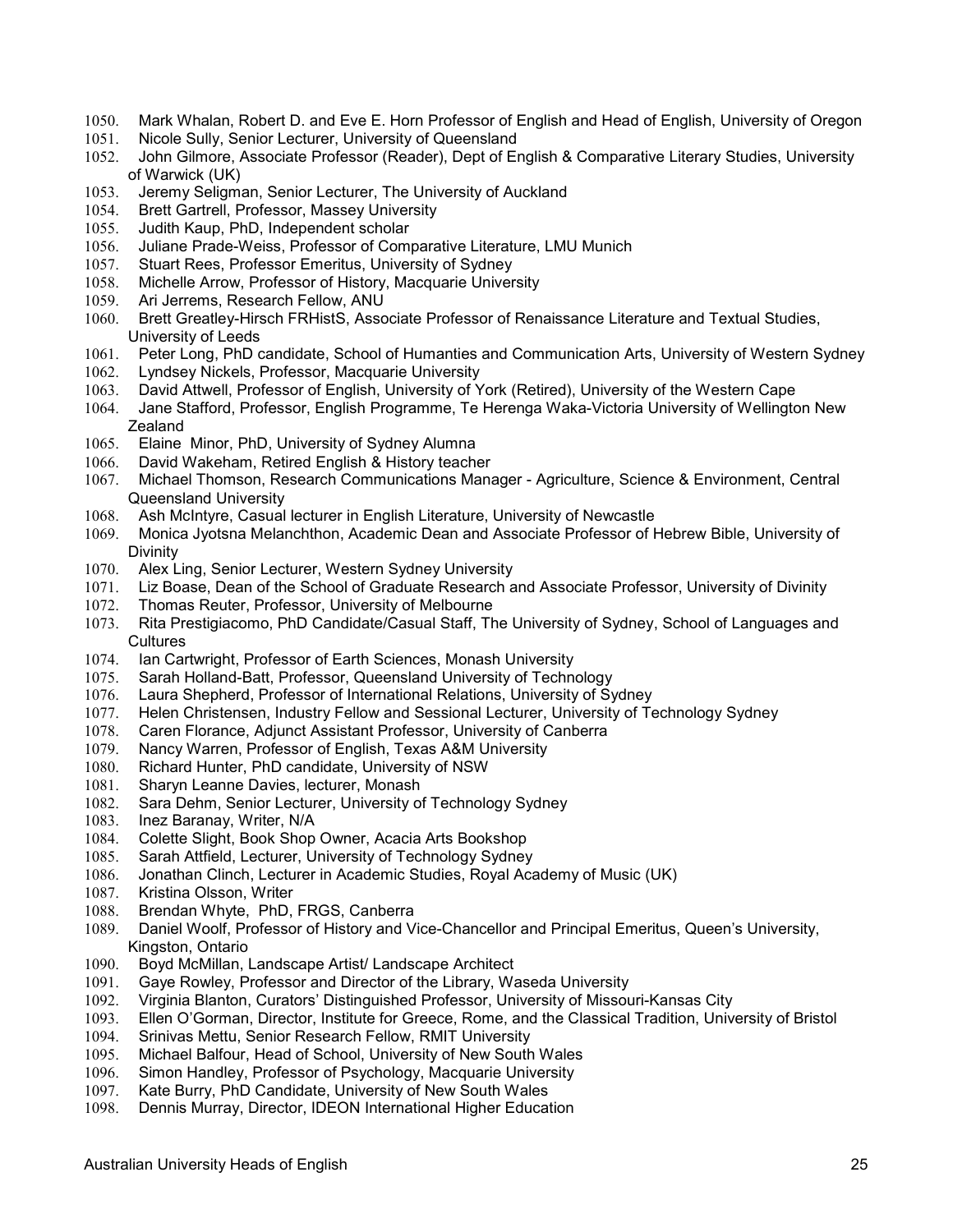- 1050. Mark Whalan, Robert D. and Eve E. Horn Professor of English and Head of English, University of Oregon
- 1051. Nicole Sully, Senior Lecturer, University of Queensland
- 1052. John Gilmore, Associate Professor (Reader), Dept of English & Comparative Literary Studies, University of Warwick (UK)
- 1053. Jeremy Seligman, Senior Lecturer, The University of Auckland
- 1054. Brett Gartrell, Professor, Massey University
- 1055. Judith Kaup, PhD, Independent scholar
- 1056. Juliane Prade-Weiss, Professor of Comparative Literature, LMU Munich 1057. Stuart Rees, Professor Emeritus, University of Sydney
- Stuart Rees, Professor Emeritus, University of Sydney
- 1058. Michelle Arrow, Professor of History, Macquarie University
- 1059. Ari Jerrems, Research Fellow, ANU<br>1060. Brett Greatley-Hirsch FRHistS, Asso
- 1060. Brett Greatley-Hirsch FRHistS, Associate Professor of Renaissance Literature and Textual Studies, University of Leeds
- 1061. Peter Long, PhD candidate, School of Humanties and Communication Arts, University of Western Sydney
- 1062. Lyndsey Nickels, Professor, Macquarie University
- 1063. David Attwell, Professor of English, University of York (Retired), University of the Western Cape
- 1064. Jane Stafford, Professor, English Programme, Te Herenga Waka-Victoria University of Wellington New **Zealand**
- 1065. Elaine Minor, PhD, University of Sydney Alumna
- 1066. David Wakeham, Retired English & History teacher
- 1067. Michael Thomson, Research Communications Manager Agriculture, Science & Environment, Central Queensland University
- 1068. Ash McIntyre, Casual lecturer in English Literature, University of Newcastle
- 1069. Monica Jyotsna Melanchthon, Academic Dean and Associate Professor of Hebrew Bible, University of Divinity
- 1070. Alex Ling, Senior Lecturer, Western Sydney University
- 1071. Liz Boase, Dean of the School of Graduate Research and Associate Professor, University of Divinity
- 1072. Thomas Reuter, Professor, University of Melbourne
- 1073. Rita Prestigiacomo, PhD Candidate/Casual Staff, The University of Sydney, School of Languages and **Cultures**
- 1074. Ian Cartwright, Professor of Earth Sciences, Monash University
- 1075. Sarah Holland-Batt, Professor, Queensland University of Technology
- 1076. Laura Shepherd, Professor of International Relations, University of Sydney
- 1077. Helen Christensen, Industry Fellow and Sessional Lecturer, University of Technology Sydney
- 1078. Caren Florance, Adjunct Assistant Professor, University of Canberra
- 1079. Nancy Warren, Professor of English, Texas A&M University
- 1080. Richard Hunter, PhD candidate, University of NSW
- 1081. Sharyn Leanne Davies, lecturer, Monash
- 1082. Sara Dehm, Senior Lecturer, University of Technology Sydney
- 1083. Inez Baranay, Writer, N/A
- 1084. Colette Slight, Book Shop Owner, Acacia Arts Bookshop
- 1085. Sarah Attfield, Lecturer, University of Technology Sydney
- 1086. Jonathan Clinch, Lecturer in Academic Studies, Royal Academy of Music (UK)
- 1087. Kristina Olsson, Writer
- 1088. Brendan Whyte, PhD, FRGS, Canberra
- 1089. Daniel Woolf, Professor of History and Vice-Chancellor and Principal Emeritus, Queen's University, Kingston, Ontario
- 1090. Boyd McMillan, Landscape Artist/ Landscape Architect
- 1091. Gaye Rowley, Professor and Director of the Library, Waseda University
- 1092. Virginia Blanton, Curators' Distinguished Professor, University of Missouri-Kansas City
- 1093. Ellen O'Gorman, Director, Institute for Greece, Rome, and the Classical Tradition, University of Bristol
- 1094. Srinivas Mettu, Senior Research Fellow, RMIT University
- 1095. Michael Balfour, Head of School, University of New South Wales
- 1096. Simon Handley, Professor of Psychology, Macquarie University
- 1097. Kate Burry, PhD Candidate, University of New South Wales
- 1098. Dennis Murray, Director, IDEON International Higher Education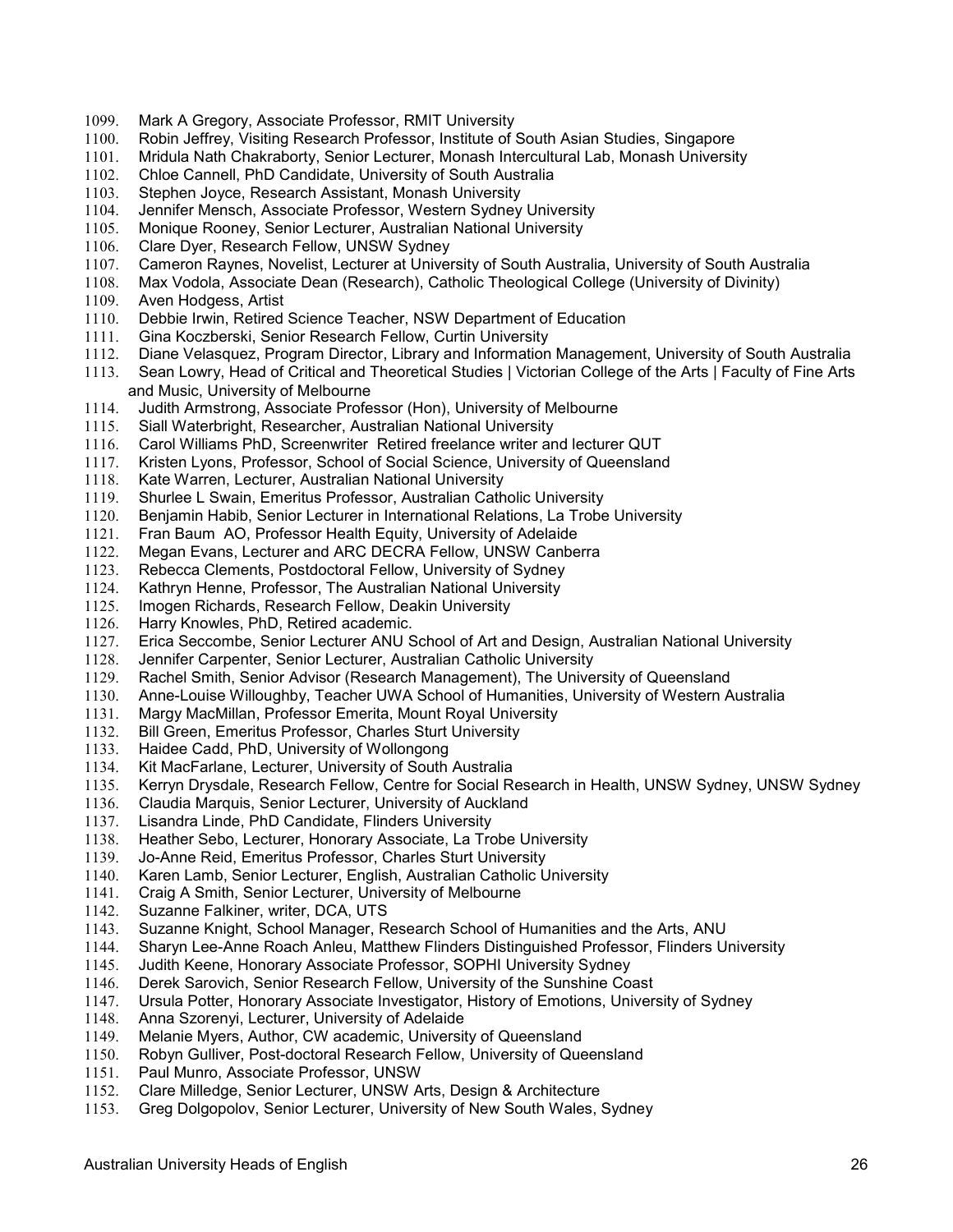- 1099. Mark A Gregory, Associate Professor, RMIT University
- 1100. Robin Jeffrey, Visiting Research Professor, Institute of South Asian Studies, Singapore
- 1101. Mridula Nath Chakraborty, Senior Lecturer, Monash Intercultural Lab, Monash University
- 1102. Chloe Cannell, PhD Candidate, University of South Australia
- 1103. Stephen Joyce, Research Assistant, Monash University
- 1104. Jennifer Mensch, Associate Professor, Western Sydney University
- 1105. Monique Rooney, Senior Lecturer, Australian National University
- 1106. Clare Dyer, Research Fellow, UNSW Sydney<br>1107. Cameron Ravnes, Novelist, Lecturer at Unive
- 1107. Cameron Raynes, Novelist, Lecturer at University of South Australia, University of South Australia
- 1108. Max Vodola, Associate Dean (Research), Catholic Theological College (University of Divinity)
- 1109. Aven Hodgess, Artist<br>1110. Debbie Irwin, Retired
- Debbie Irwin, Retired Science Teacher, NSW Department of Education
- 1111. Gina Koczberski, Senior Research Fellow, Curtin University
- 1112. Diane Velasquez, Program Director, Library and Information Management, University of South Australia
- 1113. Sean Lowry, Head of Critical and Theoretical Studies | Victorian College of the Arts | Faculty of Fine Arts and Music, University of Melbourne
- 1114. Judith Armstrong, Associate Professor (Hon), University of Melbourne
- 1115. Siall Waterbright, Researcher, Australian National University
- Carol Williams PhD, Screenwriter Retired freelance writer and lecturer QUT
- 1117. Kristen Lyons, Professor, School of Social Science, University of Queensland
- 1118. Kate Warren, Lecturer, Australian National University<br>1119. Shurlee L Swain, Emeritus Professor, Australian Cath
- 1119. Shurlee L Swain, Emeritus Professor, Australian Catholic University
- 1120. Benjamin Habib, Senior Lecturer in International Relations, La Trobe University
- 1121. Fran Baum AO, Professor Health Equity, University of Adelaide
- 1122. Megan Evans, Lecturer and ARC DECRA Fellow, UNSW Canberra
- 1123. Rebecca Clements, Postdoctoral Fellow, University of Sydney
- 1124. Kathryn Henne, Professor, The Australian National University
- 1125. Imogen Richards, Research Fellow, Deakin University
- 1126. Harry Knowles, PhD, Retired academic.
- 1127. Erica Seccombe, Senior Lecturer ANU School of Art and Design, Australian National University
- 1128. Jennifer Carpenter, Senior Lecturer, Australian Catholic University<br>1129. Rachel Smith, Senior Advisor (Research Management), The Univer
- Rachel Smith, Senior Advisor (Research Management), The University of Queensland
- 1130. Anne-Louise Willoughby, Teacher UWA School of Humanities, University of Western Australia
- 1131. Margy MacMillan, Professor Emerita, Mount Royal University
- 1132. Bill Green, Emeritus Professor, Charles Sturt University
- 1133. Haidee Cadd, PhD, University of Wollongong
- 1134. Kit MacFarlane, Lecturer, University of South Australia
- 1135. Kerryn Drysdale, Research Fellow, Centre for Social Research in Health, UNSW Sydney, UNSW Sydney
- 1136. Claudia Marquis, Senior Lecturer, University of Auckland
- 1137. Lisandra Linde, PhD Candidate, Flinders University
- 1138. Heather Sebo, Lecturer, Honorary Associate, La Trobe University<br>1139. Jo-Anne Reid, Emeritus Professor, Charles Sturt University
- Jo-Anne Reid, Emeritus Professor, Charles Sturt University
- 1140. Karen Lamb, Senior Lecturer, English, Australian Catholic University
- 1141. Craig A Smith, Senior Lecturer, University of Melbourne
- 1142. Suzanne Falkiner, writer, DCA, UTS
- 1143. Suzanne Knight, School Manager, Research School of Humanities and the Arts, ANU
- 1144. Sharyn Lee-Anne Roach Anleu, Matthew Flinders Distinguished Professor, Flinders University
- 1145. Judith Keene, Honorary Associate Professor, SOPHI University Sydney
- 1146. Derek Sarovich, Senior Research Fellow, University of the Sunshine Coast 1147. Ursula Potter, Honorary Associate Investigator, History of Emotions, Univer
- Ursula Potter, Honorary Associate Investigator, History of Emotions, University of Sydney
- 1148. Anna Szorenyi, Lecturer, University of Adelaide
- 1149. Melanie Myers, Author, CW academic, University of Queensland<br>1150. Robyn Gulliver, Post-doctoral Research Fellow. University of Que
- 1150. Robyn Gulliver, Post-doctoral Research Fellow, University of Queensland
- 1151. Paul Munro, Associate Professor, UNSW<br>1152. Clare Milledge. Senior Lecturer. UNSW A
- Clare Milledge, Senior Lecturer, UNSW Arts, Design & Architecture
- 1153. Greg Dolgopolov, Senior Lecturer, University of New South Wales, Sydney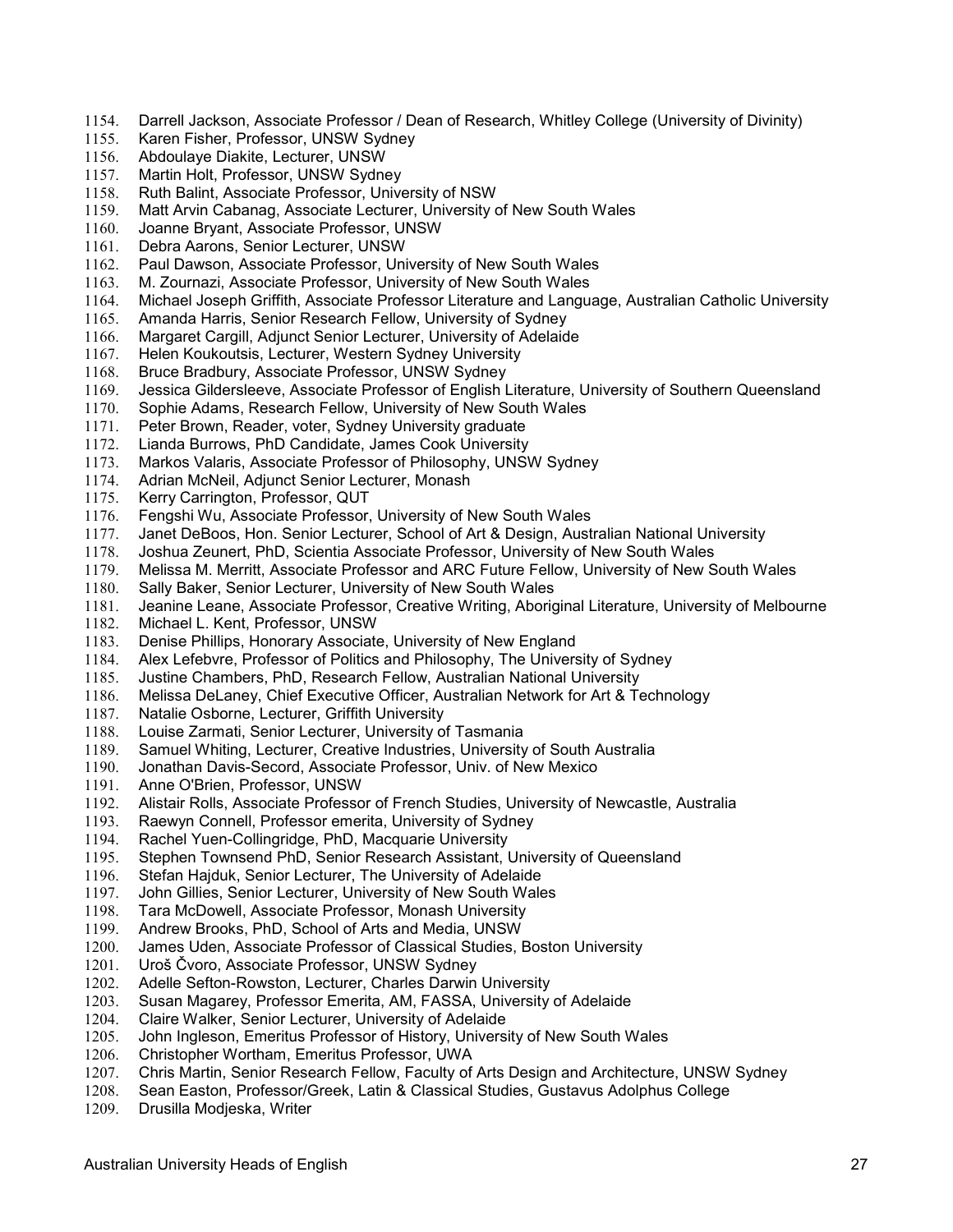- 1154. Darrell Jackson, Associate Professor / Dean of Research, Whitley College (University of Divinity)
- 1155. Karen Fisher, Professor, UNSW Sydney
- 1156. Abdoulaye Diakite, Lecturer, UNSW
- 1157. Martin Holt, Professor, UNSW Sydney
- 1158. Ruth Balint, Associate Professor, University of NSW
- 1159. Matt Arvin Cabanag, Associate Lecturer, University of New South Wales
- 1160. Joanne Bryant, Associate Professor, UNSW
- 1161. Debra Aarons, Senior Lecturer, UNSW<br>1162. Paul Dawson. Associate Professor. Uni
- Paul Dawson, Associate Professor, University of New South Wales
- 1163. M. Zournazi, Associate Professor, University of New South Wales
- 1164. Michael Joseph Griffith, Associate Professor Literature and Language, Australian Catholic University
- Amanda Harris, Senior Research Fellow, University of Sydney
- 1166. Margaret Cargill, Adjunct Senior Lecturer, University of Adelaide
- 1167. Helen Koukoutsis, Lecturer, Western Sydney University
- 1168. Bruce Bradbury, Associate Professor, UNSW Sydney
- 1169. Jessica Gildersleeve, Associate Professor of English Literature, University of Southern Queensland
- 1170. Sophie Adams, Research Fellow, University of New South Wales
- 1171. Peter Brown, Reader, voter, Sydney University graduate<br>1172. Lianda Burrows, PhD Candidate, James Cook University
- Lianda Burrows, PhD Candidate, James Cook University
- 1173. Markos Valaris, Associate Professor of Philosophy, UNSW Sydney
- 1174. Adrian McNeil, Adjunct Senior Lecturer, Monash<br>1175. Kerry Carrington, Professor, QUT
- Kerry Carrington, Professor, QUT
- 1176. Fengshi Wu, Associate Professor, University of New South Wales
- 1177. Janet DeBoos, Hon. Senior Lecturer, School of Art & Design, Australian National University
- 1178. Joshua Zeunert, PhD, Scientia Associate Professor, University of New South Wales
- 1179. Melissa M. Merritt, Associate Professor and ARC Future Fellow, University of New South Wales
- 1180. Sally Baker, Senior Lecturer, University of New South Wales
- 1181. Jeanine Leane, Associate Professor, Creative Writing, Aboriginal Literature, University of Melbourne
- 1182. Michael L. Kent, Professor, UNSW
- 1183. Denise Phillips, Honorary Associate, University of New England
- 1184. Alex Lefebvre, Professor of Politics and Philosophy, The University of Sydney<br>1185. Justine Chambers, PhD, Research Fellow, Australian National University
- Justine Chambers, PhD, Research Fellow, Australian National University
- 1186. Melissa DeLaney, Chief Executive Officer, Australian Network for Art & Technology
- 1187. Natalie Osborne, Lecturer, Griffith University
- 1188. Louise Zarmati, Senior Lecturer, University of Tasmania
- 1189. Samuel Whiting, Lecturer, Creative Industries, University of South Australia
- 1190. Jonathan Davis-Secord, Associate Professor, Univ. of New Mexico
- 1191. Anne O'Brien, Professor, UNSW
- 1192. Alistair Rolls, Associate Professor of French Studies, University of Newcastle, Australia
- 1193. Raewyn Connell, Professor emerita, University of Sydney
- 1194. Rachel Yuen-Collingridge, PhD, Macquarie University<br>1195. Stephen Townsend PhD, Senior Research Assistant, I
- Stephen Townsend PhD, Senior Research Assistant, University of Queensland
- 1196. Stefan Hajduk, Senior Lecturer, The University of Adelaide
- 1197. John Gillies, Senior Lecturer, University of New South Wales
- 1198. Tara McDowell, Associate Professor, Monash University
- 1199. Andrew Brooks, PhD, School of Arts and Media, UNSW
- 1200. James Uden, Associate Professor of Classical Studies, Boston University
- 1201. Uroš Čvoro, Associate Professor, UNSW Sydney
- 1202. Adelle Sefton-Rowston, Lecturer, Charles Darwin University<br>1203. Susan Magarey, Professor Emerita, AM, FASSA, University
- Susan Magarey, Professor Emerita, AM, FASSA, University of Adelaide
- 1204. Claire Walker, Senior Lecturer, University of Adelaide<br>1205. John Ingleson, Emeritus Professor of History, Universi
- John Ingleson, Emeritus Professor of History, University of New South Wales
- 1206. Christopher Wortham, Emeritus Professor, UWA
- 1207. Chris Martin, Senior Research Fellow, Faculty of Arts Design and Architecture, UNSW Sydney<br>1208. Sean Easton, Professor/Greek, Latin & Classical Studies, Gustavus Adolphus College
- Sean Easton, Professor/Greek, Latin & Classical Studies, Gustavus Adolphus College
- 1209. Drusilla Modjeska, Writer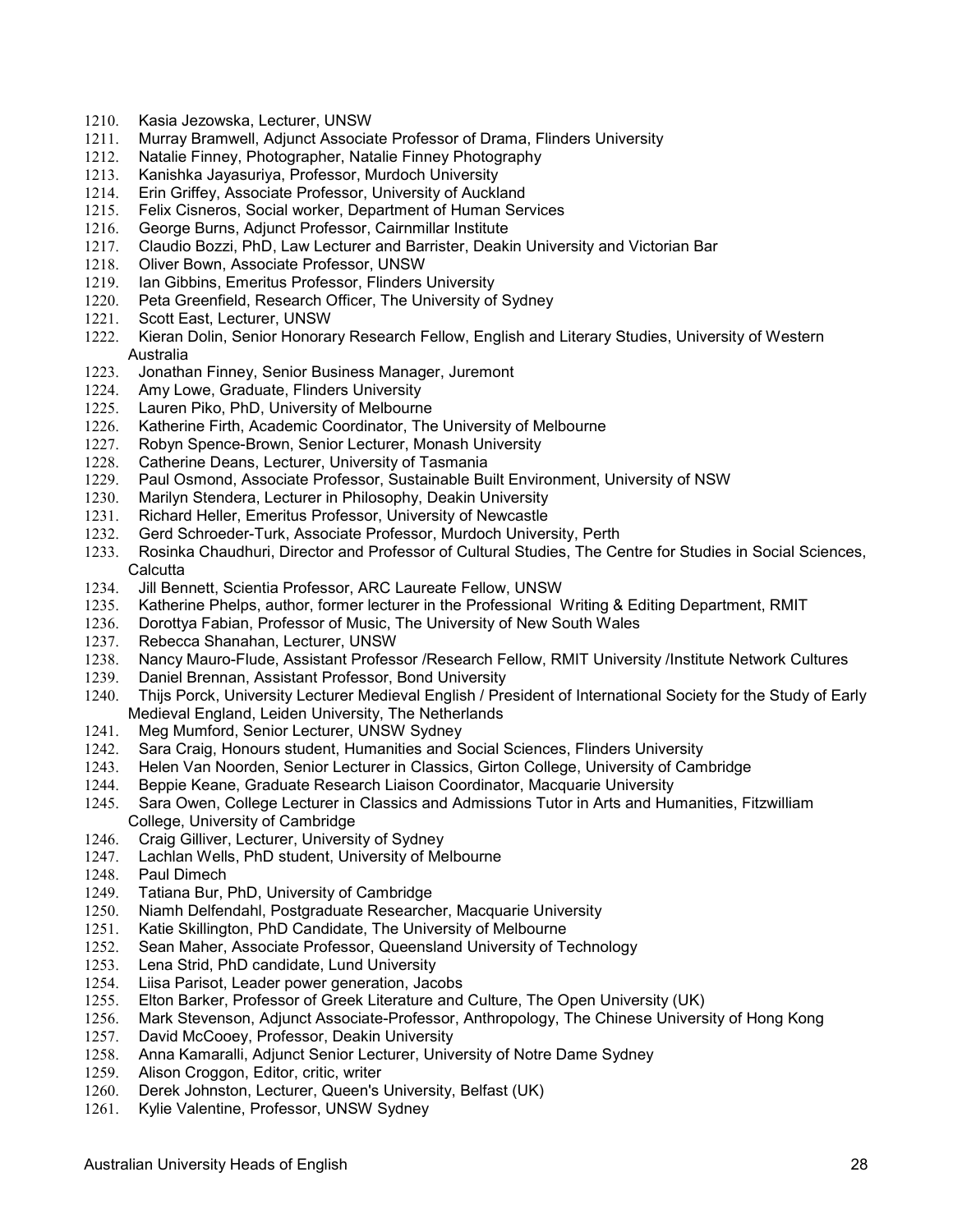- 1210. Kasia Jezowska, Lecturer, UNSW
- 1211. Murray Bramwell, Adjunct Associate Professor of Drama, Flinders University
- 1212. Natalie Finney, Photographer, Natalie Finney Photography
- 1213. Kanishka Jayasuriya, Professor, Murdoch University
- 1214. Erin Griffey, Associate Professor, University of Auckland
- 1215. Felix Cisneros, Social worker, Department of Human Services
- 1216. George Burns, Adjunct Professor, Cairnmillar Institute
- 1217. Claudio Bozzi, PhD, Law Lecturer and Barrister, Deakin University and Victorian Bar<br>1218. Oliver Bown, Associate Professor, UNSW
- 1218. Oliver Bown, Associate Professor, UNSW
- 1219. Ian Gibbins, Emeritus Professor, Flinders University
- 1220. Peta Greenfield, Research Officer, The University of Sydney<br>1221. Scott East, Lecturer, UNSW
- Scott East, Lecturer, UNSW
- 1222. Kieran Dolin, Senior Honorary Research Fellow, English and Literary Studies, University of Western Australia
- 1223. Jonathan Finney, Senior Business Manager, Juremont
- 1224. Amy Lowe, Graduate, Flinders University
- 1225. Lauren Piko, PhD, University of Melbourne
- 1226. Katherine Firth, Academic Coordinator, The University of Melbourne<br>1227. Robyn Spence-Brown, Senior Lecturer, Monash University
- Robyn Spence-Brown, Senior Lecturer, Monash University
- 1228. Catherine Deans, Lecturer, University of Tasmania
- 1229. Paul Osmond, Associate Professor, Sustainable Built Environment, University of NSW
- 1230. Marilyn Stendera, Lecturer in Philosophy, Deakin University
- 1231. Richard Heller, Emeritus Professor, University of Newcastle
- 1232. Gerd Schroeder-Turk, Associate Professor, Murdoch University, Perth
- 1233. Rosinka Chaudhuri, Director and Professor of Cultural Studies, The Centre for Studies in Social Sciences, **Calcutta**
- 1234. Jill Bennett, Scientia Professor, ARC Laureate Fellow, UNSW
- 1235. Katherine Phelps, author, former lecturer in the Professional Writing & Editing Department, RMIT
- 1236. Dorottya Fabian, Professor of Music, The University of New South Wales
- 1237. Rebecca Shanahan, Lecturer, UNSW
- 1238. Nancy Mauro-Flude, Assistant Professor /Research Fellow, RMIT University /Institute Network Cultures<br>1239. Daniel Brennan, Assistant Professor, Bond University
- Daniel Brennan, Assistant Professor, Bond University
- 1240. Thijs Porck, University Lecturer Medieval English / President of International Society for the Study of Early Medieval England, Leiden University, The Netherlands
- 1241. Meg Mumford, Senior Lecturer, UNSW Sydney
- 1242. Sara Craig, Honours student, Humanities and Social Sciences, Flinders University
- 1243. Helen Van Noorden, Senior Lecturer in Classics, Girton College, University of Cambridge
- 1244. Beppie Keane, Graduate Research Liaison Coordinator, Macquarie University
- 1245. Sara Owen, College Lecturer in Classics and Admissions Tutor in Arts and Humanities, Fitzwilliam College, University of Cambridge
- 1246. Craig Gilliver, Lecturer, University of Sydney
- 1247. Lachlan Wells, PhD student, University of Melbourne
- 1248. Paul Dimech
- 1249. Tatiana Bur, PhD, University of Cambridge
- 1250. Niamh Delfendahl, Postgraduate Researcher, Macquarie University
- 1251. Katie Skillington, PhD Candidate, The University of Melbourne
- 1252. Sean Maher, Associate Professor, Queensland University of Technology
- 1253. Lena Strid, PhD candidate, Lund University
- 1254. Liisa Parisot, Leader power generation, Jacobs<br>1255. Elton Barker, Professor of Greek Literature and
- Elton Barker, Professor of Greek Literature and Culture, The Open University (UK)
- 1256. Mark Stevenson, Adjunct Associate-Professor, Anthropology, The Chinese University of Hong Kong
- 1257. David McCooey, Professor, Deakin University
- 1258. Anna Kamaralli, Adjunct Senior Lecturer, University of Notre Dame Sydney
- 1259. Alison Croggon, Editor, critic, writer
- 1260. Derek Johnston, Lecturer, Queen's University, Belfast (UK)
- 1261. Kylie Valentine, Professor, UNSW Sydney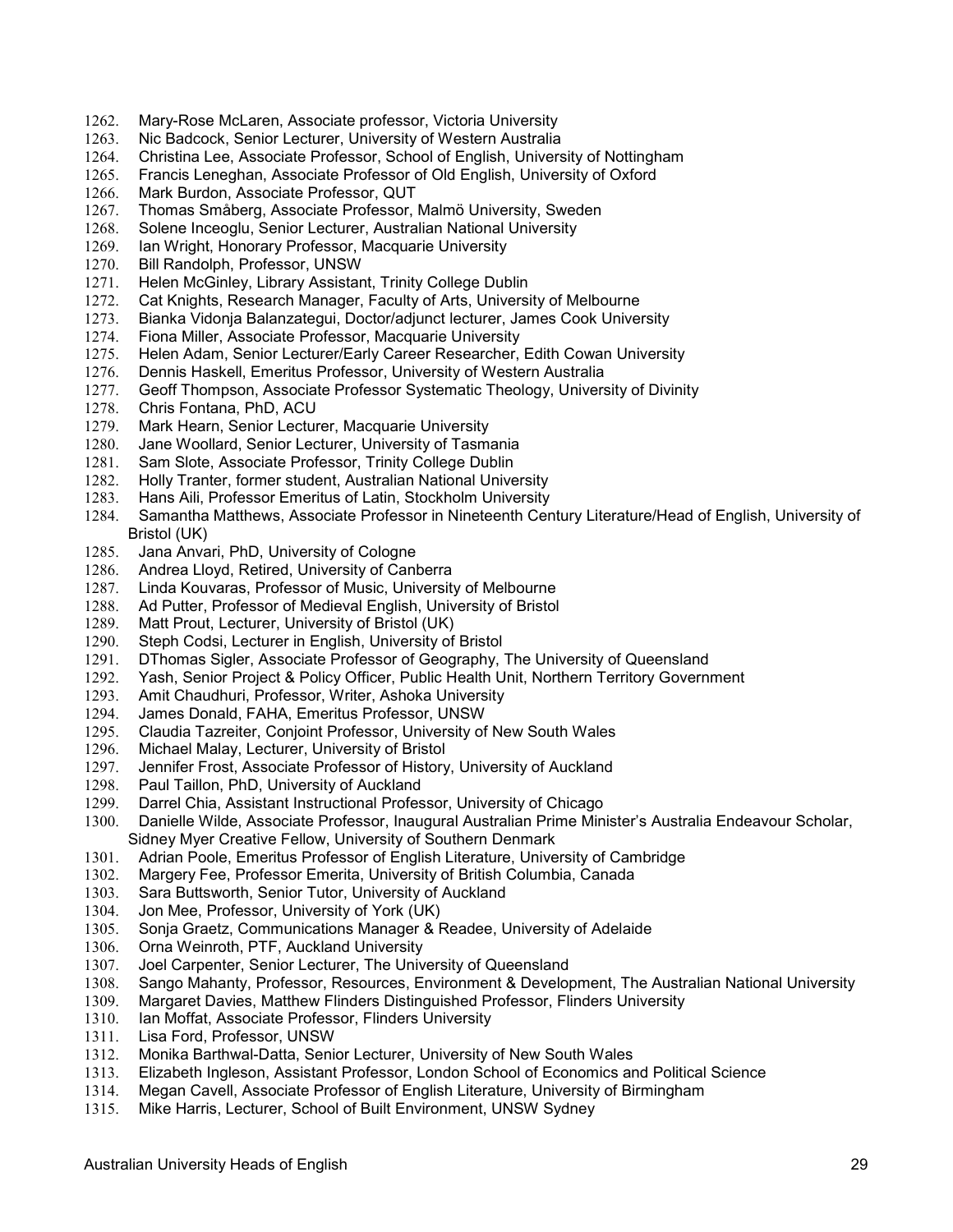- 1262. Mary-Rose McLaren, Associate professor, Victoria University
- 1263. Nic Badcock, Senior Lecturer, University of Western Australia
- 1264. Christina Lee, Associate Professor, School of English, University of Nottingham
- 1265. Francis Leneghan, Associate Professor of Old English, University of Oxford
- 1266. Mark Burdon, Associate Professor, QUT
- 1267. Thomas Småberg, Associate Professor, Malmö University, Sweden
- 1268. Solene Inceoglu, Senior Lecturer, Australian National University
- 1269. Ian Wright, Honorary Professor, Macquarie University<br>1270. Bill Randolph, Professor, UNSW
- Bill Randolph, Professor, UNSW
- 1271. Helen McGinley, Library Assistant, Trinity College Dublin
- 1272. Cat Knights, Research Manager, Faculty of Arts, University of Melbourne<br>1273. Bianka Vidonia Balanzatequi, Doctor/adjunct lecturer, James Cook Unive
- Bianka Vidonja Balanzategui, Doctor/adjunct lecturer, James Cook University
- 1274. Fiona Miller, Associate Professor, Macquarie University
- 1275. Helen Adam, Senior Lecturer/Early Career Researcher, Edith Cowan University
- 1276. Dennis Haskell, Emeritus Professor, University of Western Australia
- 1277. Geoff Thompson, Associate Professor Systematic Theology, University of Divinity
- 1278. Chris Fontana, PhD, ACU
- 1279. Mark Hearn, Senior Lecturer, Macquarie University<br>1280. Jane Woollard, Senior Lecturer, University of Tasm
- Jane Woollard, Senior Lecturer, University of Tasmania
- 1281. Sam Slote, Associate Professor, Trinity College Dublin
- 1282. Holly Tranter, former student, Australian National University
- 1283. Hans Aili, Professor Emeritus of Latin, Stockholm University
- 1284. Samantha Matthews, Associate Professor in Nineteenth Century Literature/Head of English, University of Bristol (UK)
- 1285. Jana Anvari, PhD, University of Cologne
- 1286. Andrea Lloyd, Retired, University of Canberra
- 1287. Linda Kouvaras, Professor of Music, University of Melbourne
- 1288. Ad Putter, Professor of Medieval English, University of Bristol
- 1289. Matt Prout, Lecturer, University of Bristol (UK)
- 1290. Steph Codsi, Lecturer in English, University of Bristol
- 1291. DThomas Sigler, Associate Professor of Geography, The University of Queensland<br>1292. Yash, Senior Project & Policy Officer, Public Health Unit, Northern Territory Governi
- Yash, Senior Project & Policy Officer, Public Health Unit, Northern Territory Government
- 1293. Amit Chaudhuri, Professor, Writer, Ashoka University
- 1294. James Donald, FAHA, Emeritus Professor, UNSW
- 1295. Claudia Tazreiter, Conjoint Professor, University of New South Wales
- 1296. Michael Malay, Lecturer, University of Bristol
- 1297. Jennifer Frost, Associate Professor of History, University of Auckland
- 1298. Paul Taillon, PhD, University of Auckland
- 1299. Darrel Chia, Assistant Instructional Professor, University of Chicago

1300. Danielle Wilde, Associate Professor, Inaugural Australian Prime Minister's Australia Endeavour Scholar, Sidney Myer Creative Fellow, University of Southern Denmark

- 1301. Adrian Poole, Emeritus Professor of English Literature, University of Cambridge
- 1302. Margery Fee, Professor Emerita, University of British Columbia, Canada
- 1303. Sara Buttsworth, Senior Tutor, University of Auckland
- 1304. Jon Mee, Professor, University of York (UK)
- 1305. Sonja Graetz, Communications Manager & Readee, University of Adelaide
- 1306. Orna Weinroth, PTF, Auckland University
- 1307. Joel Carpenter, Senior Lecturer, The University of Queensland
- 1308. Sango Mahanty, Professor, Resources, Environment & Development, The Australian National University<br>1309. Margaret Davies, Matthew Flinders Distinguished Professor, Flinders University
- Margaret Davies, Matthew Flinders Distinguished Professor, Flinders University
- 1310. Ian Moffat, Associate Professor, Flinders University<br>1311. Lisa Ford. Professor. UNSW
- Lisa Ford, Professor, UNSW
- 1312. Monika Barthwal-Datta, Senior Lecturer, University of New South Wales
- 1313. Elizabeth Ingleson, Assistant Professor, London School of Economics and Political Science
- 1314. Megan Cavell, Associate Professor of English Literature, University of Birmingham
- 1315. Mike Harris, Lecturer, School of Built Environment, UNSW Sydney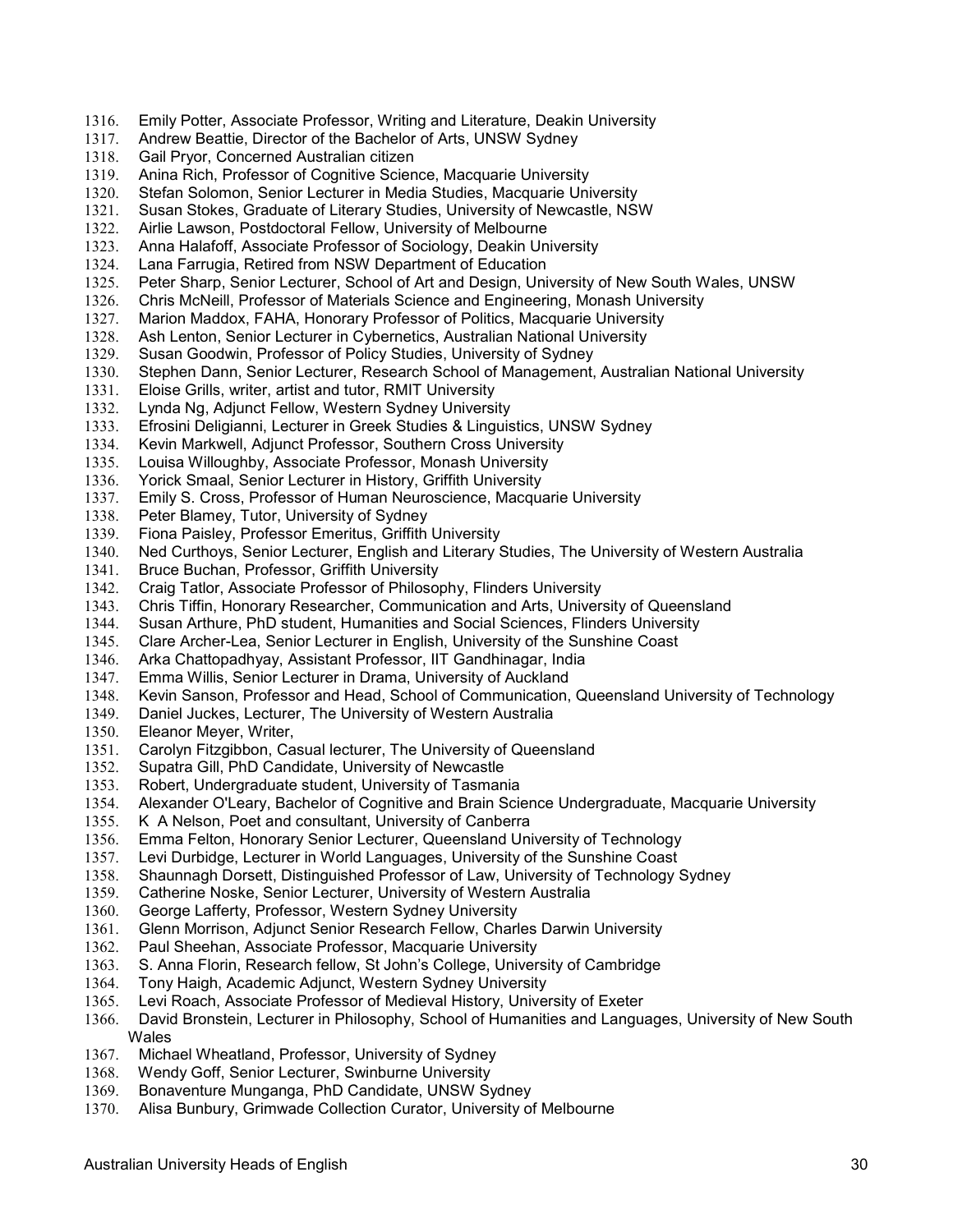- 1316. Emily Potter, Associate Professor, Writing and Literature, Deakin University
- 1317. Andrew Beattie, Director of the Bachelor of Arts, UNSW Sydney
- 1318. Gail Pryor, Concerned Australian citizen<br>1319. Anina Rich, Professor of Cognitive Scien
- Anina Rich, Professor of Cognitive Science, Macquarie University
- 1320. Stefan Solomon, Senior Lecturer in Media Studies, Macquarie University
- 1321. Susan Stokes, Graduate of Literary Studies, University of Newcastle, NSW
- 1322. Airlie Lawson, Postdoctoral Fellow, University of Melbourne
- 1323. Anna Halafoff, Associate Professor of Sociology, Deakin University<br>1324. Lana Farrugia, Retired from NSW Department of Education
- Lana Farrugia, Retired from NSW Department of Education
- 1325. Peter Sharp, Senior Lecturer, School of Art and Design, University of New South Wales, UNSW
- 1326. Chris McNeill, Professor of Materials Science and Engineering, Monash University<br>1327. Marion Maddox, FAHA, Honorary Professor of Politics, Macquarie University
- Marion Maddox, FAHA, Honorary Professor of Politics, Macquarie University
- 1328. Ash Lenton, Senior Lecturer in Cybernetics, Australian National University
- 1329. Susan Goodwin, Professor of Policy Studies, University of Sydney
- 1330. Stephen Dann, Senior Lecturer, Research School of Management, Australian National University
- 1331. Eloise Grills, writer, artist and tutor, RMIT University
- 1332. Lynda Ng, Adjunct Fellow, Western Sydney University
- 1333. Efrosini Deligianni, Lecturer in Greek Studies & Linguistics, UNSW Sydney
- Kevin Markwell, Adjunct Professor, Southern Cross University
- 1335. Louisa Willoughby, Associate Professor, Monash University
- 1336. Yorick Smaal, Senior Lecturer in History, Griffith University<br>1337. Emily S. Cross, Professor of Human Neuroscience, Macqua
- Emily S. Cross, Professor of Human Neuroscience, Macquarie University
- 1338. Peter Blamey, Tutor, University of Sydney
- 1339. Fiona Paisley, Professor Emeritus, Griffith University
- 1340. Ned Curthoys, Senior Lecturer, English and Literary Studies, The University of Western Australia
- 1341. Bruce Buchan, Professor, Griffith University
- 1342. Craig Tatlor, Associate Professor of Philosophy, Flinders University
- 1343. Chris Tiffin, Honorary Researcher, Communication and Arts, University of Queensland
- 1344. Susan Arthure, PhD student, Humanities and Social Sciences, Flinders University
- 1345. Clare Archer-Lea, Senior Lecturer in English, University of the Sunshine Coast
- 1346. Arka Chattopadhyay, Assistant Professor, IIT Gandhinagar, India
- 1347. Emma Willis, Senior Lecturer in Drama, University of Auckland
- 1348. Kevin Sanson, Professor and Head, School of Communication, Queensland University of Technology
- 1349. Daniel Juckes, Lecturer, The University of Western Australia
- 1350. Eleanor Meyer, Writer,
- 1351. Carolyn Fitzgibbon, Casual lecturer, The University of Queensland
- 1352. Supatra Gill, PhD Candidate, University of Newcastle
- 1353. Robert, Undergraduate student, University of Tasmania
- 1354. Alexander O'Leary, Bachelor of Cognitive and Brain Science Undergraduate, Macquarie University
- 1355. K A Nelson, Poet and consultant, University of Canberra
- 1356. Emma Felton, Honorary Senior Lecturer, Queensland University of Technology
- 1357. Levi Durbidge, Lecturer in World Languages, University of the Sunshine Coast
- 1358. Shaunnagh Dorsett, Distinguished Professor of Law, University of Technology Sydney
- 1359. Catherine Noske, Senior Lecturer, University of Western Australia
- 1360. George Lafferty, Professor, Western Sydney University
- 1361. Glenn Morrison, Adjunct Senior Research Fellow, Charles Darwin University
- 1362. Paul Sheehan, Associate Professor, Macquarie University
- 1363. S. Anna Florin, Research fellow, St John's College, University of Cambridge
- 1364. Tony Haigh, Academic Adjunct, Western Sydney University
- 1365. Levi Roach, Associate Professor of Medieval History, University of Exeter
- 1366. David Bronstein, Lecturer in Philosophy, School of Humanities and Languages, University of New South Wales
- 1367. Michael Wheatland, Professor, University of Sydney
- 1368. Wendy Goff, Senior Lecturer, Swinburne University
- 1369. Bonaventure Munganga, PhD Candidate, UNSW Sydney
- 1370. Alisa Bunbury, Grimwade Collection Curator, University of Melbourne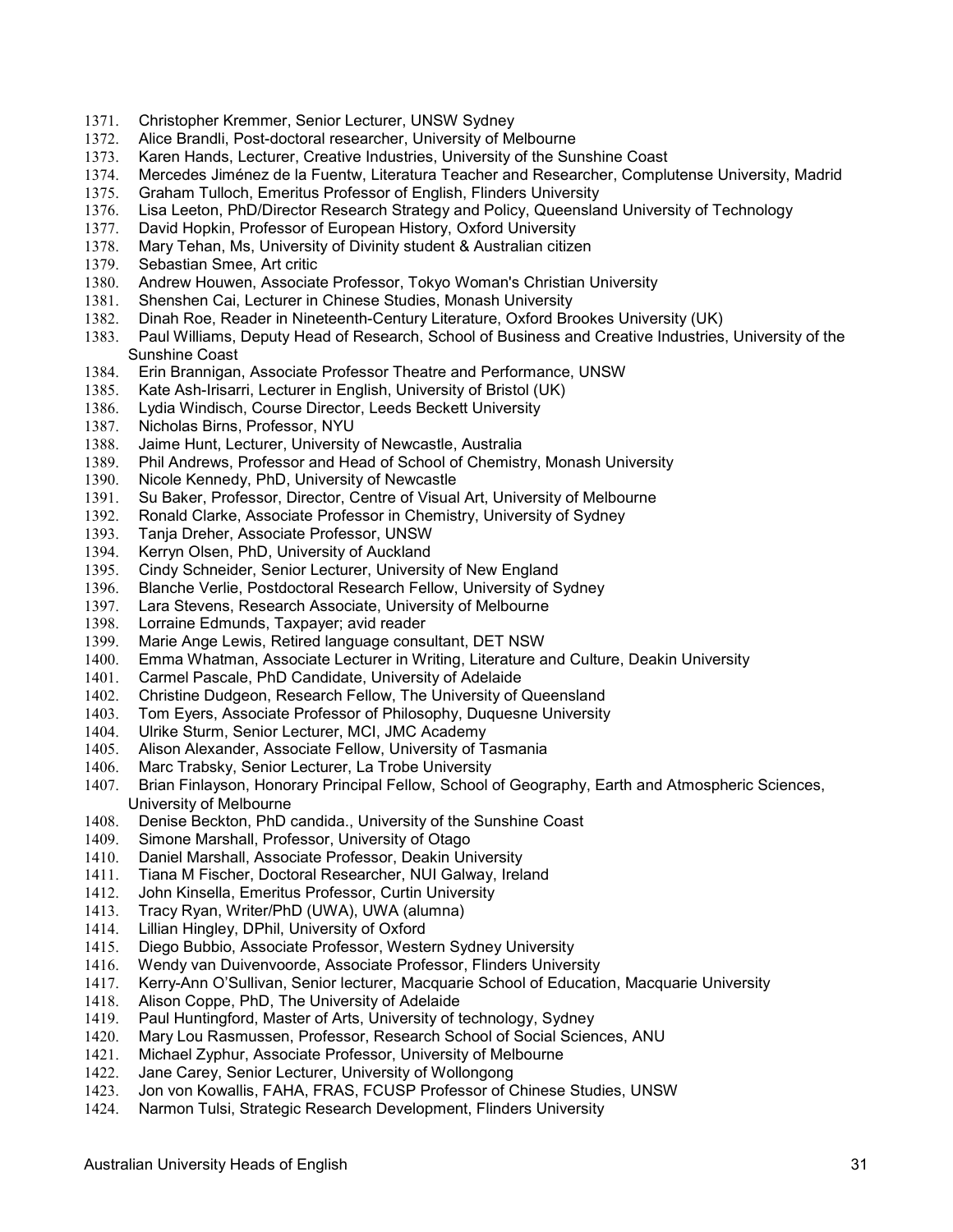- 1371. Christopher Kremmer, Senior Lecturer, UNSW Sydney
- 1372. Alice Brandli, Post-doctoral researcher, University of Melbourne
- 1373. Karen Hands, Lecturer, Creative Industries, University of the Sunshine Coast
- 1374. Mercedes Jiménez de la Fuentw, Literatura Teacher and Researcher, Complutense University, Madrid
- 1375. Graham Tulloch, Emeritus Professor of English, Flinders University
- 1376. Lisa Leeton, PhD/Director Research Strategy and Policy, Queensland University of Technology
- 1377. David Hopkin, Professor of European History, Oxford University
- 1378. Mary Tehan, Ms, University of Divinity student & Australian citizen<br>1379. Sebastian Smee, Art critic
- Sebastian Smee, Art critic
- 1380. Andrew Houwen, Associate Professor, Tokyo Woman's Christian University
- 1381. Shenshen Cai, Lecturer in Chinese Studies, Monash University<br>1382. Dinah Roe, Reader in Nineteenth-Century Literature, Oxford Bro
- Dinah Roe, Reader in Nineteenth-Century Literature, Oxford Brookes University (UK)
- 1383. Paul Williams, Deputy Head of Research, School of Business and Creative Industries, University of the Sunshine Coast
- 1384. Erin Brannigan, Associate Professor Theatre and Performance, UNSW
- 1385. Kate Ash-Irisarri, Lecturer in English, University of Bristol (UK)
- 1386. Lydia Windisch, Course Director, Leeds Beckett University
- 1387. Nicholas Birns, Professor, NYU<br>1388. Jaime Hunt. Lecturer. University
- Jaime Hunt, Lecturer, University of Newcastle, Australia
- 1389. Phil Andrews, Professor and Head of School of Chemistry, Monash University
- 1390. Nicole Kennedy, PhD, University of Newcastle<br>1391. Su Baker, Professor, Director, Centre of Visual
- Su Baker, Professor, Director, Centre of Visual Art, University of Melbourne
- 1392. Ronald Clarke, Associate Professor in Chemistry, University of Sydney
- 1393. Tanja Dreher, Associate Professor, UNSW
- 1394. Kerryn Olsen, PhD, University of Auckland
- 1395. Cindy Schneider, Senior Lecturer, University of New England
- 1396. Blanche Verlie, Postdoctoral Research Fellow, University of Sydney
- 1397. Lara Stevens, Research Associate, University of Melbourne
- 1398. Lorraine Edmunds, Taxpayer; avid reader
- 1399. Marie Ange Lewis, Retired language consultant, DET NSW
- 1400. Emma Whatman, Associate Lecturer in Writing, Literature and Culture, Deakin University
- 1401. Carmel Pascale, PhD Candidate, University of Adelaide
- 1402. Christine Dudgeon, Research Fellow, The University of Queensland
- 1403. Tom Eyers, Associate Professor of Philosophy, Duquesne University
- 1404. Ulrike Sturm, Senior Lecturer, MCI, JMC Academy
- 1405. Alison Alexander, Associate Fellow, University of Tasmania
- 1406. Marc Trabsky, Senior Lecturer, La Trobe University
- 1407. Brian Finlayson, Honorary Principal Fellow, School of Geography, Earth and Atmospheric Sciences, University of Melbourne
- 1408. Denise Beckton, PhD candida., University of the Sunshine Coast
- 1409. Simone Marshall, Professor, University of Otago
- 1410. Daniel Marshall, Associate Professor, Deakin University
- 1411. Tiana M Fischer, Doctoral Researcher, NUI Galway, Ireland
- 1412. John Kinsella, Emeritus Professor, Curtin University
- 1413. Tracy Ryan, Writer/PhD (UWA), UWA (alumna)
- 1414. Lillian Hingley, DPhil, University of Oxford
- 1415. Diego Bubbio, Associate Professor, Western Sydney University
- 1416. Wendy van Duivenvoorde, Associate Professor, Flinders University
- 1417. Kerry-Ann O'Sullivan, Senior lecturer, Macquarie School of Education, Macquarie University<br>1418. Alison Coppe, PhD, The University of Adelaide
- Alison Coppe, PhD, The University of Adelaide
- 1419. Paul Huntingford, Master of Arts, University of technology, Sydney<br>1420. Mary Lou Rasmussen, Professor, Research School of Social Scien
- Mary Lou Rasmussen, Professor, Research School of Social Sciences, ANU
- 1421. Michael Zyphur, Associate Professor, University of Melbourne
- 1422. Jane Carey, Senior Lecturer, University of Wollongong<br>1423. Jon von Kowallis. FAHA, FRAS, FCUSP Professor of C
- Jon von Kowallis, FAHA, FRAS, FCUSP Professor of Chinese Studies, UNSW
- 1424. Narmon Tulsi, Strategic Research Development, Flinders University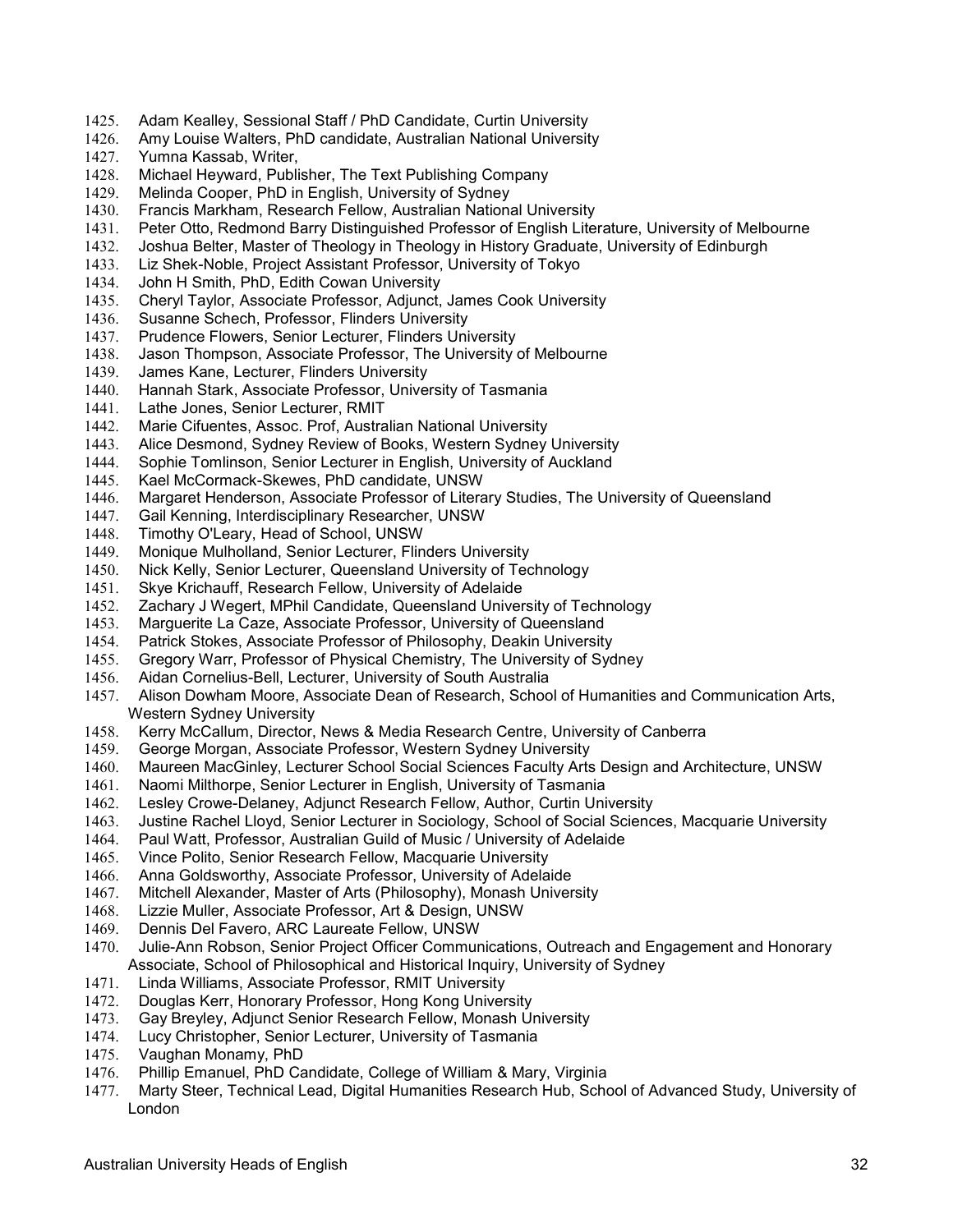- 1425. Adam Kealley, Sessional Staff / PhD Candidate, Curtin University
- 1426. Amy Louise Walters, PhD candidate, Australian National University
- 1427. Yumna Kassab, Writer,
- 1428. Michael Heyward, Publisher, The Text Publishing Company
- 1429. Melinda Cooper, PhD in English, University of Sydney
- 1430. Francis Markham, Research Fellow, Australian National University
- 1431. Peter Otto, Redmond Barry Distinguished Professor of English Literature, University of Melbourne
- 1432. Joshua Belter, Master of Theology in Theology in History Graduate, University of Edinburgh
- Liz Shek-Noble, Project Assistant Professor, University of Tokyo
- 1434. John H Smith, PhD, Edith Cowan University
- 1435. Cheryl Taylor, Associate Professor, Adjunct, James Cook University<br>1436. Susanne Schech, Professor, Flinders University
- Susanne Schech, Professor, Flinders University
- 1437. Prudence Flowers, Senior Lecturer, Flinders University
- 1438. Jason Thompson, Associate Professor, The University of Melbourne
- 1439. James Kane, Lecturer, Flinders University
- 1440. Hannah Stark, Associate Professor, University of Tasmania
- 1441. Lathe Jones, Senior Lecturer, RMIT
- 1442. Marie Cifuentes, Assoc. Prof, Australian National University
- Alice Desmond, Sydney Review of Books, Western Sydney University
- 1444. Sophie Tomlinson, Senior Lecturer in English, University of Auckland
- 1445. Kael McCormack-Skewes, PhD candidate, UNSW
- 1446. Margaret Henderson, Associate Professor of Literary Studies, The University of Queensland
- 1447. Gail Kenning, Interdisciplinary Researcher, UNSW
- 1448. Timothy O'Leary, Head of School, UNSW
- 1449. Monique Mulholland, Senior Lecturer, Flinders University
- 1450. Nick Kelly, Senior Lecturer, Queensland University of Technology
- 1451. Skye Krichauff, Research Fellow, University of Adelaide
- 1452. Zachary J Wegert, MPhil Candidate, Queensland University of Technology
- 1453. Marguerite La Caze, Associate Professor, University of Queensland
- 1454. Patrick Stokes, Associate Professor of Philosophy, Deakin University
- 1455. Gregory Warr, Professor of Physical Chemistry, The University of Sydney
- 1456. Aidan Cornelius-Bell, Lecturer, University of South Australia
- 1457. Alison Dowham Moore, Associate Dean of Research, School of Humanities and Communication Arts, Western Sydney University
- 1458. Kerry McCallum, Director, News & Media Research Centre, University of Canberra
- 1459. George Morgan, Associate Professor, Western Sydney University
- 1460. Maureen MacGinley, Lecturer School Social Sciences Faculty Arts Design and Architecture, UNSW
- 1461. Naomi Milthorpe, Senior Lecturer in English, University of Tasmania
- 1462. Lesley Crowe-Delaney, Adjunct Research Fellow, Author, Curtin University
- 1463. Justine Rachel Lloyd, Senior Lecturer in Sociology, School of Social Sciences, Macquarie University
- 1464. Paul Watt, Professor, Australian Guild of Music / University of Adelaide<br>1465. Vince Polito, Senior Research Fellow, Macquarie University
- 1465. Vince Polito, Senior Research Fellow, Macquarie University
- 1466. Anna Goldsworthy, Associate Professor, University of Adelaide
- 1467. Mitchell Alexander, Master of Arts (Philosophy), Monash University
- 1468. Lizzie Muller, Associate Professor, Art & Design, UNSW
- 1469. Dennis Del Favero, ARC Laureate Fellow, UNSW
- 1470. Julie-Ann Robson, Senior Project Officer Communications, Outreach and Engagement and Honorary Associate, School of Philosophical and Historical Inquiry, University of Sydney
- 1471. Linda Williams, Associate Professor, RMIT University<br>1472. Douglas Kerr, Honorary Professor, Hong Kong Univer
- Douglas Kerr, Honorary Professor, Hong Kong University
- 1473. Gay Breyley, Adjunct Senior Research Fellow, Monash University
- 1474. Lucy Christopher, Senior Lecturer, University of Tasmania
- 1475. Vaughan Monamy, PhD
- 1476. Phillip Emanuel, PhD Candidate, College of William & Mary, Virginia
- 1477. Marty Steer, Technical Lead, Digital Humanities Research Hub, School of Advanced Study, University of London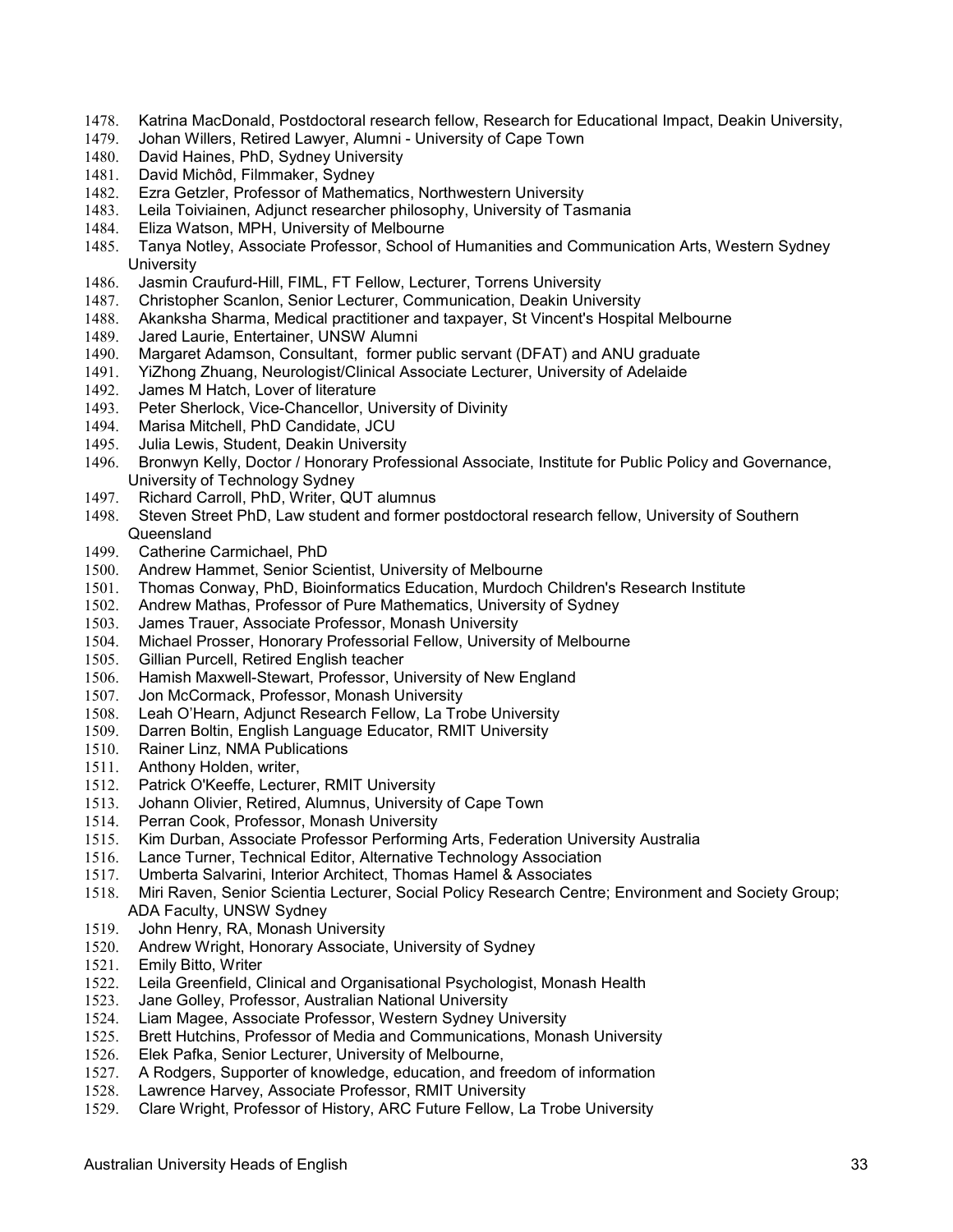- 1478. Katrina MacDonald, Postdoctoral research fellow, Research for Educational Impact, Deakin University,
- 1479. Johan Willers, Retired Lawyer, Alumni University of Cape Town<br>1480. David Haines. PhD, Sydney University
- David Haines, PhD, Sydney University
- 1481. David Michôd, Filmmaker, Sydney
- 1482. Ezra Getzler, Professor of Mathematics, Northwestern University
- 1483. Leila Toiviainen, Adjunct researcher philosophy, University of Tasmania
- 1484. Eliza Watson, MPH, University of Melbourne
- 1485. Tanya Notley, Associate Professor, School of Humanities and Communication Arts, Western Sydney **University**
- 1486. Jasmin Craufurd-Hill, FIML, FT Fellow, Lecturer, Torrens University
- 1487. Christopher Scanlon, Senior Lecturer, Communication, Deakin University
- 1488. Akanksha Sharma, Medical practitioner and taxpayer, St Vincent's Hospital Melbourne
- 1489. Jared Laurie, Entertainer, UNSW Alumni
- 1490. Margaret Adamson, Consultant, former public servant (DFAT) and ANU graduate
- 1491. YiZhong Zhuang, Neurologist/Clinical Associate Lecturer, University of Adelaide
- 1492. James M Hatch, Lover of literature
- 1493. Peter Sherlock, Vice-Chancellor, University of Divinity
- 1494. Marisa Mitchell, PhD Candidate, JCU<br>1495. Julia Lewis. Student. Deakin Universit
- Julia Lewis, Student, Deakin University
- 1496. Bronwyn Kelly, Doctor / Honorary Professional Associate, Institute for Public Policy and Governance, University of Technology Sydney
- 1497. Richard Carroll, PhD, Writer, QUT alumnus
- 1498. Steven Street PhD, Law student and former postdoctoral research fellow, University of Southern **Queensland**
- 1499. Catherine Carmichael, PhD
- 1500. Andrew Hammet, Senior Scientist, University of Melbourne
- 1501. Thomas Conway, PhD, Bioinformatics Education, Murdoch Children's Research Institute
- 1502. Andrew Mathas, Professor of Pure Mathematics, University of Sydney
- 1503. James Trauer, Associate Professor, Monash University<br>1504. Michael Prosser, Honorary Professorial Fellow, Univers
- Michael Prosser, Honorary Professorial Fellow, University of Melbourne
- 1505. Gillian Purcell, Retired English teacher
- 1506. Hamish Maxwell-Stewart, Professor, University of New England
- 1507. Jon McCormack, Professor, Monash University
- 1508. Leah O'Hearn, Adjunct Research Fellow, La Trobe University
- 1509. Darren Boltin, English Language Educator, RMIT University
- 1510. Rainer Linz, NMA Publications
- 1511. Anthony Holden, writer,
- 1512. Patrick O'Keeffe, Lecturer, RMIT University
- 1513. Johann Olivier, Retired, Alumnus, University of Cape Town
- 1514. Perran Cook, Professor, Monash University
- 1515. Kim Durban, Associate Professor Performing Arts, Federation University Australia
- 1516. Lance Turner, Technical Editor, Alternative Technology Association
- 1517. Umberta Salvarini, Interior Architect, Thomas Hamel & Associates
- 1518. Miri Raven, Senior Scientia Lecturer, Social Policy Research Centre; Environment and Society Group; ADA Faculty, UNSW Sydney
- 1519. John Henry, RA, Monash University
- 1520. Andrew Wright, Honorary Associate, University of Sydney
- 1521. Emily Bitto, Writer
- 1522. Leila Greenfield, Clinical and Organisational Psychologist, Monash Health
- Jane Golley, Professor, Australian National University
- 1524. Liam Magee, Associate Professor, Western Sydney University
- 1525. Brett Hutchins, Professor of Media and Communications, Monash University
- 1526. Elek Pafka, Senior Lecturer, University of Melbourne,
- 1527. A Rodgers, Supporter of knowledge, education, and freedom of information 1528. Lawrence Harvey. Associate Professor. RMIT University
- Lawrence Harvey, Associate Professor, RMIT University
- 1529. Clare Wright, Professor of History, ARC Future Fellow, La Trobe University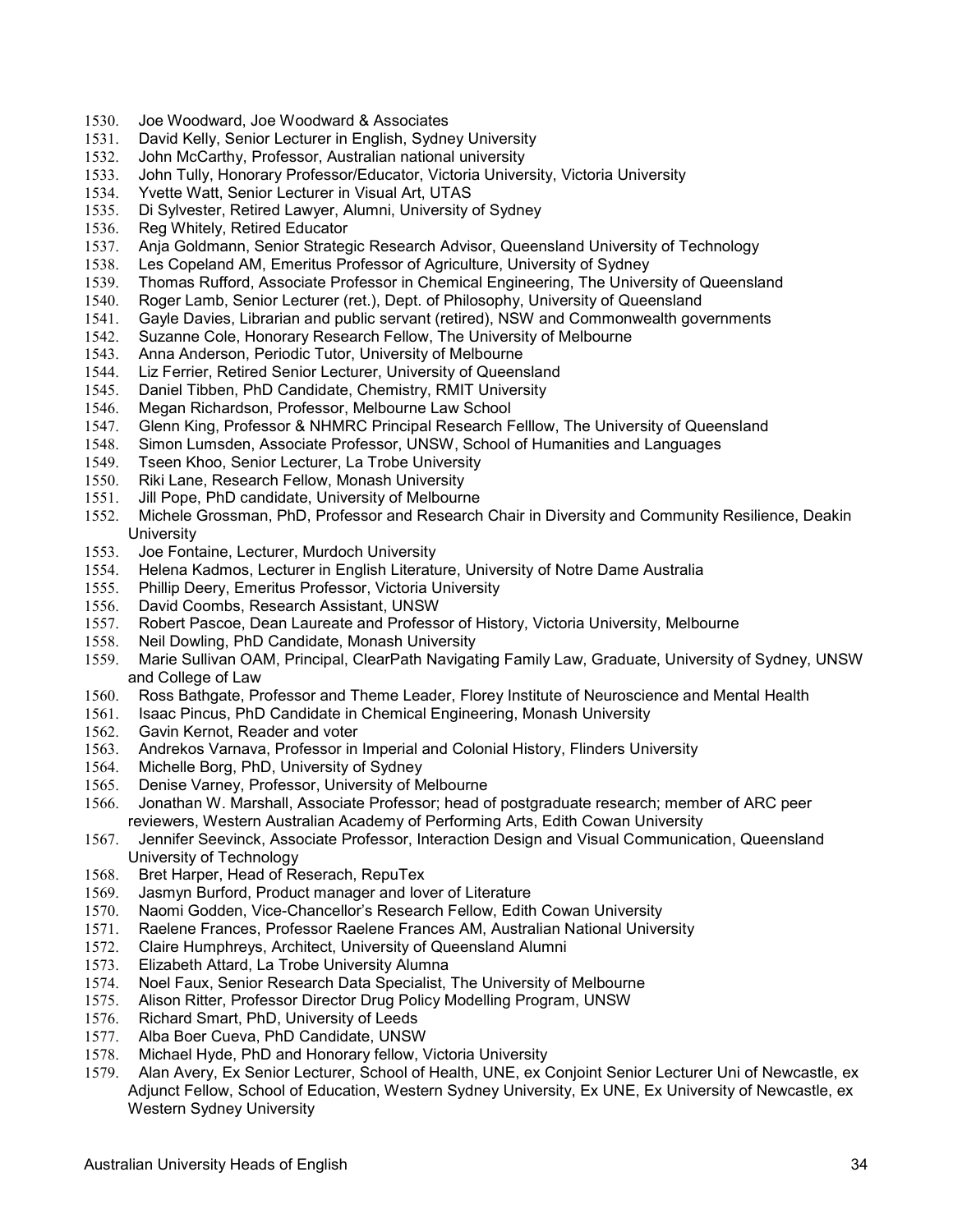- 1530. Joe Woodward, Joe Woodward & Associates
- 1531. David Kelly, Senior Lecturer in English, Sydney University
- 1532. John McCarthy, Professor, Australian national university
- 1533. John Tully, Honorary Professor/Educator, Victoria University, Victoria University
- 1534. Yvette Watt, Senior Lecturer in Visual Art, UTAS
- 1535. Di Sylvester, Retired Lawyer, Alumni, University of Sydney
- 1536. Reg Whitely, Retired Educator
- 1537. Anja Goldmann, Senior Strategic Research Advisor, Queensland University of Technology<br>1538. Les Copeland AM, Emeritus Professor of Agriculture, University of Sydney
- Les Copeland AM, Emeritus Professor of Agriculture, University of Sydney
- 1539. Thomas Rufford, Associate Professor in Chemical Engineering, The University of Queensland
- 1540. Roger Lamb, Senior Lecturer (ret.), Dept. of Philosophy, University of Queensland<br>1541. Gayle Davies, Librarian and public servant (retired), NSW and Commonwealth gov
- 1541. Gayle Davies, Librarian and public servant (retired), NSW and Commonwealth governments
- 1542. Suzanne Cole, Honorary Research Fellow, The University of Melbourne
- 1543. Anna Anderson, Periodic Tutor, University of Melbourne
- 1544. Liz Ferrier, Retired Senior Lecturer, University of Queensland
- 1545. Daniel Tibben, PhD Candidate, Chemistry, RMIT University
- 1546. Megan Richardson, Professor, Melbourne Law School
- 1547. Glenn King, Professor & NHMRC Principal Research Felllow, The University of Queensland<br>1548. Simon Lumsden, Associate Professor, UNSW, School of Humanities and Languages
- 1548. Simon Lumsden, Associate Professor, UNSW, School of Humanities and Languages
- Tseen Khoo, Senior Lecturer, La Trobe University
- 1550. Riki Lane, Research Fellow, Monash University
- 1551. Jill Pope, PhD candidate, University of Melbourne
- 1552. Michele Grossman, PhD, Professor and Research Chair in Diversity and Community Resilience, Deakin **University**
- 1553. Joe Fontaine, Lecturer, Murdoch University
- 1554. Helena Kadmos, Lecturer in English Literature, University of Notre Dame Australia
- 1555. Phillip Deery, Emeritus Professor, Victoria University
- 1556. David Coombs, Research Assistant, UNSW
- 1557. Robert Pascoe, Dean Laureate and Professor of History, Victoria University, Melbourne
- 1558. Neil Dowling, PhD Candidate, Monash University
- 1559. Marie Sullivan OAM, Principal, ClearPath Navigating Family Law, Graduate, University of Sydney, UNSW and College of Law
- 1560. Ross Bathgate, Professor and Theme Leader, Florey Institute of Neuroscience and Mental Health
- 1561. Isaac Pincus, PhD Candidate in Chemical Engineering, Monash University
- 1562. Gavin Kernot, Reader and voter
- 1563. Andrekos Varnava, Professor in Imperial and Colonial History, Flinders University
- 1564. Michelle Borg, PhD, University of Sydney
- 1565. Denise Varney, Professor, University of Melbourne
- 1566. Jonathan W. Marshall, Associate Professor; head of postgraduate research; member of ARC peer reviewers, Western Australian Academy of Performing Arts, Edith Cowan University
- 1567. Jennifer Seevinck, Associate Professor, Interaction Design and Visual Communication, Queensland University of Technology
- 1568. Bret Harper, Head of Reserach, RepuTex
- 1569. Jasmyn Burford, Product manager and lover of Literature
- 1570. Naomi Godden, Vice-Chancellor's Research Fellow, Edith Cowan University
- 1571. Raelene Frances, Professor Raelene Frances AM, Australian National University
- 1572. Claire Humphreys, Architect, University of Queensland Alumni
- 1573. Elizabeth Attard, La Trobe University Alumna
- 1574. Noel Faux, Senior Research Data Specialist, The University of Melbourne<br>1575. Alison Ritter, Professor Director Drug Policy Modelling Program, UNSW
- Alison Ritter, Professor Director Drug Policy Modelling Program, UNSW
- 1576. Richard Smart, PhD, University of Leeds
- 1577. Alba Boer Cueva, PhD Candidate, UNSW
- 1578. Michael Hyde, PhD and Honorary fellow, Victoria University
- 1579. Alan Avery, Ex Senior Lecturer, School of Health, UNE, ex Conjoint Senior Lecturer Uni of Newcastle, ex Adjunct Fellow, School of Education, Western Sydney University, Ex UNE, Ex University of Newcastle, ex Western Sydney University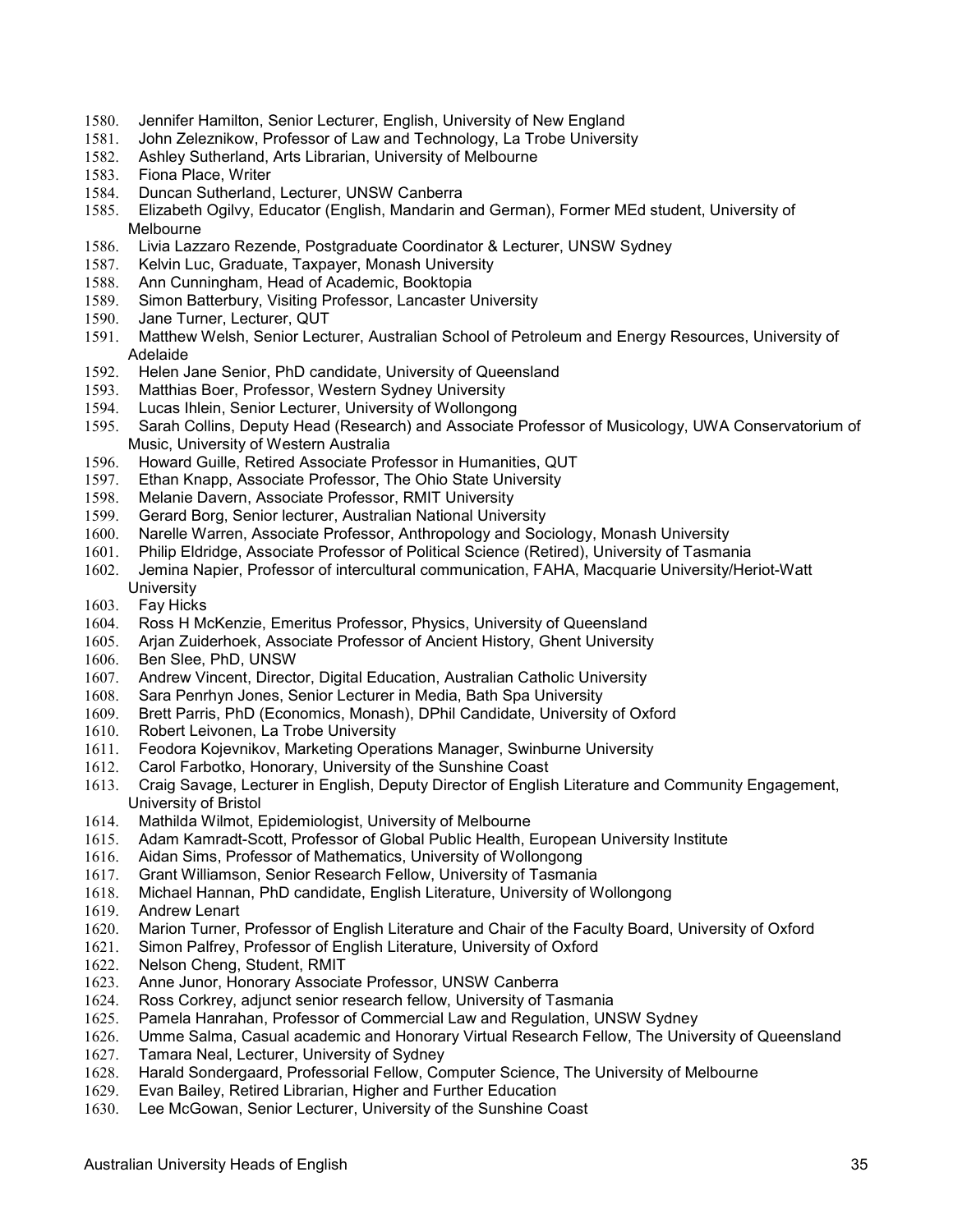- 1580. Jennifer Hamilton, Senior Lecturer, English, University of New England
- 1581. John Zeleznikow, Professor of Law and Technology, La Trobe University
- 1582. Ashley Sutherland, Arts Librarian, University of Melbourne
- 1583. Fiona Place, Writer
- 1584. Duncan Sutherland, Lecturer, UNSW Canberra
- 1585. Elizabeth Ogilvy, Educator (English, Mandarin and German), Former MEd student, University of Melbourne
- 1586. Livia Lazzaro Rezende, Postgraduate Coordinator & Lecturer, UNSW Sydney
- 1587. Kelvin Luc, Graduate, Taxpayer, Monash University
- 1588. Ann Cunningham, Head of Academic, Booktopia
- 1589. Simon Batterbury, Visiting Professor, Lancaster University<br>1590. Jane Turner, Lecturer, QUT
- Jane Turner, Lecturer, QUT
- 1591. Matthew Welsh, Senior Lecturer, Australian School of Petroleum and Energy Resources, University of Adelaide
- 1592. Helen Jane Senior, PhD candidate, University of Queensland
- 1593. Matthias Boer, Professor, Western Sydney University
- 1594. Lucas Ihlein, Senior Lecturer, University of Wollongong
- 1595. Sarah Collins, Deputy Head (Research) and Associate Professor of Musicology, UWA Conservatorium of Music, University of Western Australia
- 1596. Howard Guille, Retired Associate Professor in Humanities, QUT
- 1597. Ethan Knapp, Associate Professor, The Ohio State University
- 1598. Melanie Davern, Associate Professor, RMIT University
- 1599. Gerard Borg, Senior lecturer, Australian National University
- 1600. Narelle Warren, Associate Professor, Anthropology and Sociology, Monash University
- 1601. Philip Eldridge, Associate Professor of Political Science (Retired), University of Tasmania
- 1602. Jemina Napier, Professor of intercultural communication, FAHA, Macquarie University/Heriot-Watt **University**
- 1603. Fay Hicks
- 1604. Ross H McKenzie, Emeritus Professor, Physics, University of Queensland
- Arjan Zuiderhoek, Associate Professor of Ancient History, Ghent University
- 1606. Ben Slee, PhD, UNSW
- 1607. Andrew Vincent, Director, Digital Education, Australian Catholic University
- 1608. Sara Penrhyn Jones, Senior Lecturer in Media, Bath Spa University
- 1609. Brett Parris, PhD (Economics, Monash), DPhil Candidate, University of Oxford
- 1610. Robert Leivonen, La Trobe University
- 1611. Feodora Kojevnikov, Marketing Operations Manager, Swinburne University
- 1612. Carol Farbotko, Honorary, University of the Sunshine Coast
- 1613. Craig Savage, Lecturer in English, Deputy Director of English Literature and Community Engagement, University of Bristol
- 1614. Mathilda Wilmot, Epidemiologist, University of Melbourne
- 1615. Adam Kamradt-Scott, Professor of Global Public Health, European University Institute
- 1616. Aidan Sims, Professor of Mathematics, University of Wollongong
- 1617. Grant Williamson, Senior Research Fellow, University of Tasmania
- 1618. Michael Hannan, PhD candidate, English Literature, University of Wollongong
- 1619. Andrew Lenart
- 1620. Marion Turner, Professor of English Literature and Chair of the Faculty Board, University of Oxford
- 1621. Simon Palfrey, Professor of English Literature, University of Oxford
- 1622. Nelson Cheng, Student, RMIT
- 1623. Anne Junor, Honorary Associate Professor, UNSW Canberra
- 1624. Ross Corkrey, adjunct senior research fellow, University of Tasmania
- 1625. Pamela Hanrahan, Professor of Commercial Law and Regulation, UNSW Sydney
- 1626. Umme Salma, Casual academic and Honorary Virtual Research Fellow, The University of Queensland
- 1627. Tamara Neal, Lecturer, University of Sydney
- 1628. Harald Sondergaard, Professorial Fellow, Computer Science, The University of Melbourne
- 1629. Evan Bailey, Retired Librarian, Higher and Further Education
- 1630. Lee McGowan, Senior Lecturer, University of the Sunshine Coast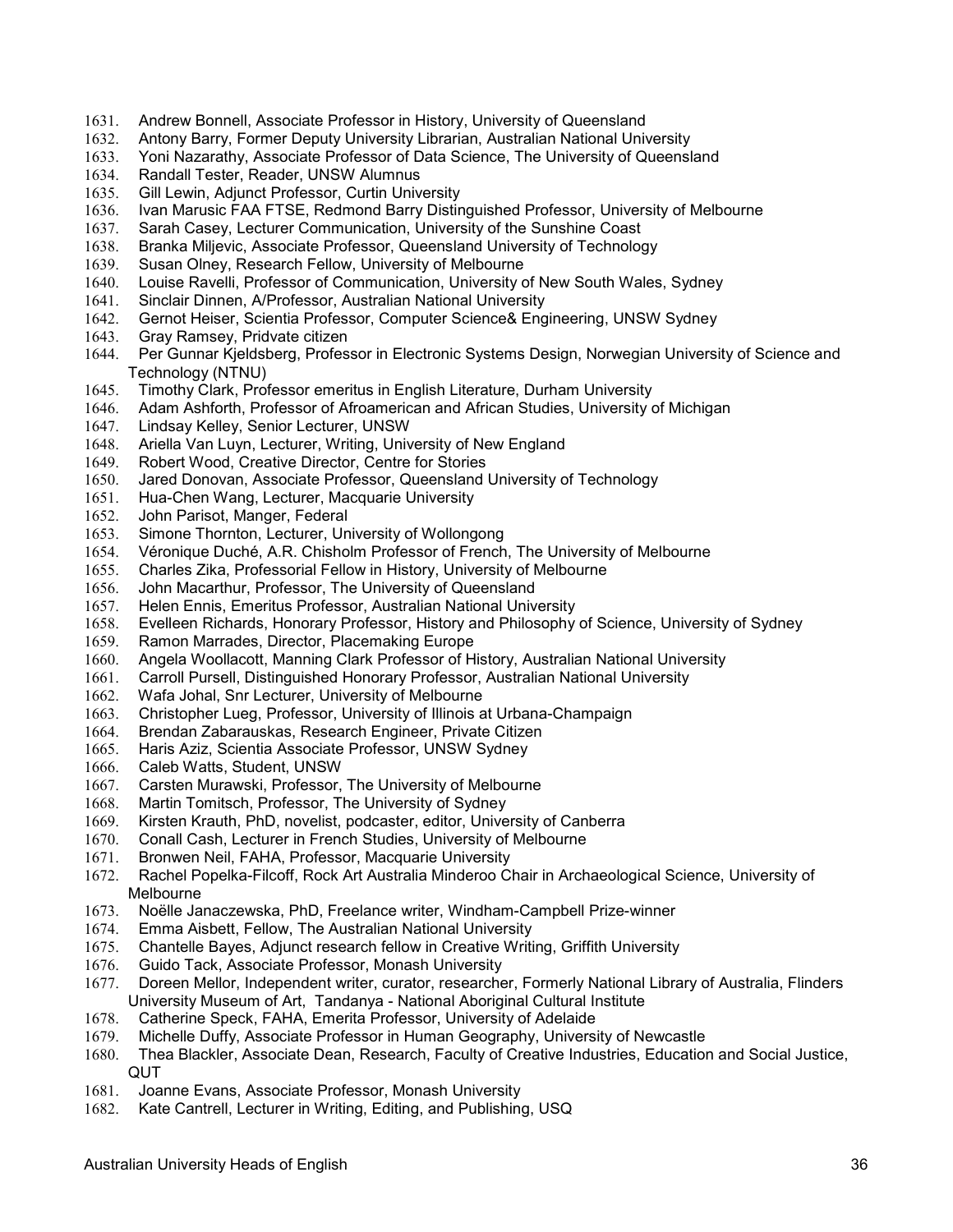- 1631. Andrew Bonnell, Associate Professor in History, University of Queensland
- 1632. Antony Barry, Former Deputy University Librarian, Australian National University
- 1633. Yoni Nazarathy, Associate Professor of Data Science, The University of Queensland
- 1634. Randall Tester, Reader, UNSW Alumnus
- 1635. Gill Lewin, Adjunct Professor, Curtin University
- 1636. Ivan Marusic FAA FTSE, Redmond Barry Distinguished Professor, University of Melbourne
- 1637. Sarah Casey, Lecturer Communication, University of the Sunshine Coast
- 1638. Branka Miljevic, Associate Professor, Queensland University of Technology<br>1639. Susan Olney, Research Fellow, University of Melbourne
- Susan Olney, Research Fellow, University of Melbourne
- 1640. Louise Ravelli, Professor of Communication, University of New South Wales, Sydney
- 
- 1641. Sinclair Dinnen, A/Professor, Australian National University 1642. Gernot Heiser, Scientia Professor, Computer Science& Engineering, UNSW Sydney
- 1643. Gray Ramsey, Pridvate citizen
- 1644. Per Gunnar Kjeldsberg, Professor in Electronic Systems Design, Norwegian University of Science and Technology (NTNU)
- 1645. Timothy Clark, Professor emeritus in English Literature, Durham University
- 1646. Adam Ashforth, Professor of Afroamerican and African Studies, University of Michigan
- 1647. Lindsay Kelley, Senior Lecturer, UNSW
- Ariella Van Luyn, Lecturer, Writing, University of New England
- 1649. Robert Wood, Creative Director, Centre for Stories
- 1650. Jared Donovan, Associate Professor, Queensland University of Technology
- 1651. Hua-Chen Wang, Lecturer, Macquarie University
- 1652. John Parisot, Manger, Federal
- 1653. Simone Thornton, Lecturer, University of Wollongong
- 1654. Véronique Duché, A.R. Chisholm Professor of French, The University of Melbourne
- 1655. Charles Zika, Professorial Fellow in History, University of Melbourne
- 1656. John Macarthur, Professor, The University of Queensland
- 1657. Helen Ennis, Emeritus Professor, Australian National University
- 1658. Evelleen Richards, Honorary Professor, History and Philosophy of Science, University of Sydney
- 1659. Ramon Marrades, Director, Placemaking Europe
- 1660. Angela Woollacott, Manning Clark Professor of History, Australian National University
- 1661. Carroll Pursell, Distinguished Honorary Professor, Australian National University
- 1662. Wafa Johal, Snr Lecturer, University of Melbourne
- 1663. Christopher Lueg, Professor, University of Illinois at Urbana-Champaign
- 1664. Brendan Zabarauskas, Research Engineer, Private Citizen
- 1665. Haris Aziz, Scientia Associate Professor, UNSW Sydney
- 1666. Caleb Watts, Student, UNSW
- 1667. Carsten Murawski, Professor, The University of Melbourne
- 1668. Martin Tomitsch, Professor, The University of Sydney
- 1669. Kirsten Krauth, PhD, novelist, podcaster, editor, University of Canberra
- 1670. Conall Cash, Lecturer in French Studies, University of Melbourne
- 1671. Bronwen Neil, FAHA, Professor, Macquarie University
- 1672. Rachel Popelka-Filcoff, Rock Art Australia Minderoo Chair in Archaeological Science, University of Melbourne
- 1673. Noëlle Janaczewska, PhD, Freelance writer, Windham-Campbell Prize-winner
- 1674. Emma Aisbett, Fellow, The Australian National University
- 1675. Chantelle Bayes, Adjunct research fellow in Creative Writing, Griffith University
- 1676. Guido Tack, Associate Professor, Monash University
- 1677. Doreen Mellor, Independent writer, curator, researcher, Formerly National Library of Australia, Flinders University Museum of Art, Tandanya - National Aboriginal Cultural Institute
- 1678. Catherine Speck, FAHA, Emerita Professor, University of Adelaide
- 1679. Michelle Duffy, Associate Professor in Human Geography, University of Newcastle
- 1680. Thea Blackler, Associate Dean, Research, Faculty of Creative Industries, Education and Social Justice, QUT
- 1681. Joanne Evans, Associate Professor, Monash University
- 1682. Kate Cantrell, Lecturer in Writing, Editing, and Publishing, USQ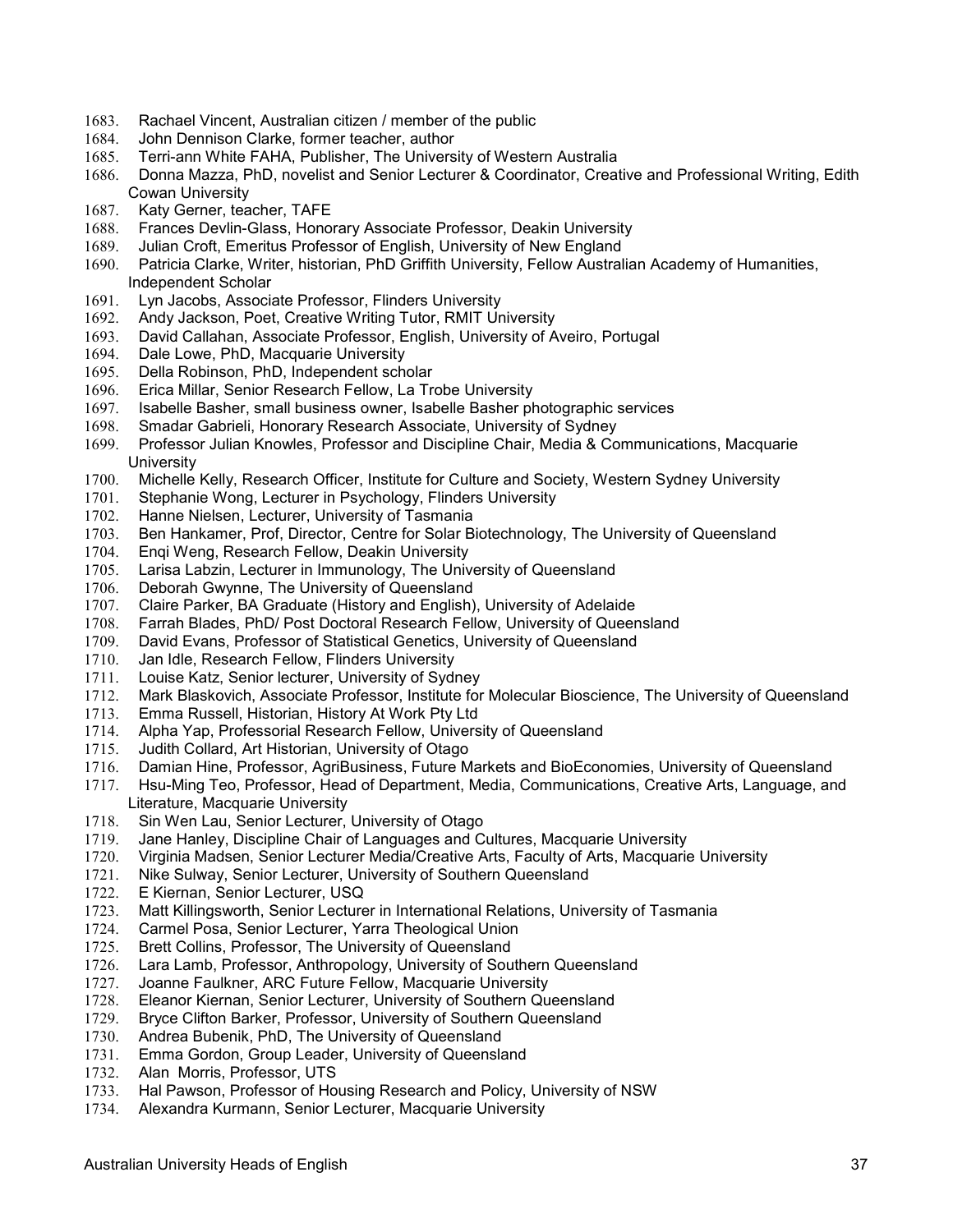- 1683. Rachael Vincent, Australian citizen / member of the public
- 1684. John Dennison Clarke, former teacher, author
- 1685. Terri-ann White FAHA, Publisher, The University of Western Australia
- 1686. Donna Mazza, PhD, novelist and Senior Lecturer & Coordinator, Creative and Professional Writing, Edith Cowan University
- 1687. Katy Gerner, teacher, TAFE
- 1688. Frances Devlin-Glass, Honorary Associate Professor, Deakin University
- 1689. Julian Croft, Emeritus Professor of English, University of New England
- Patricia Clarke, Writer, historian, PhD Griffith University, Fellow Australian Academy of Humanities, Independent Scholar
- 1691. Lyn Jacobs, Associate Professor, Flinders University
- 1692. Andy Jackson, Poet, Creative Writing Tutor, RMIT University
- 1693. David Callahan, Associate Professor, English, University of Aveiro, Portugal
- 1694. Dale Lowe, PhD, Macquarie University
- 1695. Della Robinson, PhD, Independent scholar
- 1696. Erica Millar, Senior Research Fellow, La Trobe University
- 1697. Isabelle Basher, small business owner, Isabelle Basher photographic services
- 1698. Smadar Gabrieli, Honorary Research Associate, University of Sydney
- 1699. Professor Julian Knowles, Professor and Discipline Chair, Media & Communications, Macquarie **University**
- 1700. Michelle Kelly, Research Officer, Institute for Culture and Society, Western Sydney University
- 1701. Stephanie Wong, Lecturer in Psychology, Flinders University
- 1702. Hanne Nielsen, Lecturer, University of Tasmania
- 1703. Ben Hankamer, Prof, Director, Centre for Solar Biotechnology, The University of Queensland
- 1704. Enqi Weng, Research Fellow, Deakin University
- 1705. Larisa Labzin, Lecturer in Immunology, The University of Queensland
- 1706. Deborah Gwynne, The University of Queensland
- 1707. Claire Parker, BA Graduate (History and English), University of Adelaide
- 1708. Farrah Blades, PhD/ Post Doctoral Research Fellow, University of Queensland<br>1709. David Evans, Professor of Statistical Genetics, University of Queensland
- David Evans, Professor of Statistical Genetics, University of Queensland
- 1710. Jan Idle, Research Fellow, Flinders University
- 1711. Louise Katz, Senior lecturer, University of Sydney
- 1712. Mark Blaskovich, Associate Professor, Institute for Molecular Bioscience, The University of Queensland
- 1713. Emma Russell, Historian, History At Work Pty Ltd
- 1714. Alpha Yap, Professorial Research Fellow, University of Queensland
- 1715. Judith Collard, Art Historian, University of Otago
- 1716. Damian Hine, Professor, AgriBusiness, Future Markets and BioEconomies, University of Queensland
- 1717. Hsu-Ming Teo, Professor, Head of Department, Media, Communications, Creative Arts, Language, and Literature, Macquarie University<br>1718. Sin Wen Lau, Senior Lecturer,
- Sin Wen Lau, Senior Lecturer, University of Otago
- 1719. Jane Hanley, Discipline Chair of Languages and Cultures, Macquarie University
- 1720. Virginia Madsen, Senior Lecturer Media/Creative Arts, Faculty of Arts, Macquarie University
- 1721. Nike Sulway, Senior Lecturer, University of Southern Queensland
- 1722. E Kiernan, Senior Lecturer, USQ
- 1723. Matt Killingsworth, Senior Lecturer in International Relations, University of Tasmania
- 1724. Carmel Posa, Senior Lecturer, Yarra Theological Union
- 1725. Brett Collins, Professor, The University of Queensland
- 1726. Lara Lamb, Professor, Anthropology, University of Southern Queensland
- 1727. Joanne Faulkner, ARC Future Fellow, Macquarie University<br>1728. Eleanor Kiernan, Senior Lecturer, University of Southern Qu
- Eleanor Kiernan, Senior Lecturer, University of Southern Queensland
- 1729. Bryce Clifton Barker, Professor, University of Southern Queensland
- 1730. Andrea Bubenik, PhD, The University of Queensland
- 1731. Emma Gordon, Group Leader, University of Queensland
- 1732. Alan Morris, Professor, UTS<br>1733. Hal Pawson. Professor of Hor
- Hal Pawson, Professor of Housing Research and Policy, University of NSW
- 1734. Alexandra Kurmann, Senior Lecturer, Macquarie University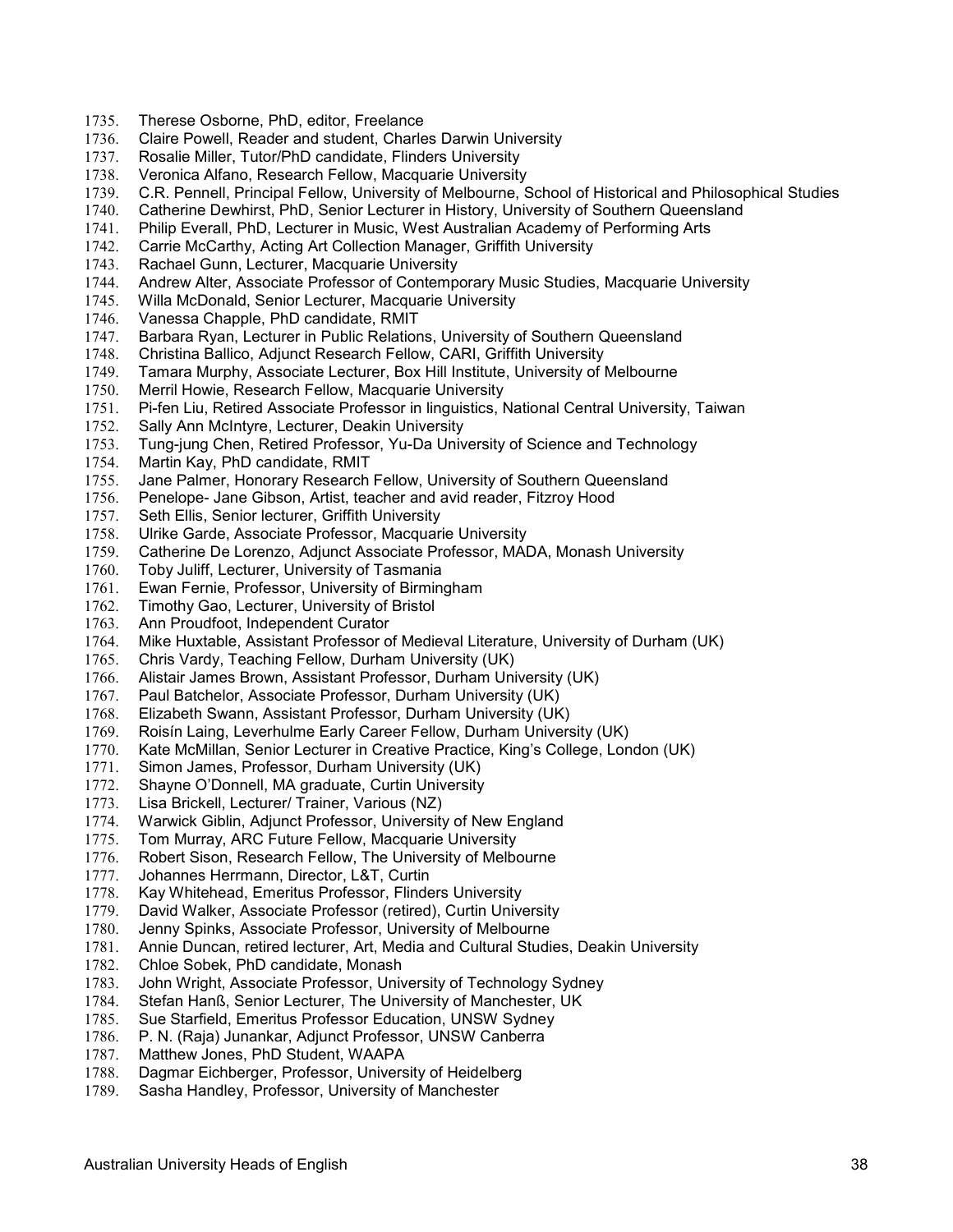- 1735. Therese Osborne, PhD, editor, Freelance
- 1736. Claire Powell, Reader and student, Charles Darwin University
- 1737. Rosalie Miller, Tutor/PhD candidate, Flinders University
- 1738. Veronica Alfano, Research Fellow, Macquarie University
- 1739. C.R. Pennell, Principal Fellow, University of Melbourne, School of Historical and Philosophical Studies
- 1740. Catherine Dewhirst, PhD, Senior Lecturer in History, University of Southern Queensland
- 1741. Philip Everall, PhD, Lecturer in Music, West Australian Academy of Performing Arts
- 1742. Carrie McCarthy, Acting Art Collection Manager, Griffith University<br>1743. Rachael Gunn, Lecturer, Macquarie University
- Rachael Gunn, Lecturer, Macquarie University
- 1744. Andrew Alter, Associate Professor of Contemporary Music Studies, Macquarie University
- 1745. Willa McDonald, Senior Lecturer, Macquarie University<br>1746. Vanessa Chapple, PhD candidate, RMIT
- 1746. Vanessa Chapple, PhD candidate, RMIT
- 1747. Barbara Ryan, Lecturer in Public Relations, University of Southern Queensland
- 1748. Christina Ballico, Adjunct Research Fellow, CARI, Griffith University
- 1749. Tamara Murphy, Associate Lecturer, Box Hill Institute, University of Melbourne
- 1750. Merril Howie, Research Fellow, Macquarie University
- 1751. Pi-fen Liu, Retired Associate Professor in linguistics, National Central University, Taiwan
- 1752. Sally Ann McIntyre, Lecturer, Deakin University<br>1753. Tung-jung Chen, Retired Professor, Yu-Da Univ
- 1753. Tung-jung Chen, Retired Professor, Yu-Da University of Science and Technology
- 1754. Martin Kay, PhD candidate, RMIT
- 1755. Jane Palmer, Honorary Research Fellow, University of Southern Queensland
- 1756. Penelope- Jane Gibson, Artist, teacher and avid reader, Fitzroy Hood
- 1757. Seth Ellis, Senior lecturer, Griffith University
- 1758. Ulrike Garde, Associate Professor, Macquarie University
- 1759. Catherine De Lorenzo, Adjunct Associate Professor, MADA, Monash University
- 1760. Toby Juliff, Lecturer, University of Tasmania
- 1761. Ewan Fernie, Professor, University of Birmingham
- 1762. Timothy Gao, Lecturer, University of Bristol
- 1763. Ann Proudfoot, Independent Curator
- 1764. Mike Huxtable, Assistant Professor of Medieval Literature, University of Durham (UK)
- 1765. Chris Vardy, Teaching Fellow, Durham University (UK)
- 1766. Alistair James Brown, Assistant Professor, Durham University (UK)
- 1767. Paul Batchelor, Associate Professor, Durham University (UK)
- 1768. Elizabeth Swann, Assistant Professor, Durham University (UK)
- 1769. Roisín Laing, Leverhulme Early Career Fellow, Durham University (UK)
- 1770. Kate McMillan, Senior Lecturer in Creative Practice, King's College, London (UK)
- 1771. Simon James, Professor, Durham University (UK)
- 1772. Shayne O'Donnell, MA graduate, Curtin University
- 1773. Lisa Brickell, Lecturer/ Trainer, Various (NZ)
- 1774. Warwick Giblin, Adjunct Professor, University of New England
- 1775. Tom Murray, ARC Future Fellow, Macquarie University
- 1776. Robert Sison, Research Fellow, The University of Melbourne
- 1777. Johannes Herrmann, Director, L&T, Curtin
- 1778. Kay Whitehead, Emeritus Professor, Flinders University
- 1779. David Walker, Associate Professor (retired), Curtin University
- 1780. Jenny Spinks, Associate Professor, University of Melbourne
- 1781. Annie Duncan, retired lecturer, Art, Media and Cultural Studies, Deakin University
- 1782. Chloe Sobek, PhD candidate, Monash
- 1783. John Wright, Associate Professor, University of Technology Sydney<br>1784. Stefan Hanß, Senior Lecturer, The University of Manchester, UK
- Stefan Hanß, Senior Lecturer, The University of Manchester, UK
- 
- 1785. Sue Starfield, Emeritus Professor Education, UNSW Sydney<br>1786. P. N. (Raja) Junankar, Adjunct Professor, UNSW Canberra P. N. (Raja) Junankar, Adjunct Professor, UNSW Canberra
- 1787. Matthew Jones, PhD Student, WAAPA
- 1788. Dagmar Eichberger, Professor, University of Heidelberg<br>1789. Sasha Handlev. Professor. University of Manchester
- Sasha Handley, Professor, University of Manchester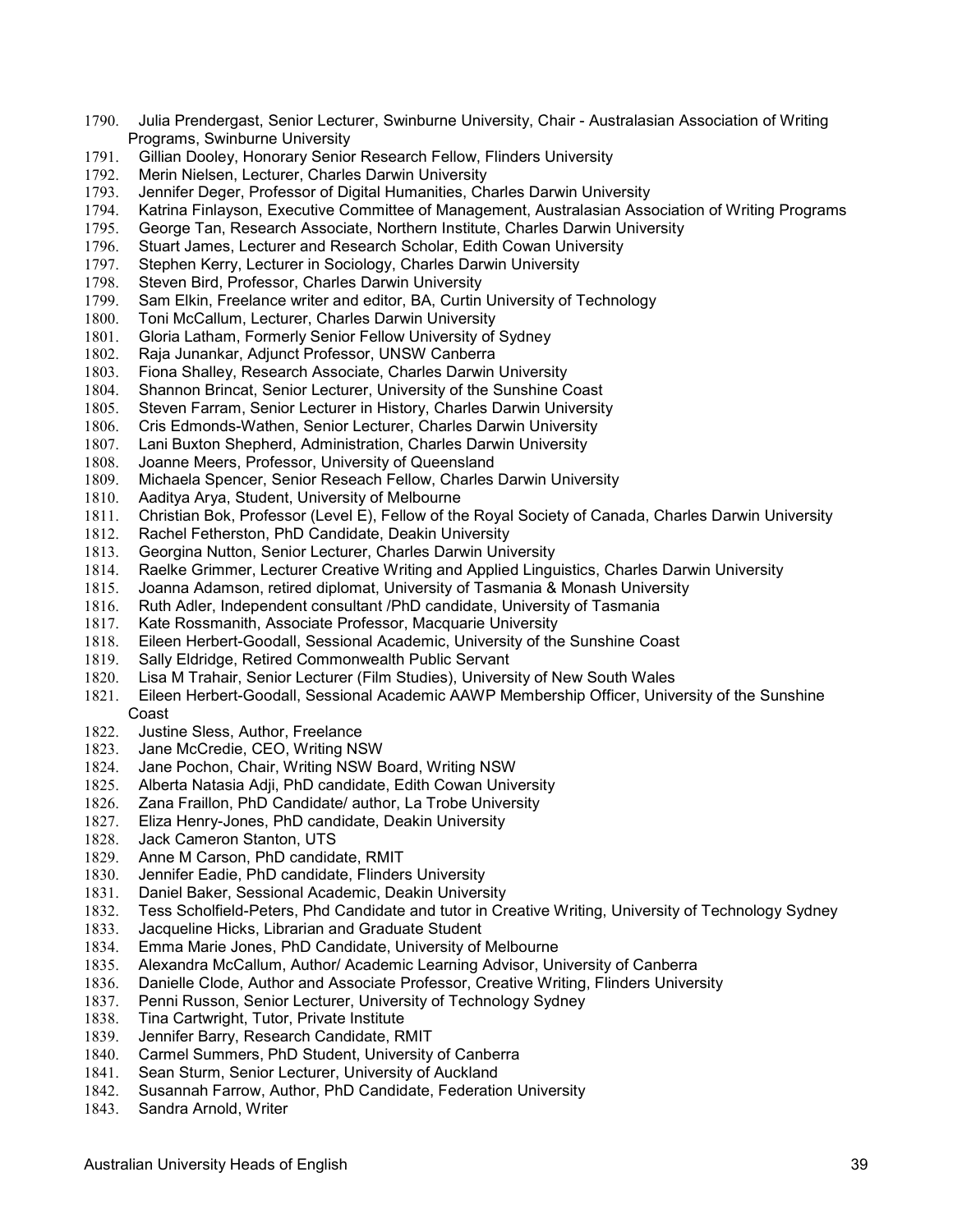- 1790. Julia Prendergast, Senior Lecturer, Swinburne University, Chair Australasian Association of Writing Programs, Swinburne University<br>1791. Gillian Doolev. Honorary Senior
- Gillian Dooley, Honorary Senior Research Fellow, Flinders University
- 1792. Merin Nielsen, Lecturer, Charles Darwin University
- 1793. Jennifer Deger, Professor of Digital Humanities, Charles Darwin University
- 1794. Katrina Finlayson, Executive Committee of Management, Australasian Association of Writing Programs
- 1795. George Tan, Research Associate, Northern Institute, Charles Darwin University
- 1796. Stuart James, Lecturer and Research Scholar, Edith Cowan University<br>1797. Stephen Kerry, Lecturer in Sociology, Charles Darwin University
- Stephen Kerry, Lecturer in Sociology, Charles Darwin University
- 1798. Steven Bird, Professor, Charles Darwin University
- 1799. Sam Elkin, Freelance writer and editor, BA, Curtin University of Technology<br>1800. Toni McCallum, Lecturer, Charles Darwin University
- Toni McCallum, Lecturer, Charles Darwin University
- 1801. Gloria Latham, Formerly Senior Fellow University of Sydney
- 1802. Raja Junankar, Adjunct Professor, UNSW Canberra
- 1803. Fiona Shalley, Research Associate, Charles Darwin University
- 1804. Shannon Brincat, Senior Lecturer, University of the Sunshine Coast
- 1805. Steven Farram, Senior Lecturer in History, Charles Darwin University
- 1806. Cris Edmonds-Wathen, Senior Lecturer, Charles Darwin University<br>1807. Lani Buxton Shepherd, Administration, Charles Darwin University
- Lani Buxton Shepherd, Administration, Charles Darwin University
- 1808. Joanne Meers, Professor, University of Queensland
- 1809. Michaela Spencer, Senior Reseach Fellow, Charles Darwin University
- 1810. Aaditya Arya, Student, University of Melbourne
- 1811. Christian Bok, Professor (Level E), Fellow of the Royal Society of Canada, Charles Darwin University
- 1812. Rachel Fetherston, PhD Candidate, Deakin University
- 1813. Georgina Nutton, Senior Lecturer, Charles Darwin University
- 1814. Raelke Grimmer, Lecturer Creative Writing and Applied Linguistics, Charles Darwin University
- 1815. Joanna Adamson, retired diplomat, University of Tasmania & Monash University
- 1816. Ruth Adler, Independent consultant /PhD candidate, University of Tasmania
- 1817. Kate Rossmanith, Associate Professor, Macquarie University
- 1818. Eileen Herbert-Goodall, Sessional Academic, University of the Sunshine Coast
- 1819. Sally Eldridge, Retired Commonwealth Public Servant
- 1820. Lisa M Trahair, Senior Lecturer (Film Studies), University of New South Wales
- 1821. Eileen Herbert-Goodall, Sessional Academic AAWP Membership Officer, University of the Sunshine Coast
- 1822. Justine Sless, Author, Freelance
- 1823. Jane McCredie, CEO, Writing NSW
- 1824. Jane Pochon, Chair, Writing NSW Board, Writing NSW
- 1825. Alberta Natasia Adji, PhD candidate, Edith Cowan University
- 1826. Zana Fraillon, PhD Candidate/ author, La Trobe University
- 1827. Eliza Henry-Jones, PhD candidate, Deakin University
- 1828. Jack Cameron Stanton, UTS
- 1829. Anne M Carson, PhD candidate, RMIT
- 1830. Jennifer Eadie, PhD candidate, Flinders University
- 1831. Daniel Baker, Sessional Academic, Deakin University
- 1832. Tess Scholfield-Peters, Phd Candidate and tutor in Creative Writing, University of Technology Sydney
- 1833. Jacqueline Hicks, Librarian and Graduate Student
- 1834. Emma Marie Jones, PhD Candidate, University of Melbourne
- 1835. Alexandra McCallum, Author/ Academic Learning Advisor, University of Canberra
- 1836. Danielle Clode, Author and Associate Professor, Creative Writing, Flinders University<br>1837. Penni Russon, Senior Lecturer, University of Technology Sydney
- Penni Russon, Senior Lecturer, University of Technology Sydney
- 1838. Tina Cartwright, Tutor, Private Institute<br>1839. Jennifer Barry, Research Candidate, RI
- Jennifer Barry, Research Candidate, RMIT
- 1840. Carmel Summers, PhD Student, University of Canberra
- 1841. Sean Sturm, Senior Lecturer, University of Auckland
- 1842. Susannah Farrow, Author, PhD Candidate, Federation University
- 1843. Sandra Arnold, Writer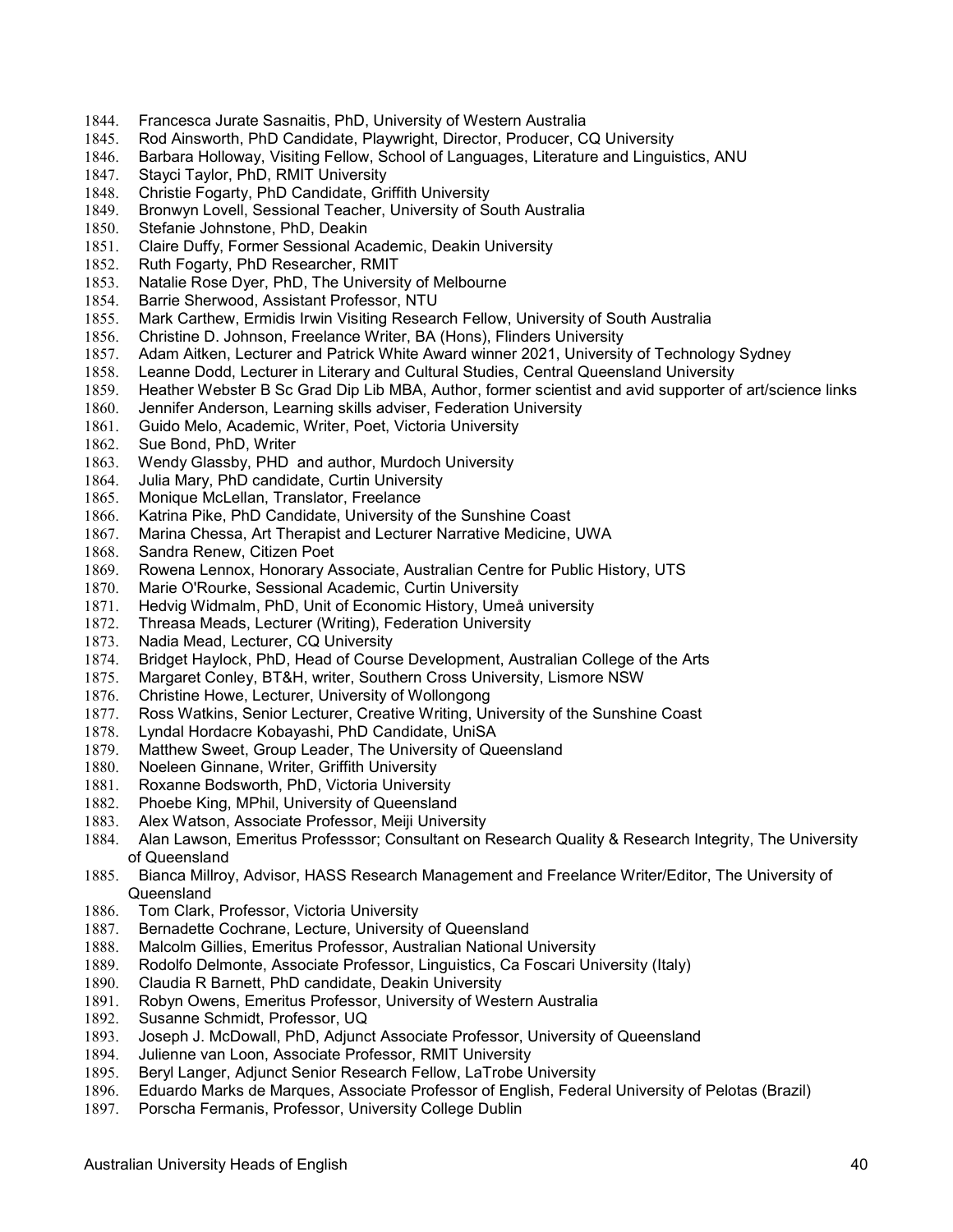- 1844. Francesca Jurate Sasnaitis, PhD, University of Western Australia
- 1845. Rod Ainsworth, PhD Candidate, Playwright, Director, Producer, CQ University<br>1846. Barbara Holloway, Visiting Fellow, School of Languages, Literature and Linguis
- 1846. Barbara Holloway, Visiting Fellow, School of Languages, Literature and Linguistics, ANU
- 1847. Stayci Taylor, PhD, RMIT University
- 1848. Christie Fogarty, PhD Candidate, Griffith University
- 1849. Bronwyn Lovell, Sessional Teacher, University of South Australia
- 1850. Stefanie Johnstone, PhD, Deakin
- 1851. Claire Duffy, Former Sessional Academic, Deakin University<br>1852. Ruth Fogarty, PhD Researcher, RMIT
- Ruth Fogarty, PhD Researcher, RMIT
- 1853. Natalie Rose Dyer, PhD, The University of Melbourne
- 1854. Barrie Sherwood, Assistant Professor, NTU<br>1855. Mark Carthew, Ermidis Irwin Visiting Resear
- Mark Carthew, Ermidis Irwin Visiting Research Fellow, University of South Australia
- 1856. Christine D. Johnson, Freelance Writer, BA (Hons), Flinders University
- 1857. Adam Aitken, Lecturer and Patrick White Award winner 2021, University of Technology Sydney
- 1858. Leanne Dodd, Lecturer in Literary and Cultural Studies, Central Queensland University
- 1859. Heather Webster B Sc Grad Dip Lib MBA, Author, former scientist and avid supporter of art/science links
- 1860. Jennifer Anderson, Learning skills adviser, Federation University
- 1861. Guido Melo, Academic, Writer, Poet, Victoria University 1862. Sue Bond. PhD. Writer
- Sue Bond, PhD, Writer
- 1863. Wendy Glassby, PHD and author, Murdoch University
- 1864. Julia Mary, PhD candidate, Curtin University
- 1865. Monique McLellan, Translator, Freelance
- 1866. Katrina Pike, PhD Candidate, University of the Sunshine Coast
- 1867. Marina Chessa, Art Therapist and Lecturer Narrative Medicine, UWA
- 1868. Sandra Renew, Citizen Poet
- 1869. Rowena Lennox, Honorary Associate, Australian Centre for Public History, UTS
- 1870. Marie O'Rourke, Sessional Academic, Curtin University
- 1871. Hedvig Widmalm, PhD, Unit of Economic History, Umeå university
- 1872. Threasa Meads, Lecturer (Writing), Federation University
- 1873. Nadia Mead, Lecturer, CQ University
- 1874. Bridget Haylock, PhD, Head of Course Development, Australian College of the Arts
- 1875. Margaret Conley, BT&H, writer, Southern Cross University, Lismore NSW
- 1876. Christine Howe, Lecturer, University of Wollongong
- 1877. Ross Watkins, Senior Lecturer, Creative Writing, University of the Sunshine Coast
- 1878. Lyndal Hordacre Kobayashi, PhD Candidate, UniSA
- 1879. Matthew Sweet, Group Leader, The University of Queensland
- 1880. Noeleen Ginnane, Writer, Griffith University
- 1881. Roxanne Bodsworth, PhD, Victoria University
- 1882. Phoebe King, MPhil, University of Queensland
- 1883. Alex Watson, Associate Professor, Meiji University
- 1884. Alan Lawson, Emeritus Professsor; Consultant on Research Quality & Research Integrity, The University of Queensland
- 1885. Bianca Millroy, Advisor, HASS Research Management and Freelance Writer/Editor, The University of Queensland
- 1886. Tom Clark, Professor, Victoria University
- 1887. Bernadette Cochrane, Lecture, University of Queensland
- 1888. Malcolm Gillies, Emeritus Professor, Australian National University
- 1889. Rodolfo Delmonte, Associate Professor, Linguistics, Ca Foscari University (Italy)
- 1890. Claudia R Barnett, PhD candidate, Deakin University<br>1891. Robyn Owens, Emeritus Professor, University of Wes
- Robyn Owens, Emeritus Professor, University of Western Australia
- 1892. Susanne Schmidt, Professor, UQ<br>1893. Joseph J. McDowall, PhD, Adjunc
- Joseph J. McDowall, PhD, Adjunct Associate Professor, University of Queensland
- 1894. Julienne van Loon, Associate Professor, RMIT University
- 1895. Beryl Langer, Adjunct Senior Research Fellow, LaTrobe University
- 1896. Eduardo Marks de Marques, Associate Professor of English, Federal University of Pelotas (Brazil)
- 1897. Porscha Fermanis, Professor, University College Dublin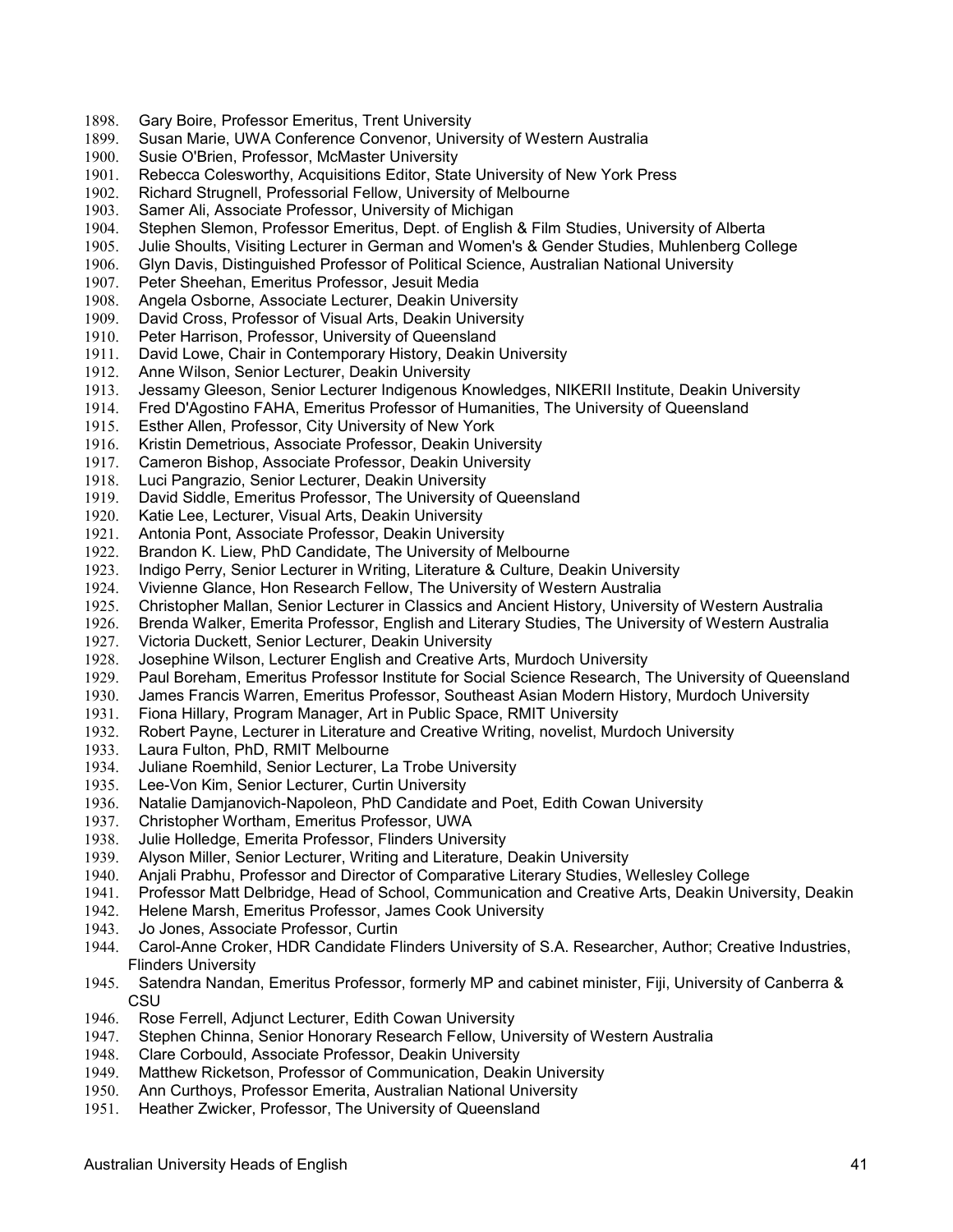- 1898. Gary Boire, Professor Emeritus, Trent University
- 1899. Susan Marie, UWA Conference Convenor, University of Western Australia
- 1900. Susie O'Brien, Professor, McMaster University<br>1901. Rebecca Colesworthy, Acquisitions Editor, Stat
- Rebecca Colesworthy, Acquisitions Editor, State University of New York Press
- 1902. Richard Strugnell, Professorial Fellow, University of Melbourne
- 1903. Samer Ali, Associate Professor, University of Michigan
- 1904. Stephen Slemon, Professor Emeritus, Dept. of English & Film Studies, University of Alberta
- 1905. Julie Shoults, Visiting Lecturer in German and Women's & Gender Studies, Muhlenberg College<br>1906. Glyn Davis, Distinguished Professor of Political Science, Australian National University
- 1906. Glyn Davis, Distinguished Professor of Political Science, Australian National University
- 1907. Peter Sheehan, Emeritus Professor, Jesuit Media
- 1908. Angela Osborne, Associate Lecturer, Deakin University<br>1909. David Cross, Professor of Visual Arts, Deakin University
- David Cross, Professor of Visual Arts, Deakin University
- 1910. Peter Harrison, Professor, University of Queensland
- 1911. David Lowe, Chair in Contemporary History, Deakin University
- 1912. Anne Wilson, Senior Lecturer, Deakin University
- 1913. Jessamy Gleeson, Senior Lecturer Indigenous Knowledges, NIKERII Institute, Deakin University
- 1914. Fred D'Agostino FAHA, Emeritus Professor of Humanities, The University of Queensland
- 1915. Esther Allen, Professor, City University of New York<br>1916. Kristin Demetrious. Associate Professor. Deakin Uni
- Kristin Demetrious, Associate Professor, Deakin University
- 1917. Cameron Bishop, Associate Professor, Deakin University
- 1918. Luci Pangrazio, Senior Lecturer, Deakin University<br>1919. David Siddle, Emeritus Professor, The University of
- David Siddle, Emeritus Professor, The University of Queensland
- 1920. Katie Lee, Lecturer, Visual Arts, Deakin University
- 1921. Antonia Pont, Associate Professor, Deakin University
- 1922. Brandon K. Liew, PhD Candidate, The University of Melbourne
- 1923. Indigo Perry, Senior Lecturer in Writing, Literature & Culture, Deakin University
- 1924. Vivienne Glance, Hon Research Fellow, The University of Western Australia
- 1925. Christopher Mallan, Senior Lecturer in Classics and Ancient History, University of Western Australia
- 1926. Brenda Walker, Emerita Professor, English and Literary Studies, The University of Western Australia
- 1927. Victoria Duckett, Senior Lecturer, Deakin University
- 1928. Josephine Wilson, Lecturer English and Creative Arts, Murdoch University<br>1929. Paul Boreham, Emeritus Professor Institute for Social Science Research, 1
- Paul Boreham, Emeritus Professor Institute for Social Science Research, The University of Queensland
- 1930. James Francis Warren, Emeritus Professor, Southeast Asian Modern History, Murdoch University
- 1931. Fiona Hillary, Program Manager, Art in Public Space, RMIT University
- 1932. Robert Payne, Lecturer in Literature and Creative Writing, novelist, Murdoch University
- 1933. Laura Fulton, PhD, RMIT Melbourne
- 1934. Juliane Roemhild, Senior Lecturer, La Trobe University
- 1935. Lee-Von Kim, Senior Lecturer, Curtin University
- 1936. Natalie Damjanovich-Napoleon, PhD Candidate and Poet, Edith Cowan University
- 1937. Christopher Wortham, Emeritus Professor, UWA
- 1938. Julie Holledge, Emerita Professor, Flinders University<br>1939. Alyson Miller, Senior Lecturer, Writing and Literature, I
- Alyson Miller, Senior Lecturer, Writing and Literature, Deakin University
- 1940. Anjali Prabhu, Professor and Director of Comparative Literary Studies, Wellesley College
- 1941. Professor Matt Delbridge, Head of School, Communication and Creative Arts, Deakin University, Deakin
- 1942. Helene Marsh, Emeritus Professor, James Cook University
- 1943. Jo Jones, Associate Professor, Curtin
- 1944. Carol-Anne Croker, HDR Candidate Flinders University of S.A. Researcher, Author; Creative Industries, Flinders University
- 1945. Satendra Nandan, Emeritus Professor, formerly MP and cabinet minister, Fiji, University of Canberra & **CSU**
- 1946. Rose Ferrell, Adjunct Lecturer, Edith Cowan University
- 1947. Stephen Chinna, Senior Honorary Research Fellow, University of Western Australia
- 1948. Clare Corbould, Associate Professor, Deakin University
- 1949. Matthew Ricketson, Professor of Communication, Deakin University
- 1950. Ann Curthoys, Professor Emerita, Australian National University
- 1951. Heather Zwicker, Professor, The University of Queensland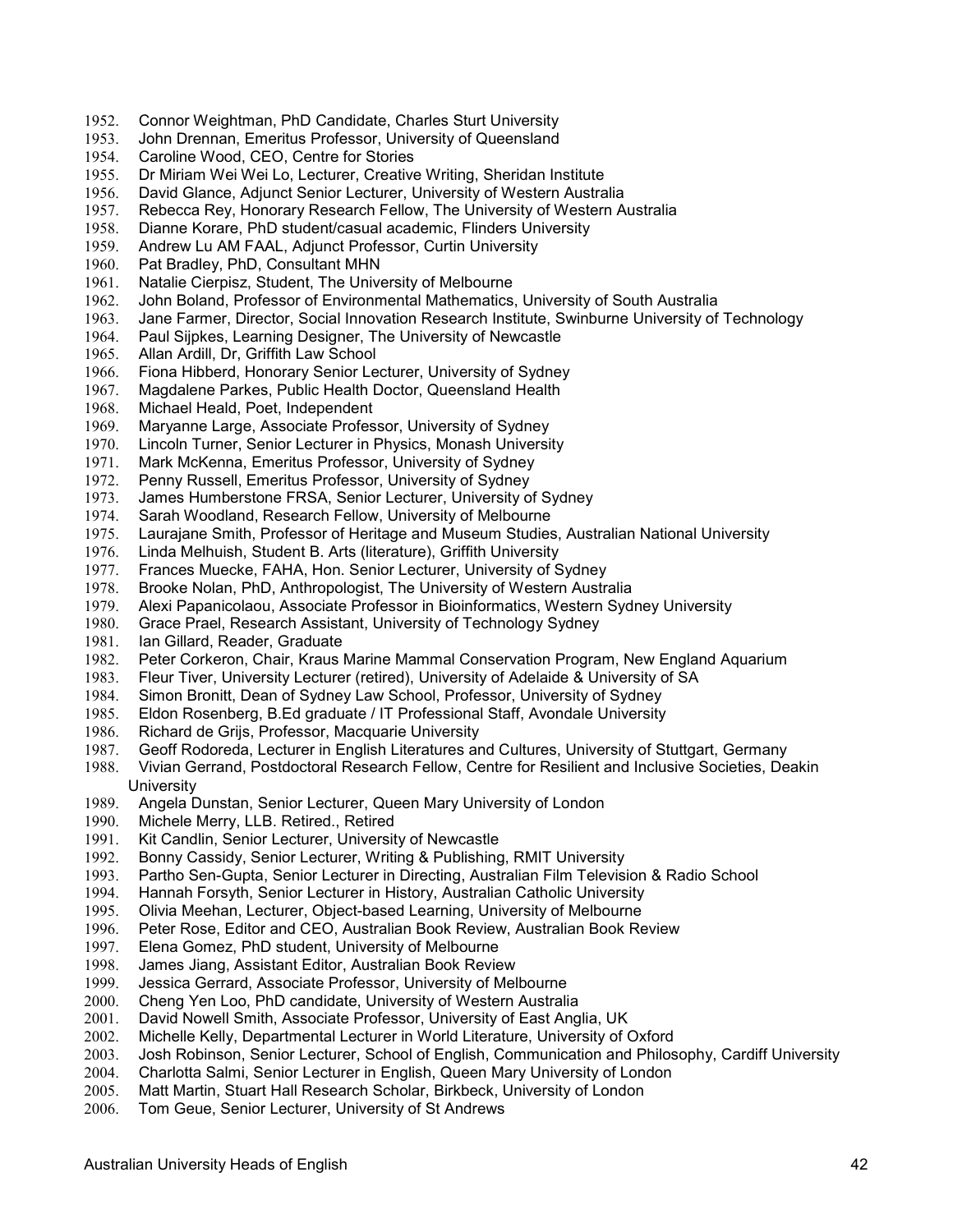- 1952. Connor Weightman, PhD Candidate, Charles Sturt University
- 1953. John Drennan, Emeritus Professor, University of Queensland
- 1954. Caroline Wood, CEO, Centre for Stories<br>1955. Dr Miriam Wei Wei Lo. Lecturer. Creative
- Dr Miriam Wei Wei Lo, Lecturer, Creative Writing, Sheridan Institute
- 1956. David Glance, Adjunct Senior Lecturer, University of Western Australia
- 1957. Rebecca Rey, Honorary Research Fellow, The University of Western Australia
- 1958. Dianne Korare, PhD student/casual academic, Flinders University
- 1959. Andrew Lu AM FAAL, Adjunct Professor, Curtin University<br>1960. Pat Bradley, PhD, Consultant MHN
- Pat Bradley, PhD, Consultant MHN
- 1961. Natalie Cierpisz, Student, The University of Melbourne
- 1962. John Boland, Professor of Environmental Mathematics, University of South Australia<br>1963. Jane Farmer, Director, Social Innovation Research Institute, Swinburne University of
- 1963. Jane Farmer, Director, Social Innovation Research Institute, Swinburne University of Technology
- 1964. Paul Sijpkes, Learning Designer, The University of Newcastle
- 1965. Allan Ardill, Dr, Griffith Law School
- 1966. Fiona Hibberd, Honorary Senior Lecturer, University of Sydney
- 1967. Magdalene Parkes, Public Health Doctor, Queensland Health
- 1968. Michael Heald, Poet, Independent
- 1969. Maryanne Large, Associate Professor, University of Sydney<br>1970. Lincoln Turner, Senior Lecturer in Physics, Monash Universit
- Lincoln Turner, Senior Lecturer in Physics, Monash University
- 1971. Mark McKenna, Emeritus Professor, University of Sydney
- 1972. Penny Russell, Emeritus Professor, University of Sydney<br>1973. James Humberstone FRSA, Senior Lecturer, University of
- 1973. James Humberstone FRSA, Senior Lecturer, University of Sydney<br>1974. Sarah Woodland. Research Fellow. University of Melbourne
- Sarah Woodland, Research Fellow, University of Melbourne
- 1975. Laurajane Smith, Professor of Heritage and Museum Studies, Australian National University
- 1976. Linda Melhuish, Student B. Arts (literature), Griffith University
- 1977. Frances Muecke, FAHA, Hon. Senior Lecturer, University of Sydney
- 1978. Brooke Nolan, PhD, Anthropologist, The University of Western Australia
- 1979. Alexi Papanicolaou, Associate Professor in Bioinformatics, Western Sydney University
- 1980. Grace Prael, Research Assistant, University of Technology Sydney
- 1981. Ian Gillard, Reader, Graduate
- 1982. Peter Corkeron, Chair, Kraus Marine Mammal Conservation Program, New England Aquarium
- 1983. Fleur Tiver, University Lecturer (retired), University of Adelaide & University of SA
- 1984. Simon Bronitt, Dean of Sydney Law School, Professor, University of Sydney
- 1985. Eldon Rosenberg, B.Ed graduate / IT Professional Staff, Avondale University
- 1986. Richard de Grijs, Professor, Macquarie University
- 1987. Geoff Rodoreda, Lecturer in English Literatures and Cultures, University of Stuttgart, Germany
- 1988. Vivian Gerrand, Postdoctoral Research Fellow, Centre for Resilient and Inclusive Societies, Deakin University<br>1989. Angela D
- Angela Dunstan, Senior Lecturer, Queen Mary University of London
- 1990. Michele Merry, LLB. Retired., Retired
- 1991. Kit Candlin, Senior Lecturer, University of Newcastle<br>1992. Bonny Cassidy, Senior Lecturer, Writing & Publishing
- 1992. Bonny Cassidy, Senior Lecturer, Writing & Publishing, RMIT University
- 1993. Partho Sen-Gupta, Senior Lecturer in Directing, Australian Film Television & Radio School
- 
- 1994. Hannah Forsyth, Senior Lecturer in History, Australian Catholic University<br>1995. Olivia Meehan, Lecturer, Object-based Learning, University of Melbourne 1995. Olivia Meehan, Lecturer, Object-based Learning, University of Melbourne
- 1996. Peter Rose, Editor and CEO, Australian Book Review, Australian Book Review
- 1997. Elena Gomez, PhD student, University of Melbourne
- 1998. James Jiang, Assistant Editor, Australian Book Review
- 1999. Jessica Gerrard, Associate Professor, University of Melbourne<br>2000. Cheng Yen Loo, PhD candidate, University of Western Australi
- Cheng Yen Loo, PhD candidate, University of Western Australia
- 2001. David Nowell Smith, Associate Professor, University of East Anglia, UK<br>2002. Michelle Kelly, Departmental Lecturer in World Literature, University of (
- Michelle Kelly, Departmental Lecturer in World Literature, University of Oxford
- 2003. Josh Robinson, Senior Lecturer, School of English, Communication and Philosophy, Cardiff University
- 2004. Charlotta Salmi, Senior Lecturer in English, Queen Mary University of London
- 2005. Matt Martin, Stuart Hall Research Scholar, Birkbeck, University of London
- 2006. Tom Geue, Senior Lecturer, University of St Andrews